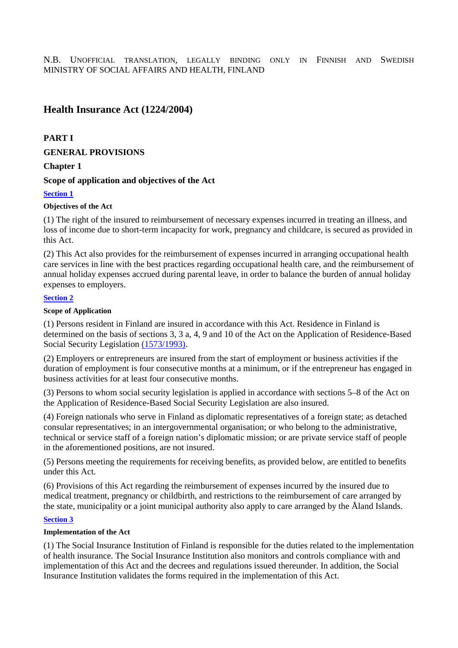# **Health Insurance Act (1224/2004)**

# **PART I**

# **GENERAL PROVISIONS**

# **Chapter 1**

# **Scope of application and objectives of the Act**

# **Section 1**

# **Objectives of the Act**

(1) The right of the insured to reimbursement of necessary expenses incurred in treating an illness, and loss of income due to short-term incapacity for work, pregnancy and childcare, is secured as provided in this Act.

(2) This Act also provides for the reimbursement of expenses incurred in arranging occupational health care services in line with the best practices regarding occupational health care, and the reimbursement of annual holiday expenses accrued during parental leave, in order to balance the burden of annual holiday expenses to employers.

# **Section 2**

## **Scope of Application**

(1) Persons resident in Finland are insured in accordance with this Act. Residence in Finland is determined on the basis of sections 3, 3 a, 4, 9 and 10 of the Act on the Application of Residence-Based Social Security Legislation (1573/1993).

(2) Employers or entrepreneurs are insured from the start of employment or business activities if the duration of employment is four consecutive months at a minimum, or if the entrepreneur has engaged in business activities for at least four consecutive months.

(3) Persons to whom social security legislation is applied in accordance with sections 5–8 of the Act on the Application of Residence-Based Social Security Legislation are also insured.

(4) Foreign nationals who serve in Finland as diplomatic representatives of a foreign state; as detached consular representatives; in an intergovernmental organisation; or who belong to the administrative, technical or service staff of a foreign nation's diplomatic mission; or are private service staff of people in the aforementioned positions, are not insured.

(5) Persons meeting the requirements for receiving benefits, as provided below, are entitled to benefits under this Act.

(6) Provisions of this Act regarding the reimbursement of expenses incurred by the insured due to medical treatment, pregnancy or childbirth, and restrictions to the reimbursement of care arranged by the state, municipality or a joint municipal authority also apply to care arranged by the Åland Islands.

# **Section 3**

# **Implementation of the Act**

(1) The Social Insurance Institution of Finland is responsible for the duties related to the implementation of health insurance. The Social Insurance Institution also monitors and controls compliance with and implementation of this Act and the decrees and regulations issued thereunder. In addition, the Social Insurance Institution validates the forms required in the implementation of this Act.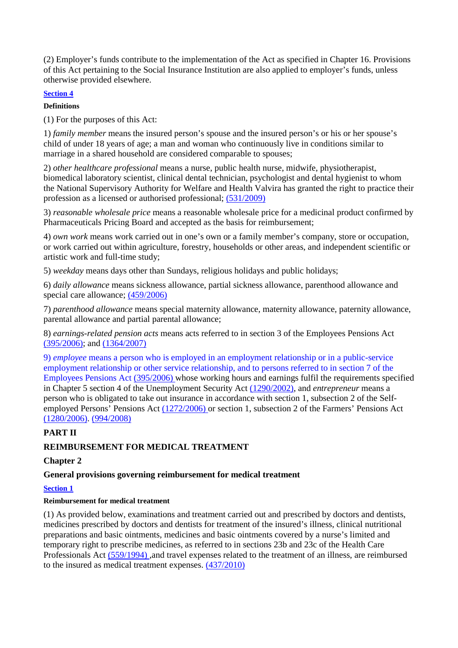(2) Employer's funds contribute to the implementation of the Act as specified in Chapter 16. Provisions of this Act pertaining to the Social Insurance Institution are also applied to employer's funds, unless otherwise provided elsewhere.

# **Section 4**

**Definitions** 

(1) For the purposes of this Act:

1) *family member* means the insured person's spouse and the insured person's or his or her spouse's child of under 18 years of age; a man and woman who continuously live in conditions similar to marriage in a shared household are considered comparable to spouses;

2) *other healthcare professional* means a nurse, public health nurse, midwife, physiotherapist, biomedical laboratory scientist, clinical dental technician, psychologist and dental hygienist to whom the National Supervisory Authority for Welfare and Health Valvira has granted the right to practice their profession as a licensed or authorised professional; (531/2009)

3) *reasonable wholesale price* means a reasonable wholesale price for a medicinal product confirmed by Pharmaceuticals Pricing Board and accepted as the basis for reimbursement;

4) *own work* means work carried out in one's own or a family member's company, store or occupation, or work carried out within agriculture, forestry, households or other areas, and independent scientific or artistic work and full-time study;

5) *weekday* means days other than Sundays, religious holidays and public holidays;

6) *daily allowance* means sickness allowance, partial sickness allowance, parenthood allowance and special care allowance; (459/2006)

7) *parenthood allowance* means special maternity allowance, maternity allowance, paternity allowance, parental allowance and partial parental allowance;

8) *earnings-related pension acts* means acts referred to in section 3 of the Employees Pensions Act (395/2006); and (1364/2007)

9) *employee* means a person who is employed in an employment relationship or in a public-service employment relationship or other service relationship, and to persons referred to in section 7 of the Employees Pensions Act (395/2006) whose working hours and earnings fulfil the requirements specified in Chapter 5 section 4 of the Unemployment Security Act (1290/2002), and *entrepreneur* means a person who is obligated to take out insurance in accordance with section 1, subsection 2 of the Selfemployed Persons' Pensions Act (1272/2006) or section 1, subsection 2 of the Farmers' Pensions Act (1280/2006). (994/2008)

# **PART II**

# **REIMBURSEMENT FOR MEDICAL TREATMENT**

# **Chapter 2**

# **General provisions governing reimbursement for medical treatment**

# **Section 1**

# **Reimbursement for medical treatment**

(1) As provided below, examinations and treatment carried out and prescribed by doctors and dentists, medicines prescribed by doctors and dentists for treatment of the insured's illness, clinical nutritional preparations and basic ointments, medicines and basic ointments covered by a nurse's limited and temporary right to prescribe medicines, as referred to in sections 23b and 23c of the Health Care Professionals Act (559/1994) ,and travel expenses related to the treatment of an illness, are reimbursed to the insured as medical treatment expenses. (437/2010)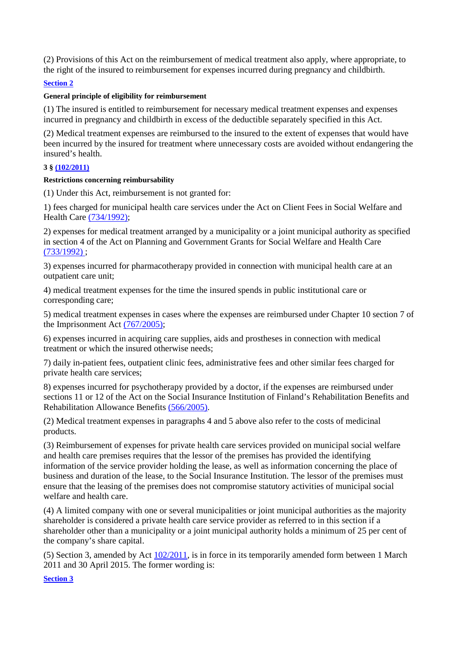(2) Provisions of this Act on the reimbursement of medical treatment also apply, where appropriate, to the right of the insured to reimbursement for expenses incurred during pregnancy and childbirth.

## **Section 2**

## **General principle of eligibility for reimbursement**

(1) The insured is entitled to reimbursement for necessary medical treatment expenses and expenses incurred in pregnancy and childbirth in excess of the deductible separately specified in this Act.

(2) Medical treatment expenses are reimbursed to the insured to the extent of expenses that would have been incurred by the insured for treatment where unnecessary costs are avoided without endangering the insured's health.

# **3 § (102/2011)**

## **Restrictions concerning reimbursability**

(1) Under this Act, reimbursement is not granted for:

1) fees charged for municipal health care services under the Act on Client Fees in Social Welfare and Health Care (734/1992);

2) expenses for medical treatment arranged by a municipality or a joint municipal authority as specified in section 4 of the Act on Planning and Government Grants for Social Welfare and Health Care (733/1992) ;

3) expenses incurred for pharmacotherapy provided in connection with municipal health care at an outpatient care unit;

4) medical treatment expenses for the time the insured spends in public institutional care or corresponding care;

5) medical treatment expenses in cases where the expenses are reimbursed under Chapter 10 section 7 of the Imprisonment Act (767/2005);

6) expenses incurred in acquiring care supplies, aids and prostheses in connection with medical treatment or which the insured otherwise needs;

7) daily in-patient fees, outpatient clinic fees, administrative fees and other similar fees charged for private health care services;

8) expenses incurred for psychotherapy provided by a doctor, if the expenses are reimbursed under sections 11 or 12 of the Act on the Social Insurance Institution of Finland's Rehabilitation Benefits and Rehabilitation Allowance Benefits (566/2005).

(2) Medical treatment expenses in paragraphs 4 and 5 above also refer to the costs of medicinal products.

(3) Reimbursement of expenses for private health care services provided on municipal social welfare and health care premises requires that the lessor of the premises has provided the identifying information of the service provider holding the lease, as well as information concerning the place of business and duration of the lease, to the Social Insurance Institution. The lessor of the premises must ensure that the leasing of the premises does not compromise statutory activities of municipal social welfare and health care.

(4) A limited company with one or several municipalities or joint municipal authorities as the majority shareholder is considered a private health care service provider as referred to in this section if a shareholder other than a municipality or a joint municipal authority holds a minimum of 25 per cent of the company's share capital.

(5) Section 3, amended by Act  $102/2011$ , is in force in its temporarily amended form between 1 March 2011 and 30 April 2015. The former wording is:

**Section 3**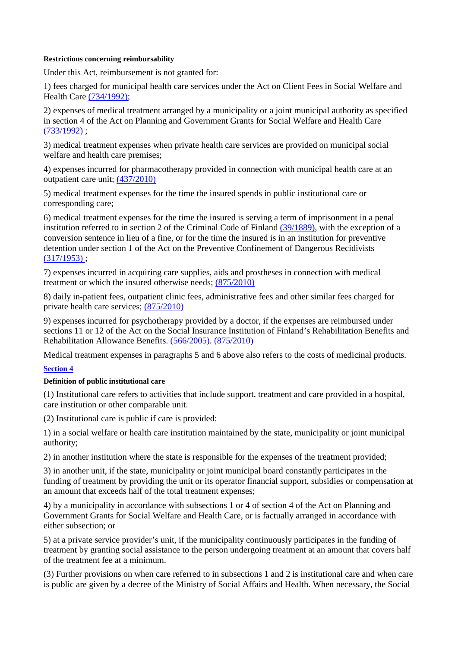### **Restrictions concerning reimbursability**

Under this Act, reimbursement is not granted for:

1) fees charged for municipal health care services under the Act on Client Fees in Social Welfare and Health Care (734/1992);

2) expenses of medical treatment arranged by a municipality or a joint municipal authority as specified in section 4 of the Act on Planning and Government Grants for Social Welfare and Health Care (733/1992) ;

3) medical treatment expenses when private health care services are provided on municipal social welfare and health care premises;

4) expenses incurred for pharmacotherapy provided in connection with municipal health care at an outpatient care unit; (437/2010)

5) medical treatment expenses for the time the insured spends in public institutional care or corresponding care;

6) medical treatment expenses for the time the insured is serving a term of imprisonment in a penal institution referred to in section 2 of the Criminal Code of Finland (39/1889), with the exception of a conversion sentence in lieu of a fine, or for the time the insured is in an institution for preventive detention under section 1 of the Act on the Preventive Confinement of Dangerous Recidivists  $(317/1953)$ :

7) expenses incurred in acquiring care supplies, aids and prostheses in connection with medical treatment or which the insured otherwise needs; (875/2010)

8) daily in-patient fees, outpatient clinic fees, administrative fees and other similar fees charged for private health care services; (875/2010)

9) expenses incurred for psychotherapy provided by a doctor, if the expenses are reimbursed under sections 11 or 12 of the Act on the Social Insurance Institution of Finland's Rehabilitation Benefits and Rehabilitation Allowance Benefits. (566/2005). (875/2010)

Medical treatment expenses in paragraphs 5 and 6 above also refers to the costs of medicinal products.

## **Section 4**

## **Definition of public institutional care**

(1) Institutional care refers to activities that include support, treatment and care provided in a hospital, care institution or other comparable unit.

(2) Institutional care is public if care is provided:

1) in a social welfare or health care institution maintained by the state, municipality or joint municipal authority;

2) in another institution where the state is responsible for the expenses of the treatment provided;

3) in another unit, if the state, municipality or joint municipal board constantly participates in the funding of treatment by providing the unit or its operator financial support, subsidies or compensation at an amount that exceeds half of the total treatment expenses;

4) by a municipality in accordance with subsections 1 or 4 of section 4 of the Act on Planning and Government Grants for Social Welfare and Health Care, or is factually arranged in accordance with either subsection; or

5) at a private service provider's unit, if the municipality continuously participates in the funding of treatment by granting social assistance to the person undergoing treatment at an amount that covers half of the treatment fee at a minimum.

(3) Further provisions on when care referred to in subsections 1 and 2 is institutional care and when care is public are given by a decree of the Ministry of Social Affairs and Health. When necessary, the Social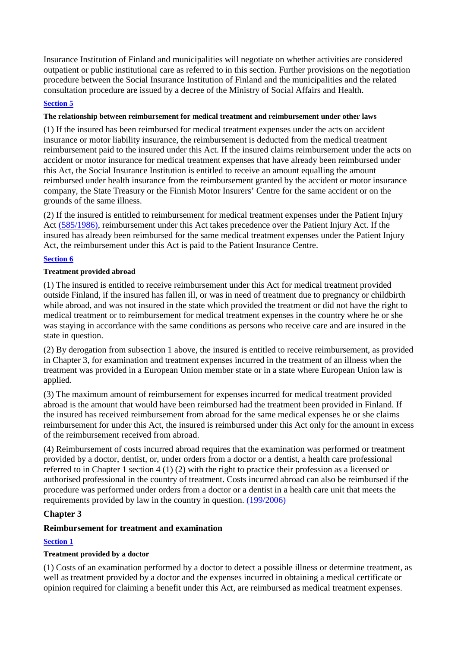Insurance Institution of Finland and municipalities will negotiate on whether activities are considered outpatient or public institutional care as referred to in this section. Further provisions on the negotiation procedure between the Social Insurance Institution of Finland and the municipalities and the related consultation procedure are issued by a decree of the Ministry of Social Affairs and Health.

# **Section 5**

# **The relationship between reimbursement for medical treatment and reimbursement under other laws**

(1) If the insured has been reimbursed for medical treatment expenses under the acts on accident insurance or motor liability insurance, the reimbursement is deducted from the medical treatment reimbursement paid to the insured under this Act. If the insured claims reimbursement under the acts on accident or motor insurance for medical treatment expenses that have already been reimbursed under this Act, the Social Insurance Institution is entitled to receive an amount equalling the amount reimbursed under health insurance from the reimbursement granted by the accident or motor insurance company, the State Treasury or the Finnish Motor Insurers' Centre for the same accident or on the grounds of the same illness.

(2) If the insured is entitled to reimbursement for medical treatment expenses under the Patient Injury Act (585/1986), reimbursement under this Act takes precedence over the Patient Injury Act. If the insured has already been reimbursed for the same medical treatment expenses under the Patient Injury Act, the reimbursement under this Act is paid to the Patient Insurance Centre.

# **Section 6**

## **Treatment provided abroad**

(1) The insured is entitled to receive reimbursement under this Act for medical treatment provided outside Finland, if the insured has fallen ill, or was in need of treatment due to pregnancy or childbirth while abroad, and was not insured in the state which provided the treatment or did not have the right to medical treatment or to reimbursement for medical treatment expenses in the country where he or she was staying in accordance with the same conditions as persons who receive care and are insured in the state in question.

(2) By derogation from subsection 1 above, the insured is entitled to receive reimbursement, as provided in Chapter 3, for examination and treatment expenses incurred in the treatment of an illness when the treatment was provided in a European Union member state or in a state where European Union law is applied.

(3) The maximum amount of reimbursement for expenses incurred for medical treatment provided abroad is the amount that would have been reimbursed had the treatment been provided in Finland. If the insured has received reimbursement from abroad for the same medical expenses he or she claims reimbursement for under this Act, the insured is reimbursed under this Act only for the amount in excess of the reimbursement received from abroad.

(4) Reimbursement of costs incurred abroad requires that the examination was performed or treatment provided by a doctor, dentist, or, under orders from a doctor or a dentist, a health care professional referred to in Chapter 1 section 4 (1) (2) with the right to practice their profession as a licensed or authorised professional in the country of treatment. Costs incurred abroad can also be reimbursed if the procedure was performed under orders from a doctor or a dentist in a health care unit that meets the requirements provided by law in the country in question. (199/2006)

# **Chapter 3**

# **Reimbursement for treatment and examination**

# **Section 1**

# **Treatment provided by a doctor**

(1) Costs of an examination performed by a doctor to detect a possible illness or determine treatment, as well as treatment provided by a doctor and the expenses incurred in obtaining a medical certificate or opinion required for claiming a benefit under this Act, are reimbursed as medical treatment expenses.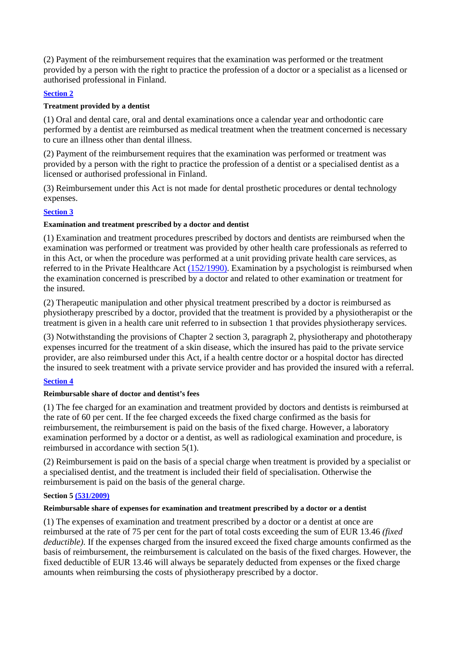(2) Payment of the reimbursement requires that the examination was performed or the treatment provided by a person with the right to practice the profession of a doctor or a specialist as a licensed or authorised professional in Finland.

# **Section 2**

# **Treatment provided by a dentist**

(1) Oral and dental care, oral and dental examinations once a calendar year and orthodontic care performed by a dentist are reimbursed as medical treatment when the treatment concerned is necessary to cure an illness other than dental illness.

(2) Payment of the reimbursement requires that the examination was performed or treatment was provided by a person with the right to practice the profession of a dentist or a specialised dentist as a licensed or authorised professional in Finland.

(3) Reimbursement under this Act is not made for dental prosthetic procedures or dental technology expenses.

# **Section 3**

## **Examination and treatment prescribed by a doctor and dentist**

(1) Examination and treatment procedures prescribed by doctors and dentists are reimbursed when the examination was performed or treatment was provided by other health care professionals as referred to in this Act, or when the procedure was performed at a unit providing private health care services, as referred to in the Private Healthcare Act (152/1990). Examination by a psychologist is reimbursed when the examination concerned is prescribed by a doctor and related to other examination or treatment for the insured.

(2) Therapeutic manipulation and other physical treatment prescribed by a doctor is reimbursed as physiotherapy prescribed by a doctor, provided that the treatment is provided by a physiotherapist or the treatment is given in a health care unit referred to in subsection 1 that provides physiotherapy services.

(3) Notwithstanding the provisions of Chapter 2 section 3, paragraph 2, physiotherapy and phototherapy expenses incurred for the treatment of a skin disease, which the insured has paid to the private service provider, are also reimbursed under this Act, if a health centre doctor or a hospital doctor has directed the insured to seek treatment with a private service provider and has provided the insured with a referral.

# **Section 4**

# **Reimbursable share of doctor and dentist's fees**

(1) The fee charged for an examination and treatment provided by doctors and dentists is reimbursed at the rate of 60 per cent. If the fee charged exceeds the fixed charge confirmed as the basis for reimbursement, the reimbursement is paid on the basis of the fixed charge. However, a laboratory examination performed by a doctor or a dentist, as well as radiological examination and procedure, is reimbursed in accordance with section 5(1).

(2) Reimbursement is paid on the basis of a special charge when treatment is provided by a specialist or a specialised dentist, and the treatment is included their field of specialisation. Otherwise the reimbursement is paid on the basis of the general charge.

## **Section 5 (531/2009)**

## **Reimbursable share of expenses for examination and treatment prescribed by a doctor or a dentist**

(1) The expenses of examination and treatment prescribed by a doctor or a dentist at once are reimbursed at the rate of 75 per cent for the part of total costs exceeding the sum of EUR 13.46 *(fixed deductible).* If the expenses charged from the insured exceed the fixed charge amounts confirmed as the basis of reimbursement, the reimbursement is calculated on the basis of the fixed charges. However, the fixed deductible of EUR 13.46 will always be separately deducted from expenses or the fixed charge amounts when reimbursing the costs of physiotherapy prescribed by a doctor.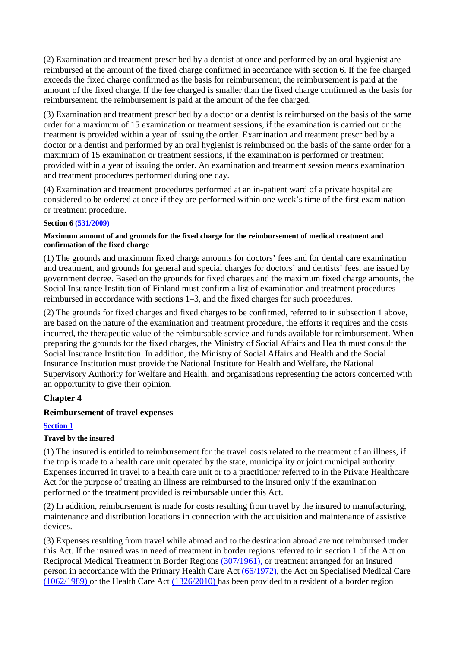(2) Examination and treatment prescribed by a dentist at once and performed by an oral hygienist are reimbursed at the amount of the fixed charge confirmed in accordance with section 6. If the fee charged exceeds the fixed charge confirmed as the basis for reimbursement, the reimbursement is paid at the amount of the fixed charge. If the fee charged is smaller than the fixed charge confirmed as the basis for reimbursement, the reimbursement is paid at the amount of the fee charged.

(3) Examination and treatment prescribed by a doctor or a dentist is reimbursed on the basis of the same order for a maximum of 15 examination or treatment sessions, if the examination is carried out or the treatment is provided within a year of issuing the order. Examination and treatment prescribed by a doctor or a dentist and performed by an oral hygienist is reimbursed on the basis of the same order for a maximum of 15 examination or treatment sessions, if the examination is performed or treatment provided within a year of issuing the order. An examination and treatment session means examination and treatment procedures performed during one day.

(4) Examination and treatment procedures performed at an in-patient ward of a private hospital are considered to be ordered at once if they are performed within one week's time of the first examination or treatment procedure.

## **Section 6 (531/2009)**

## **Maximum amount of and grounds for the fixed charge for the reimbursement of medical treatment and confirmation of the fixed charge**

(1) The grounds and maximum fixed charge amounts for doctors' fees and for dental care examination and treatment, and grounds for general and special charges for doctors' and dentists' fees, are issued by government decree. Based on the grounds for fixed charges and the maximum fixed charge amounts, the Social Insurance Institution of Finland must confirm a list of examination and treatment procedures reimbursed in accordance with sections 1–3, and the fixed charges for such procedures.

(2) The grounds for fixed charges and fixed charges to be confirmed, referred to in subsection 1 above, are based on the nature of the examination and treatment procedure, the efforts it requires and the costs incurred, the therapeutic value of the reimbursable service and funds available for reimbursement. When preparing the grounds for the fixed charges, the Ministry of Social Affairs and Health must consult the Social Insurance Institution. In addition, the Ministry of Social Affairs and Health and the Social Insurance Institution must provide the National Institute for Health and Welfare, the National Supervisory Authority for Welfare and Health, and organisations representing the actors concerned with an opportunity to give their opinion.

# **Chapter 4**

# **Reimbursement of travel expenses**

# **Section 1**

# **Travel by the insured**

(1) The insured is entitled to reimbursement for the travel costs related to the treatment of an illness, if the trip is made to a health care unit operated by the state, municipality or joint municipal authority. Expenses incurred in travel to a health care unit or to a practitioner referred to in the Private Healthcare Act for the purpose of treating an illness are reimbursed to the insured only if the examination performed or the treatment provided is reimbursable under this Act.

(2) In addition, reimbursement is made for costs resulting from travel by the insured to manufacturing, maintenance and distribution locations in connection with the acquisition and maintenance of assistive devices.

(3) Expenses resulting from travel while abroad and to the destination abroad are not reimbursed under this Act. If the insured was in need of treatment in border regions referred to in section 1 of the Act on Reciprocal Medical Treatment in Border Regions (307/1961), or treatment arranged for an insured person in accordance with the Primary Health Care Act (66/1972), the Act on Specialised Medical Care (1062/1989) or the Health Care Act (1326/2010) has been provided to a resident of a border region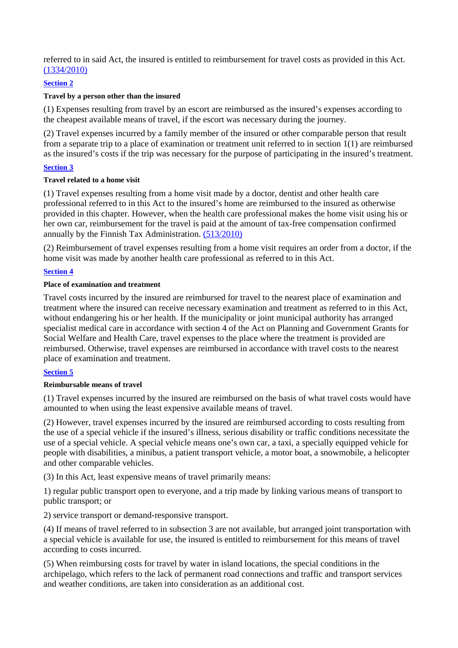referred to in said Act, the insured is entitled to reimbursement for travel costs as provided in this Act. (1334/2010)

## **Section 2**

## **Travel by a person other than the insured**

(1) Expenses resulting from travel by an escort are reimbursed as the insured's expenses according to the cheapest available means of travel, if the escort was necessary during the journey.

(2) Travel expenses incurred by a family member of the insured or other comparable person that result from a separate trip to a place of examination or treatment unit referred to in section 1(1) are reimbursed as the insured's costs if the trip was necessary for the purpose of participating in the insured's treatment.

# **Section 3**

## **Travel related to a home visit**

(1) Travel expenses resulting from a home visit made by a doctor, dentist and other health care professional referred to in this Act to the insured's home are reimbursed to the insured as otherwise provided in this chapter. However, when the health care professional makes the home visit using his or her own car, reimbursement for the travel is paid at the amount of tax-free compensation confirmed annually by the Finnish Tax Administration. (513/2010)

(2) Reimbursement of travel expenses resulting from a home visit requires an order from a doctor, if the home visit was made by another health care professional as referred to in this Act.

# **Section 4**

# **Place of examination and treatment**

Travel costs incurred by the insured are reimbursed for travel to the nearest place of examination and treatment where the insured can receive necessary examination and treatment as referred to in this Act, without endangering his or her health. If the municipality or joint municipal authority has arranged specialist medical care in accordance with section 4 of the Act on Planning and Government Grants for Social Welfare and Health Care, travel expenses to the place where the treatment is provided are reimbursed. Otherwise, travel expenses are reimbursed in accordance with travel costs to the nearest place of examination and treatment.

# **Section 5**

## **Reimbursable means of travel**

(1) Travel expenses incurred by the insured are reimbursed on the basis of what travel costs would have amounted to when using the least expensive available means of travel.

(2) However, travel expenses incurred by the insured are reimbursed according to costs resulting from the use of a special vehicle if the insured's illness, serious disability or traffic conditions necessitate the use of a special vehicle. A special vehicle means one's own car, a taxi, a specially equipped vehicle for people with disabilities, a minibus, a patient transport vehicle, a motor boat, a snowmobile, a helicopter and other comparable vehicles.

(3) In this Act, least expensive means of travel primarily means:

1) regular public transport open to everyone, and a trip made by linking various means of transport to public transport; or

2) service transport or demand-responsive transport.

(4) If means of travel referred to in subsection 3 are not available, but arranged joint transportation with a special vehicle is available for use, the insured is entitled to reimbursement for this means of travel according to costs incurred.

(5) When reimbursing costs for travel by water in island locations, the special conditions in the archipelago, which refers to the lack of permanent road connections and traffic and transport services and weather conditions, are taken into consideration as an additional cost.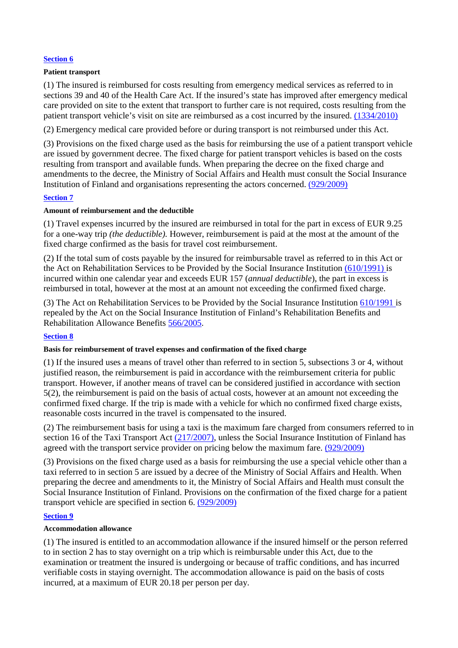## **Section 6**

### **Patient transport**

(1) The insured is reimbursed for costs resulting from emergency medical services as referred to in sections 39 and 40 of the Health Care Act. If the insured's state has improved after emergency medical care provided on site to the extent that transport to further care is not required, costs resulting from the patient transport vehicle's visit on site are reimbursed as a cost incurred by the insured. (1334/2010)

(2) Emergency medical care provided before or during transport is not reimbursed under this Act.

(3) Provisions on the fixed charge used as the basis for reimbursing the use of a patient transport vehicle are issued by government decree. The fixed charge for patient transport vehicles is based on the costs resulting from transport and available funds. When preparing the decree on the fixed charge and amendments to the decree, the Ministry of Social Affairs and Health must consult the Social Insurance Institution of Finland and organisations representing the actors concerned. (929/2009)

## **Section 7**

## **Amount of reimbursement and the deductible**

(1) Travel expenses incurred by the insured are reimbursed in total for the part in excess of EUR 9.25 for a one-way trip *(the deductible).* However, reimbursement is paid at the most at the amount of the fixed charge confirmed as the basis for travel cost reimbursement.

(2) If the total sum of costs payable by the insured for reimbursable travel as referred to in this Act or the Act on Rehabilitation Services to be Provided by the Social Insurance Institution (610/1991) is incurred within one calendar year and exceeds EUR 157 (*annual deductible*), the part in excess is reimbursed in total, however at the most at an amount not exceeding the confirmed fixed charge.

(3) The Act on Rehabilitation Services to be Provided by the Social Insurance Institution 610/1991 is repealed by the Act on the Social Insurance Institution of Finland's Rehabilitation Benefits and Rehabilitation Allowance Benefits 566/2005.

## **Section 8**

## **Basis for reimbursement of travel expenses and confirmation of the fixed charge**

(1) If the insured uses a means of travel other than referred to in section 5, subsections 3 or 4, without justified reason, the reimbursement is paid in accordance with the reimbursement criteria for public transport. However, if another means of travel can be considered justified in accordance with section 5(2), the reimbursement is paid on the basis of actual costs, however at an amount not exceeding the confirmed fixed charge. If the trip is made with a vehicle for which no confirmed fixed charge exists, reasonable costs incurred in the travel is compensated to the insured.

(2) The reimbursement basis for using a taxi is the maximum fare charged from consumers referred to in section 16 of the Taxi Transport Act (217/2007), unless the Social Insurance Institution of Finland has agreed with the transport service provider on pricing below the maximum fare. (929/2009)

(3) Provisions on the fixed charge used as a basis for reimbursing the use a special vehicle other than a taxi referred to in section 5 are issued by a decree of the Ministry of Social Affairs and Health. When preparing the decree and amendments to it, the Ministry of Social Affairs and Health must consult the Social Insurance Institution of Finland. Provisions on the confirmation of the fixed charge for a patient transport vehicle are specified in section 6. (929/2009)

## **Section 9**

## **Accommodation allowance**

(1) The insured is entitled to an accommodation allowance if the insured himself or the person referred to in section 2 has to stay overnight on a trip which is reimbursable under this Act, due to the examination or treatment the insured is undergoing or because of traffic conditions, and has incurred verifiable costs in staying overnight. The accommodation allowance is paid on the basis of costs incurred, at a maximum of EUR 20.18 per person per day.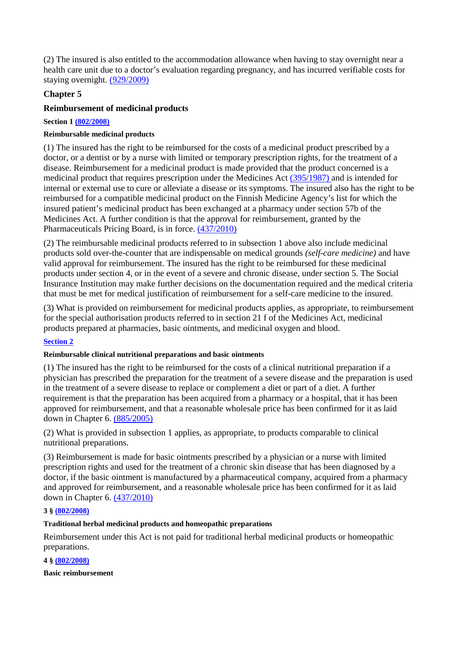(2) The insured is also entitled to the accommodation allowance when having to stay overnight near a health care unit due to a doctor's evaluation regarding pregnancy, and has incurred verifiable costs for staying overnight. (929/2009)

# **Chapter 5**

# **Reimbursement of medicinal products**

**Section 1 (802/2008)** 

## **Reimbursable medicinal products**

(1) The insured has the right to be reimbursed for the costs of a medicinal product prescribed by a doctor, or a dentist or by a nurse with limited or temporary prescription rights, for the treatment of a disease. Reimbursement for a medicinal product is made provided that the product concerned is a medicinal product that requires prescription under the Medicines Act (395/1987) and is intended for internal or external use to cure or alleviate a disease or its symptoms. The insured also has the right to be reimbursed for a compatible medicinal product on the Finnish Medicine Agency's list for which the insured patient's medicinal product has been exchanged at a pharmacy under section 57b of the Medicines Act. A further condition is that the approval for reimbursement, granted by the Pharmaceuticals Pricing Board, is in force. (437/2010)

(2) The reimbursable medicinal products referred to in subsection 1 above also include medicinal products sold over-the-counter that are indispensable on medical grounds *(self-care medicine)* and have valid approval for reimbursement. The insured has the right to be reimbursed for these medicinal products under section 4, or in the event of a severe and chronic disease, under section 5. The Social Insurance Institution may make further decisions on the documentation required and the medical criteria that must be met for medical justification of reimbursement for a self-care medicine to the insured.

(3) What is provided on reimbursement for medicinal products applies, as appropriate, to reimbursement for the special authorisation products referred to in section 21 f of the Medicines Act, medicinal products prepared at pharmacies, basic ointments, and medicinal oxygen and blood.

# **Section 2**

# **Reimbursable clinical nutritional preparations and basic ointments**

(1) The insured has the right to be reimbursed for the costs of a clinical nutritional preparation if a physician has prescribed the preparation for the treatment of a severe disease and the preparation is used in the treatment of a severe disease to replace or complement a diet or part of a diet. A further requirement is that the preparation has been acquired from a pharmacy or a hospital, that it has been approved for reimbursement, and that a reasonable wholesale price has been confirmed for it as laid down in Chapter 6. (885/2005)

(2) What is provided in subsection 1 applies, as appropriate, to products comparable to clinical nutritional preparations.

(3) Reimbursement is made for basic ointments prescribed by a physician or a nurse with limited prescription rights and used for the treatment of a chronic skin disease that has been diagnosed by a doctor, if the basic ointment is manufactured by a pharmaceutical company, acquired from a pharmacy and approved for reimbursement, and a reasonable wholesale price has been confirmed for it as laid down in Chapter 6. (437/2010)

# **3 § (802/2008)**

## **Traditional herbal medicinal products and homeopathic preparations**

Reimbursement under this Act is not paid for traditional herbal medicinal products or homeopathic preparations.

**4 § (802/2008)** 

**Basic reimbursement**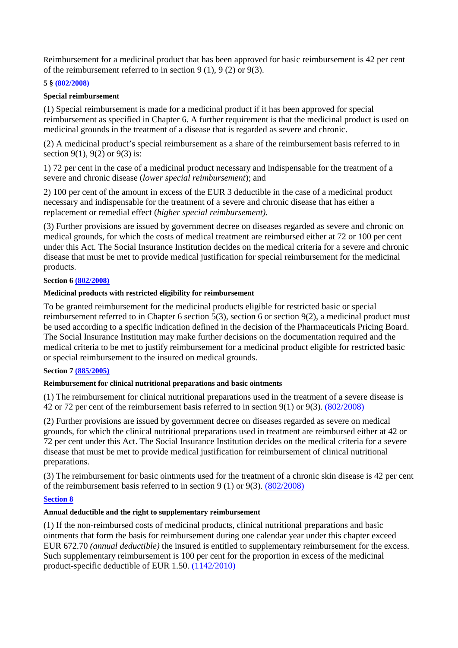Reimbursement for a medicinal product that has been approved for basic reimbursement is 42 per cent of the reimbursement referred to in section 9 (1), 9 (2) or 9(3).

## **5 § (802/2008)**

## **Special reimbursement**

(1) Special reimbursement is made for a medicinal product if it has been approved for special reimbursement as specified in Chapter 6. A further requirement is that the medicinal product is used on medicinal grounds in the treatment of a disease that is regarded as severe and chronic.

(2) A medicinal product's special reimbursement as a share of the reimbursement basis referred to in section 9(1), 9(2) or 9(3) is:

1) 72 per cent in the case of a medicinal product necessary and indispensable for the treatment of a severe and chronic disease (*lower special reimbursement*); and

2) 100 per cent of the amount in excess of the EUR 3 deductible in the case of a medicinal product necessary and indispensable for the treatment of a severe and chronic disease that has either a replacement or remedial effect (*higher special reimbursement).* 

(3) Further provisions are issued by government decree on diseases regarded as severe and chronic on medical grounds, for which the costs of medical treatment are reimbursed either at 72 or 100 per cent under this Act. The Social Insurance Institution decides on the medical criteria for a severe and chronic disease that must be met to provide medical justification for special reimbursement for the medicinal products.

# **Section 6 (802/2008)**

## **Medicinal products with restricted eligibility for reimbursement**

To be granted reimbursement for the medicinal products eligible for restricted basic or special reimbursement referred to in Chapter 6 section  $\overline{5(3)}$ , section 6 or section 9(2), a medicinal product must be used according to a specific indication defined in the decision of the Pharmaceuticals Pricing Board. The Social Insurance Institution may make further decisions on the documentation required and the medical criteria to be met to justify reimbursement for a medicinal product eligible for restricted basic or special reimbursement to the insured on medical grounds.

## **Section 7 (885/2005)**

# **Reimbursement for clinical nutritional preparations and basic ointments**

(1) The reimbursement for clinical nutritional preparations used in the treatment of a severe disease is 42 or 72 per cent of the reimbursement basis referred to in section 9(1) or 9(3). (802/2008)

(2) Further provisions are issued by government decree on diseases regarded as severe on medical grounds, for which the clinical nutritional preparations used in treatment are reimbursed either at 42 or 72 per cent under this Act. The Social Insurance Institution decides on the medical criteria for a severe disease that must be met to provide medical justification for reimbursement of clinical nutritional preparations.

(3) The reimbursement for basic ointments used for the treatment of a chronic skin disease is 42 per cent of the reimbursement basis referred to in section 9 (1) or 9(3). (802/2008)

# **Section 8**

# **Annual deductible and the right to supplementary reimbursement**

(1) If the non-reimbursed costs of medicinal products, clinical nutritional preparations and basic ointments that form the basis for reimbursement during one calendar year under this chapter exceed EUR 672.70 *(annual deductible)* the insured is entitled to supplementary reimbursement for the excess. Such supplementary reimbursement is 100 per cent for the proportion in excess of the medicinal product-specific deductible of EUR 1.50. (1142/2010)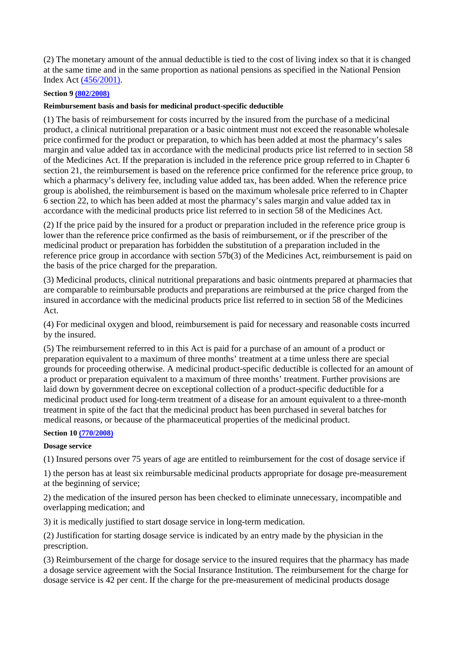(2) The monetary amount of the annual deductible is tied to the cost of living index so that it is changed at the same time and in the same proportion as national pensions as specified in the National Pension Index Act (456/2001).

# **Section 9 (802/2008)**

## **Reimbursement basis and basis for medicinal product-specific deductible**

(1) The basis of reimbursement for costs incurred by the insured from the purchase of a medicinal product, a clinical nutritional preparation or a basic ointment must not exceed the reasonable wholesale price confirmed for the product or preparation, to which has been added at most the pharmacy's sales margin and value added tax in accordance with the medicinal products price list referred to in section 58 of the Medicines Act. If the preparation is included in the reference price group referred to in Chapter 6 section 21, the reimbursement is based on the reference price confirmed for the reference price group, to which a pharmacy's delivery fee, including value added tax, has been added. When the reference price group is abolished, the reimbursement is based on the maximum wholesale price referred to in Chapter 6 section 22, to which has been added at most the pharmacy's sales margin and value added tax in accordance with the medicinal products price list referred to in section 58 of the Medicines Act.

(2) If the price paid by the insured for a product or preparation included in the reference price group is lower than the reference price confirmed as the basis of reimbursement, or if the prescriber of the medicinal product or preparation has forbidden the substitution of a preparation included in the reference price group in accordance with section 57b(3) of the Medicines Act, reimbursement is paid on the basis of the price charged for the preparation.

(3) Medicinal products, clinical nutritional preparations and basic ointments prepared at pharmacies that are comparable to reimbursable products and preparations are reimbursed at the price charged from the insured in accordance with the medicinal products price list referred to in section 58 of the Medicines Act.

(4) For medicinal oxygen and blood, reimbursement is paid for necessary and reasonable costs incurred by the insured.

(5) The reimbursement referred to in this Act is paid for a purchase of an amount of a product or preparation equivalent to a maximum of three months' treatment at a time unless there are special grounds for proceeding otherwise. A medicinal product-specific deductible is collected for an amount of a product or preparation equivalent to a maximum of three months' treatment. Further provisions are laid down by government decree on exceptional collection of a product-specific deductible for a medicinal product used for long-term treatment of a disease for an amount equivalent to a three-month treatment in spite of the fact that the medicinal product has been purchased in several batches for medical reasons, or because of the pharmaceutical properties of the medicinal product.

## **Section 10 (770/2008)**

## **Dosage service**

(1) Insured persons over 75 years of age are entitled to reimbursement for the cost of dosage service if

1) the person has at least six reimbursable medicinal products appropriate for dosage pre-measurement at the beginning of service;

2) the medication of the insured person has been checked to eliminate unnecessary, incompatible and overlapping medication; and

3) it is medically justified to start dosage service in long-term medication.

(2) Justification for starting dosage service is indicated by an entry made by the physician in the prescription.

(3) Reimbursement of the charge for dosage service to the insured requires that the pharmacy has made a dosage service agreement with the Social Insurance Institution. The reimbursement for the charge for dosage service is 42 per cent. If the charge for the pre-measurement of medicinal products dosage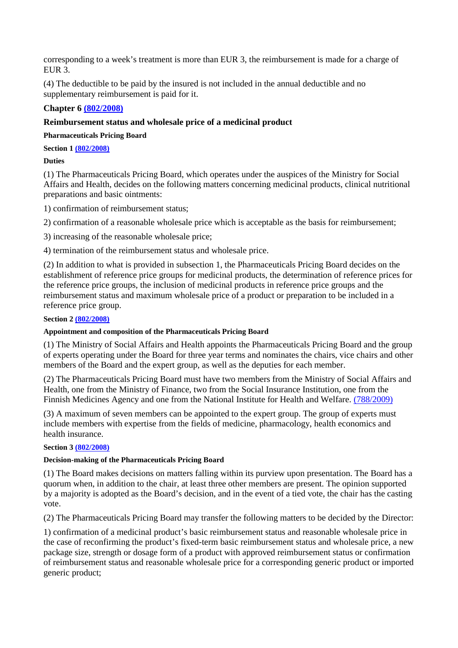corresponding to a week's treatment is more than EUR 3, the reimbursement is made for a charge of EUR 3.

(4) The deductible to be paid by the insured is not included in the annual deductible and no supplementary reimbursement is paid for it.

# **Chapter 6 (802/2008)**

# **Reimbursement status and wholesale price of a medicinal product**

**Pharmaceuticals Pricing Board** 

**Section 1 (802/2008)** 

**Duties** 

(1) The Pharmaceuticals Pricing Board, which operates under the auspices of the Ministry for Social Affairs and Health, decides on the following matters concerning medicinal products, clinical nutritional preparations and basic ointments:

1) confirmation of reimbursement status;

2) confirmation of a reasonable wholesale price which is acceptable as the basis for reimbursement;

3) increasing of the reasonable wholesale price;

4) termination of the reimbursement status and wholesale price.

(2) In addition to what is provided in subsection 1, the Pharmaceuticals Pricing Board decides on the establishment of reference price groups for medicinal products, the determination of reference prices for the reference price groups, the inclusion of medicinal products in reference price groups and the reimbursement status and maximum wholesale price of a product or preparation to be included in a reference price group.

## **Section 2 (802/2008)**

## **Appointment and composition of the Pharmaceuticals Pricing Board**

(1) The Ministry of Social Affairs and Health appoints the Pharmaceuticals Pricing Board and the group of experts operating under the Board for three year terms and nominates the chairs, vice chairs and other members of the Board and the expert group, as well as the deputies for each member.

(2) The Pharmaceuticals Pricing Board must have two members from the Ministry of Social Affairs and Health, one from the Ministry of Finance, two from the Social Insurance Institution, one from the Finnish Medicines Agency and one from the National Institute for Health and Welfare. (788/2009)

(3) A maximum of seven members can be appointed to the expert group. The group of experts must include members with expertise from the fields of medicine, pharmacology, health economics and health insurance.

## **Section 3 (802/2008)**

# **Decision-making of the Pharmaceuticals Pricing Board**

(1) The Board makes decisions on matters falling within its purview upon presentation. The Board has a quorum when, in addition to the chair, at least three other members are present. The opinion supported by a majority is adopted as the Board's decision, and in the event of a tied vote, the chair has the casting vote.

(2) The Pharmaceuticals Pricing Board may transfer the following matters to be decided by the Director:

1) confirmation of a medicinal product's basic reimbursement status and reasonable wholesale price in the case of reconfirming the product's fixed-term basic reimbursement status and wholesale price, a new package size, strength or dosage form of a product with approved reimbursement status or confirmation of reimbursement status and reasonable wholesale price for a corresponding generic product or imported generic product;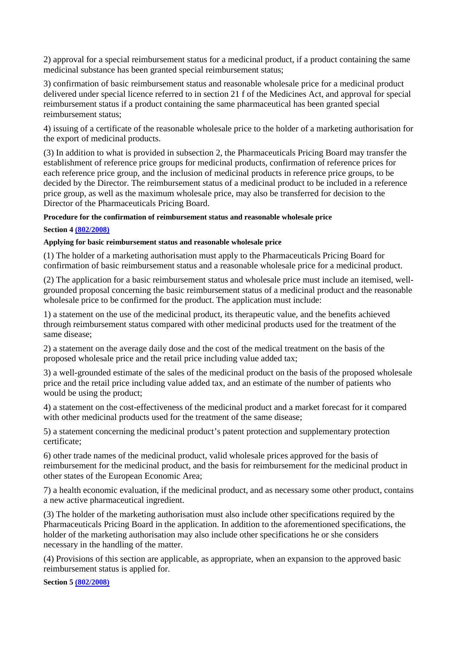2) approval for a special reimbursement status for a medicinal product, if a product containing the same medicinal substance has been granted special reimbursement status;

3) confirmation of basic reimbursement status and reasonable wholesale price for a medicinal product delivered under special licence referred to in section 21 f of the Medicines Act, and approval for special reimbursement status if a product containing the same pharmaceutical has been granted special reimbursement status;

4) issuing of a certificate of the reasonable wholesale price to the holder of a marketing authorisation for the export of medicinal products.

(3) In addition to what is provided in subsection 2, the Pharmaceuticals Pricing Board may transfer the establishment of reference price groups for medicinal products, confirmation of reference prices for each reference price group, and the inclusion of medicinal products in reference price groups, to be decided by the Director. The reimbursement status of a medicinal product to be included in a reference price group, as well as the maximum wholesale price, may also be transferred for decision to the Director of the Pharmaceuticals Pricing Board.

## **Procedure for the confirmation of reimbursement status and reasonable wholesale price**

## **Section 4 (802/2008)**

## **Applying for basic reimbursement status and reasonable wholesale price**

(1) The holder of a marketing authorisation must apply to the Pharmaceuticals Pricing Board for confirmation of basic reimbursement status and a reasonable wholesale price for a medicinal product.

(2) The application for a basic reimbursement status and wholesale price must include an itemised, wellgrounded proposal concerning the basic reimbursement status of a medicinal product and the reasonable wholesale price to be confirmed for the product. The application must include:

1) a statement on the use of the medicinal product, its therapeutic value, and the benefits achieved through reimbursement status compared with other medicinal products used for the treatment of the same disease;

2) a statement on the average daily dose and the cost of the medical treatment on the basis of the proposed wholesale price and the retail price including value added tax;

3) a well-grounded estimate of the sales of the medicinal product on the basis of the proposed wholesale price and the retail price including value added tax, and an estimate of the number of patients who would be using the product;

4) a statement on the cost-effectiveness of the medicinal product and a market forecast for it compared with other medicinal products used for the treatment of the same disease;

5) a statement concerning the medicinal product's patent protection and supplementary protection certificate;

6) other trade names of the medicinal product, valid wholesale prices approved for the basis of reimbursement for the medicinal product, and the basis for reimbursement for the medicinal product in other states of the European Economic Area;

7) a health economic evaluation, if the medicinal product, and as necessary some other product, contains a new active pharmaceutical ingredient.

(3) The holder of the marketing authorisation must also include other specifications required by the Pharmaceuticals Pricing Board in the application. In addition to the aforementioned specifications, the holder of the marketing authorisation may also include other specifications he or she considers necessary in the handling of the matter.

(4) Provisions of this section are applicable, as appropriate, when an expansion to the approved basic reimbursement status is applied for.

**Section 5 (802/2008)**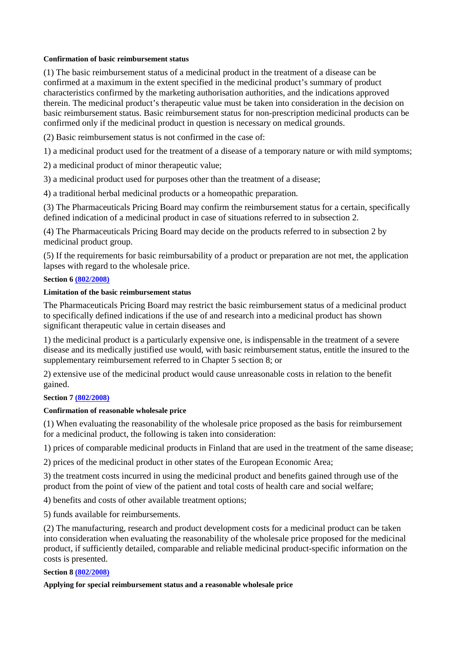## **Confirmation of basic reimbursement status**

(1) The basic reimbursement status of a medicinal product in the treatment of a disease can be confirmed at a maximum in the extent specified in the medicinal product's summary of product characteristics confirmed by the marketing authorisation authorities, and the indications approved therein. The medicinal product's therapeutic value must be taken into consideration in the decision on basic reimbursement status. Basic reimbursement status for non-prescription medicinal products can be confirmed only if the medicinal product in question is necessary on medical grounds.

(2) Basic reimbursement status is not confirmed in the case of:

1) a medicinal product used for the treatment of a disease of a temporary nature or with mild symptoms;

2) a medicinal product of minor therapeutic value;

3) a medicinal product used for purposes other than the treatment of a disease;

4) a traditional herbal medicinal products or a homeopathic preparation.

(3) The Pharmaceuticals Pricing Board may confirm the reimbursement status for a certain, specifically defined indication of a medicinal product in case of situations referred to in subsection 2.

(4) The Pharmaceuticals Pricing Board may decide on the products referred to in subsection 2 by medicinal product group.

(5) If the requirements for basic reimbursability of a product or preparation are not met, the application lapses with regard to the wholesale price.

#### **Section 6 (802/2008)**

## **Limitation of the basic reimbursement status**

The Pharmaceuticals Pricing Board may restrict the basic reimbursement status of a medicinal product to specifically defined indications if the use of and research into a medicinal product has shown significant therapeutic value in certain diseases and

1) the medicinal product is a particularly expensive one, is indispensable in the treatment of a severe disease and its medically justified use would, with basic reimbursement status, entitle the insured to the supplementary reimbursement referred to in Chapter 5 section 8; or

2) extensive use of the medicinal product would cause unreasonable costs in relation to the benefit gained.

## **Section 7 (802/2008)**

## **Confirmation of reasonable wholesale price**

(1) When evaluating the reasonability of the wholesale price proposed as the basis for reimbursement for a medicinal product, the following is taken into consideration:

1) prices of comparable medicinal products in Finland that are used in the treatment of the same disease;

2) prices of the medicinal product in other states of the European Economic Area;

3) the treatment costs incurred in using the medicinal product and benefits gained through use of the product from the point of view of the patient and total costs of health care and social welfare;

4) benefits and costs of other available treatment options;

5) funds available for reimbursements.

(2) The manufacturing, research and product development costs for a medicinal product can be taken into consideration when evaluating the reasonability of the wholesale price proposed for the medicinal product, if sufficiently detailed, comparable and reliable medicinal product-specific information on the costs is presented.

#### **Section 8 (802/2008)**

**Applying for special reimbursement status and a reasonable wholesale price**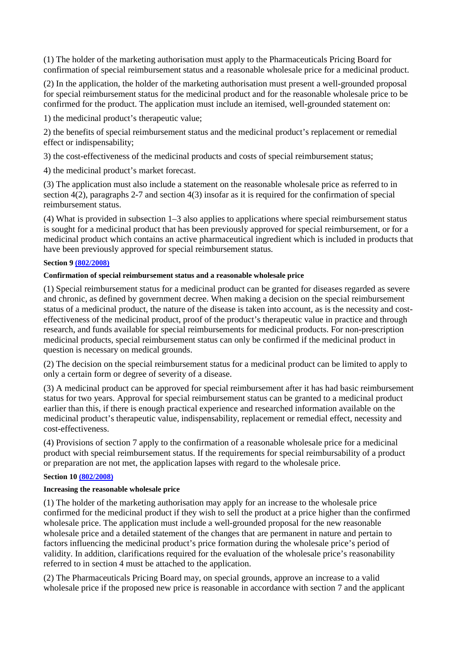(1) The holder of the marketing authorisation must apply to the Pharmaceuticals Pricing Board for confirmation of special reimbursement status and a reasonable wholesale price for a medicinal product.

(2) In the application, the holder of the marketing authorisation must present a well-grounded proposal for special reimbursement status for the medicinal product and for the reasonable wholesale price to be confirmed for the product. The application must include an itemised, well-grounded statement on:

1) the medicinal product's therapeutic value;

2) the benefits of special reimbursement status and the medicinal product's replacement or remedial effect or indispensability;

3) the cost-effectiveness of the medicinal products and costs of special reimbursement status;

4) the medicinal product's market forecast.

(3) The application must also include a statement on the reasonable wholesale price as referred to in section 4(2), paragraphs 2-7 and section 4(3) insofar as it is required for the confirmation of special reimbursement status.

(4) What is provided in subsection 1–3 also applies to applications where special reimbursement status is sought for a medicinal product that has been previously approved for special reimbursement, or for a medicinal product which contains an active pharmaceutical ingredient which is included in products that have been previously approved for special reimbursement status.

## **Section 9 (802/2008)**

## **Confirmation of special reimbursement status and a reasonable wholesale price**

(1) Special reimbursement status for a medicinal product can be granted for diseases regarded as severe and chronic, as defined by government decree. When making a decision on the special reimbursement status of a medicinal product, the nature of the disease is taken into account, as is the necessity and costeffectiveness of the medicinal product, proof of the product's therapeutic value in practice and through research, and funds available for special reimbursements for medicinal products. For non-prescription medicinal products, special reimbursement status can only be confirmed if the medicinal product in question is necessary on medical grounds.

(2) The decision on the special reimbursement status for a medicinal product can be limited to apply to only a certain form or degree of severity of a disease.

(3) A medicinal product can be approved for special reimbursement after it has had basic reimbursement status for two years. Approval for special reimbursement status can be granted to a medicinal product earlier than this, if there is enough practical experience and researched information available on the medicinal product's therapeutic value, indispensability, replacement or remedial effect, necessity and cost-effectiveness.

(4) Provisions of section 7 apply to the confirmation of a reasonable wholesale price for a medicinal product with special reimbursement status. If the requirements for special reimbursability of a product or preparation are not met, the application lapses with regard to the wholesale price.

## **Section 10 (802/2008)**

## **Increasing the reasonable wholesale price**

(1) The holder of the marketing authorisation may apply for an increase to the wholesale price confirmed for the medicinal product if they wish to sell the product at a price higher than the confirmed wholesale price. The application must include a well-grounded proposal for the new reasonable wholesale price and a detailed statement of the changes that are permanent in nature and pertain to factors influencing the medicinal product's price formation during the wholesale price's period of validity. In addition, clarifications required for the evaluation of the wholesale price's reasonability referred to in section 4 must be attached to the application.

(2) The Pharmaceuticals Pricing Board may, on special grounds, approve an increase to a valid wholesale price if the proposed new price is reasonable in accordance with section 7 and the applicant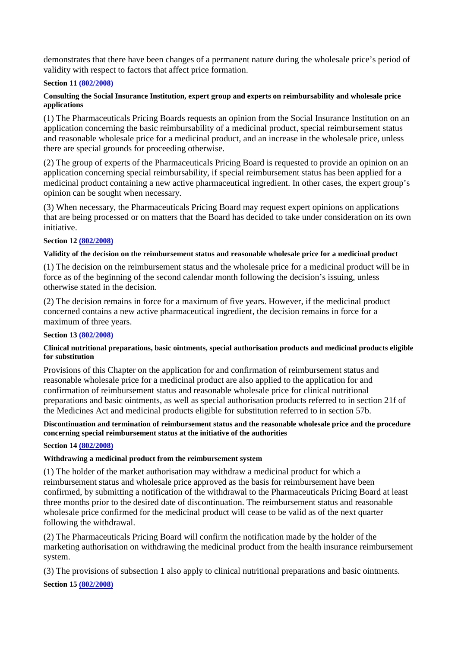demonstrates that there have been changes of a permanent nature during the wholesale price's period of validity with respect to factors that affect price formation.

## **Section 11 (802/2008)**

## **Consulting the Social Insurance Institution, expert group and experts on reimbursability and wholesale price applications**

(1) The Pharmaceuticals Pricing Boards requests an opinion from the Social Insurance Institution on an application concerning the basic reimbursability of a medicinal product, special reimbursement status and reasonable wholesale price for a medicinal product, and an increase in the wholesale price, unless there are special grounds for proceeding otherwise.

(2) The group of experts of the Pharmaceuticals Pricing Board is requested to provide an opinion on an application concerning special reimbursability, if special reimbursement status has been applied for a medicinal product containing a new active pharmaceutical ingredient. In other cases, the expert group's opinion can be sought when necessary.

(3) When necessary, the Pharmaceuticals Pricing Board may request expert opinions on applications that are being processed or on matters that the Board has decided to take under consideration on its own initiative.

## **Section 12 (802/2008)**

#### **Validity of the decision on the reimbursement status and reasonable wholesale price for a medicinal product**

(1) The decision on the reimbursement status and the wholesale price for a medicinal product will be in force as of the beginning of the second calendar month following the decision's issuing, unless otherwise stated in the decision.

(2) The decision remains in force for a maximum of five years. However, if the medicinal product concerned contains a new active pharmaceutical ingredient, the decision remains in force for a maximum of three years.

#### **Section 13 (802/2008)**

## **Clinical nutritional preparations, basic ointments, special authorisation products and medicinal products eligible for substitution**

Provisions of this Chapter on the application for and confirmation of reimbursement status and reasonable wholesale price for a medicinal product are also applied to the application for and confirmation of reimbursement status and reasonable wholesale price for clinical nutritional preparations and basic ointments, as well as special authorisation products referred to in section 21f of the Medicines Act and medicinal products eligible for substitution referred to in section 57b.

## **Discontinuation and termination of reimbursement status and the reasonable wholesale price and the procedure concerning special reimbursement status at the initiative of the authorities**

## **Section 14 (802/2008)**

## **Withdrawing a medicinal product from the reimbursement system**

(1) The holder of the market authorisation may withdraw a medicinal product for which a reimbursement status and wholesale price approved as the basis for reimbursement have been confirmed, by submitting a notification of the withdrawal to the Pharmaceuticals Pricing Board at least three months prior to the desired date of discontinuation. The reimbursement status and reasonable wholesale price confirmed for the medicinal product will cease to be valid as of the next quarter following the withdrawal.

(2) The Pharmaceuticals Pricing Board will confirm the notification made by the holder of the marketing authorisation on withdrawing the medicinal product from the health insurance reimbursement system.

(3) The provisions of subsection 1 also apply to clinical nutritional preparations and basic ointments. **Section 15 (802/2008)**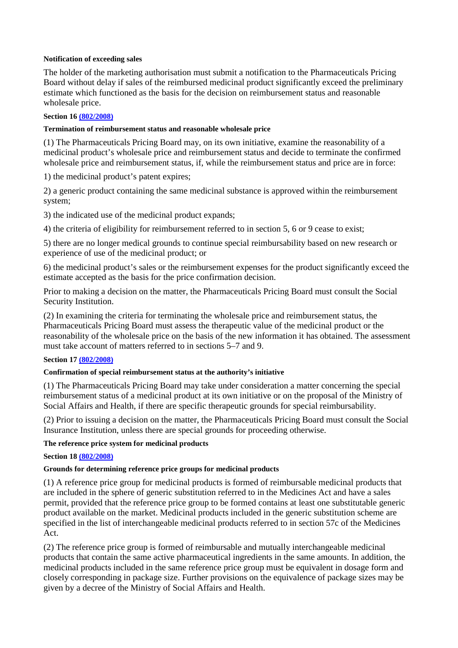## **Notification of exceeding sales**

The holder of the marketing authorisation must submit a notification to the Pharmaceuticals Pricing Board without delay if sales of the reimbursed medicinal product significantly exceed the preliminary estimate which functioned as the basis for the decision on reimbursement status and reasonable wholesale price.

# **Section 16 (802/2008)**

# **Termination of reimbursement status and reasonable wholesale price**

(1) The Pharmaceuticals Pricing Board may, on its own initiative, examine the reasonability of a medicinal product's wholesale price and reimbursement status and decide to terminate the confirmed wholesale price and reimbursement status, if, while the reimbursement status and price are in force:

1) the medicinal product's patent expires;

2) a generic product containing the same medicinal substance is approved within the reimbursement system;

3) the indicated use of the medicinal product expands;

4) the criteria of eligibility for reimbursement referred to in section 5, 6 or 9 cease to exist;

5) there are no longer medical grounds to continue special reimbursability based on new research or experience of use of the medicinal product; or

6) the medicinal product's sales or the reimbursement expenses for the product significantly exceed the estimate accepted as the basis for the price confirmation decision.

Prior to making a decision on the matter, the Pharmaceuticals Pricing Board must consult the Social Security Institution.

(2) In examining the criteria for terminating the wholesale price and reimbursement status, the Pharmaceuticals Pricing Board must assess the therapeutic value of the medicinal product or the reasonability of the wholesale price on the basis of the new information it has obtained. The assessment must take account of matters referred to in sections 5–7 and 9.

## **Section 17 (802/2008)**

# **Confirmation of special reimbursement status at the authority's initiative**

(1) The Pharmaceuticals Pricing Board may take under consideration a matter concerning the special reimbursement status of a medicinal product at its own initiative or on the proposal of the Ministry of Social Affairs and Health, if there are specific therapeutic grounds for special reimbursability.

(2) Prior to issuing a decision on the matter, the Pharmaceuticals Pricing Board must consult the Social Insurance Institution, unless there are special grounds for proceeding otherwise.

# **The reference price system for medicinal products**

# **Section 18 (802/2008)**

# **Grounds for determining reference price groups for medicinal products**

(1) A reference price group for medicinal products is formed of reimbursable medicinal products that are included in the sphere of generic substitution referred to in the Medicines Act and have a sales permit, provided that the reference price group to be formed contains at least one substitutable generic product available on the market. Medicinal products included in the generic substitution scheme are specified in the list of interchangeable medicinal products referred to in section 57c of the Medicines Act.

(2) The reference price group is formed of reimbursable and mutually interchangeable medicinal products that contain the same active pharmaceutical ingredients in the same amounts. In addition, the medicinal products included in the same reference price group must be equivalent in dosage form and closely corresponding in package size. Further provisions on the equivalence of package sizes may be given by a decree of the Ministry of Social Affairs and Health.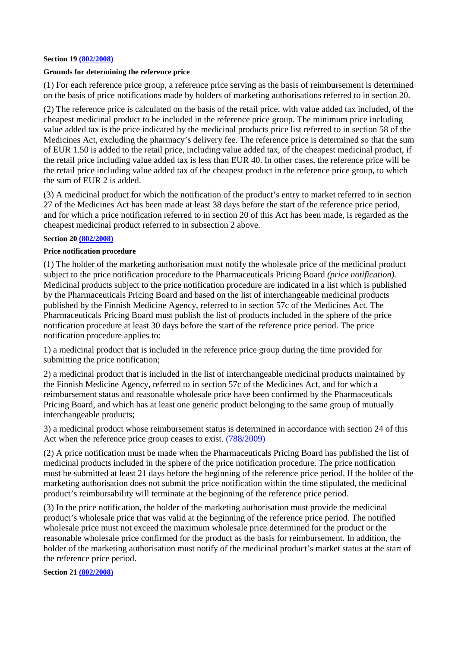#### **Section 19 (802/2008)**

### **Grounds for determining the reference price**

(1) For each reference price group, a reference price serving as the basis of reimbursement is determined on the basis of price notifications made by holders of marketing authorisations referred to in section 20.

(2) The reference price is calculated on the basis of the retail price, with value added tax included, of the cheapest medicinal product to be included in the reference price group. The minimum price including value added tax is the price indicated by the medicinal products price list referred to in section 58 of the Medicines Act, excluding the pharmacy's delivery fee. The reference price is determined so that the sum of EUR 1.50 is added to the retail price, including value added tax, of the cheapest medicinal product, if the retail price including value added tax is less than EUR 40. In other cases, the reference price will be the retail price including value added tax of the cheapest product in the reference price group, to which the sum of EUR 2 is added.

(3) A medicinal product for which the notification of the product's entry to market referred to in section 27 of the Medicines Act has been made at least 38 days before the start of the reference price period, and for which a price notification referred to in section 20 of this Act has been made, is regarded as the cheapest medicinal product referred to in subsection 2 above.

#### **Section 20 (802/2008)**

#### **Price notification procedure**

(1) The holder of the marketing authorisation must notify the wholesale price of the medicinal product subject to the price notification procedure to the Pharmaceuticals Pricing Board *(price notification).*  Medicinal products subject to the price notification procedure are indicated in a list which is published by the Pharmaceuticals Pricing Board and based on the list of interchangeable medicinal products published by the Finnish Medicine Agency, referred to in section 57c of the Medicines Act. The Pharmaceuticals Pricing Board must publish the list of products included in the sphere of the price notification procedure at least 30 days before the start of the reference price period. The price notification procedure applies to:

1) a medicinal product that is included in the reference price group during the time provided for submitting the price notification;

2) a medicinal product that is included in the list of interchangeable medicinal products maintained by the Finnish Medicine Agency, referred to in section 57c of the Medicines Act, and for which a reimbursement status and reasonable wholesale price have been confirmed by the Pharmaceuticals Pricing Board, and which has at least one generic product belonging to the same group of mutually interchangeable products;

3) a medicinal product whose reimbursement status is determined in accordance with section 24 of this Act when the reference price group ceases to exist. (788/2009)

(2) A price notification must be made when the Pharmaceuticals Pricing Board has published the list of medicinal products included in the sphere of the price notification procedure. The price notification must be submitted at least 21 days before the beginning of the reference price period. If the holder of the marketing authorisation does not submit the price notification within the time stipulated, the medicinal product's reimbursability will terminate at the beginning of the reference price period.

(3) In the price notification, the holder of the marketing authorisation must provide the medicinal product's wholesale price that was valid at the beginning of the reference price period. The notified wholesale price must not exceed the maximum wholesale price determined for the product or the reasonable wholesale price confirmed for the product as the basis for reimbursement. In addition, the holder of the marketing authorisation must notify of the medicinal product's market status at the start of the reference price period.

**Section 21 (802/2008)**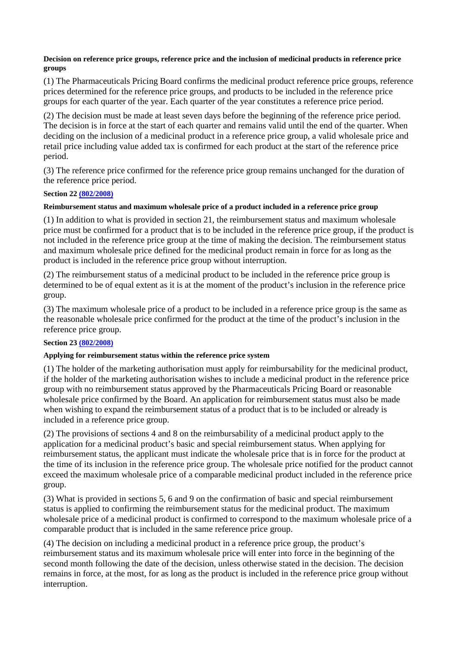## **Decision on reference price groups, reference price and the inclusion of medicinal products in reference price groups**

(1) The Pharmaceuticals Pricing Board confirms the medicinal product reference price groups, reference prices determined for the reference price groups, and products to be included in the reference price groups for each quarter of the year. Each quarter of the year constitutes a reference price period.

(2) The decision must be made at least seven days before the beginning of the reference price period. The decision is in force at the start of each quarter and remains valid until the end of the quarter. When deciding on the inclusion of a medicinal product in a reference price group, a valid wholesale price and retail price including value added tax is confirmed for each product at the start of the reference price period.

(3) The reference price confirmed for the reference price group remains unchanged for the duration of the reference price period.

## **Section 22 (802/2008)**

## **Reimbursement status and maximum wholesale price of a product included in a reference price group**

(1) In addition to what is provided in section 21, the reimbursement status and maximum wholesale price must be confirmed for a product that is to be included in the reference price group, if the product is not included in the reference price group at the time of making the decision. The reimbursement status and maximum wholesale price defined for the medicinal product remain in force for as long as the product is included in the reference price group without interruption.

(2) The reimbursement status of a medicinal product to be included in the reference price group is determined to be of equal extent as it is at the moment of the product's inclusion in the reference price group.

(3) The maximum wholesale price of a product to be included in a reference price group is the same as the reasonable wholesale price confirmed for the product at the time of the product's inclusion in the reference price group.

# **Section 23 (802/2008)**

# **Applying for reimbursement status within the reference price system**

(1) The holder of the marketing authorisation must apply for reimbursability for the medicinal product, if the holder of the marketing authorisation wishes to include a medicinal product in the reference price group with no reimbursement status approved by the Pharmaceuticals Pricing Board or reasonable wholesale price confirmed by the Board. An application for reimbursement status must also be made when wishing to expand the reimbursement status of a product that is to be included or already is included in a reference price group.

(2) The provisions of sections 4 and 8 on the reimbursability of a medicinal product apply to the application for a medicinal product's basic and special reimbursement status. When applying for reimbursement status, the applicant must indicate the wholesale price that is in force for the product at the time of its inclusion in the reference price group. The wholesale price notified for the product cannot exceed the maximum wholesale price of a comparable medicinal product included in the reference price group.

(3) What is provided in sections 5, 6 and 9 on the confirmation of basic and special reimbursement status is applied to confirming the reimbursement status for the medicinal product. The maximum wholesale price of a medicinal product is confirmed to correspond to the maximum wholesale price of a comparable product that is included in the same reference price group.

(4) The decision on including a medicinal product in a reference price group, the product's reimbursement status and its maximum wholesale price will enter into force in the beginning of the second month following the date of the decision, unless otherwise stated in the decision. The decision remains in force, at the most, for as long as the product is included in the reference price group without interruption.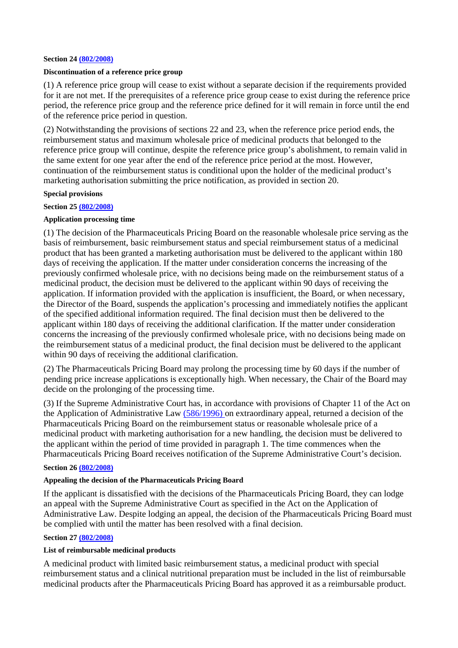#### **Section 24 (802/2008)**

### **Discontinuation of a reference price group**

(1) A reference price group will cease to exist without a separate decision if the requirements provided for it are not met. If the prerequisites of a reference price group cease to exist during the reference price period, the reference price group and the reference price defined for it will remain in force until the end of the reference price period in question.

(2) Notwithstanding the provisions of sections 22 and 23, when the reference price period ends, the reimbursement status and maximum wholesale price of medicinal products that belonged to the reference price group will continue, despite the reference price group's abolishment, to remain valid in the same extent for one year after the end of the reference price period at the most. However, continuation of the reimbursement status is conditional upon the holder of the medicinal product's marketing authorisation submitting the price notification, as provided in section 20.

#### **Special provisions**

# **Section 25 (802/2008)**

## **Application processing time**

(1) The decision of the Pharmaceuticals Pricing Board on the reasonable wholesale price serving as the basis of reimbursement, basic reimbursement status and special reimbursement status of a medicinal product that has been granted a marketing authorisation must be delivered to the applicant within 180 days of receiving the application. If the matter under consideration concerns the increasing of the previously confirmed wholesale price, with no decisions being made on the reimbursement status of a medicinal product, the decision must be delivered to the applicant within 90 days of receiving the application. If information provided with the application is insufficient, the Board, or when necessary, the Director of the Board, suspends the application's processing and immediately notifies the applicant of the specified additional information required. The final decision must then be delivered to the applicant within 180 days of receiving the additional clarification. If the matter under consideration concerns the increasing of the previously confirmed wholesale price, with no decisions being made on the reimbursement status of a medicinal product, the final decision must be delivered to the applicant within 90 days of receiving the additional clarification.

(2) The Pharmaceuticals Pricing Board may prolong the processing time by 60 days if the number of pending price increase applications is exceptionally high. When necessary, the Chair of the Board may decide on the prolonging of the processing time.

(3) If the Supreme Administrative Court has, in accordance with provisions of Chapter 11 of the Act on the Application of Administrative Law (586/1996) on extraordinary appeal, returned a decision of the Pharmaceuticals Pricing Board on the reimbursement status or reasonable wholesale price of a medicinal product with marketing authorisation for a new handling, the decision must be delivered to the applicant within the period of time provided in paragraph 1. The time commences when the Pharmaceuticals Pricing Board receives notification of the Supreme Administrative Court's decision.

### **Section 26 (802/2008)**

## **Appealing the decision of the Pharmaceuticals Pricing Board**

If the applicant is dissatisfied with the decisions of the Pharmaceuticals Pricing Board, they can lodge an appeal with the Supreme Administrative Court as specified in the Act on the Application of Administrative Law. Despite lodging an appeal, the decision of the Pharmaceuticals Pricing Board must be complied with until the matter has been resolved with a final decision.

## **Section 27 (802/2008)**

#### **List of reimbursable medicinal products**

A medicinal product with limited basic reimbursement status, a medicinal product with special reimbursement status and a clinical nutritional preparation must be included in the list of reimbursable medicinal products after the Pharmaceuticals Pricing Board has approved it as a reimbursable product.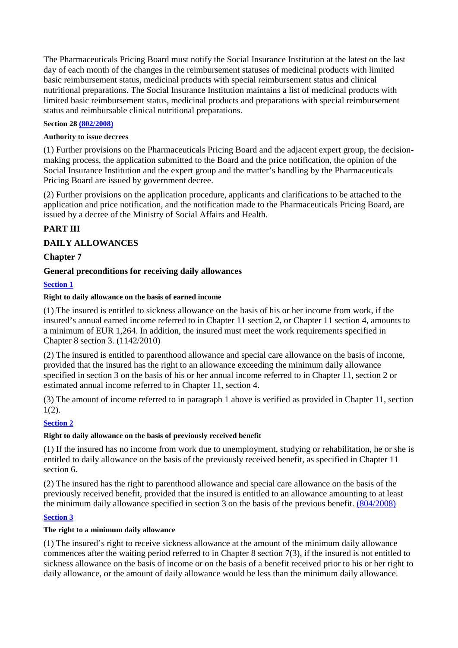The Pharmaceuticals Pricing Board must notify the Social Insurance Institution at the latest on the last day of each month of the changes in the reimbursement statuses of medicinal products with limited basic reimbursement status, medicinal products with special reimbursement status and clinical nutritional preparations. The Social Insurance Institution maintains a list of medicinal products with limited basic reimbursement status, medicinal products and preparations with special reimbursement status and reimbursable clinical nutritional preparations.

## **Section 28 (802/2008)**

## **Authority to issue decrees**

(1) Further provisions on the Pharmaceuticals Pricing Board and the adjacent expert group, the decisionmaking process, the application submitted to the Board and the price notification, the opinion of the Social Insurance Institution and the expert group and the matter's handling by the Pharmaceuticals Pricing Board are issued by government decree.

(2) Further provisions on the application procedure, applicants and clarifications to be attached to the application and price notification, and the notification made to the Pharmaceuticals Pricing Board, are issued by a decree of the Ministry of Social Affairs and Health.

# **PART III**

# **DAILY ALLOWANCES**

# **Chapter 7**

# **General preconditions for receiving daily allowances**

# **Section 1**

# **Right to daily allowance on the basis of earned income**

(1) The insured is entitled to sickness allowance on the basis of his or her income from work, if the insured's annual earned income referred to in Chapter 11 section 2, or Chapter 11 section 4, amounts to a minimum of EUR 1,264. In addition, the insured must meet the work requirements specified in Chapter 8 section 3. (1142/2010)

(2) The insured is entitled to parenthood allowance and special care allowance on the basis of income, provided that the insured has the right to an allowance exceeding the minimum daily allowance specified in section 3 on the basis of his or her annual income referred to in Chapter 11, section 2 or estimated annual income referred to in Chapter 11, section 4.

(3) The amount of income referred to in paragraph 1 above is verified as provided in Chapter 11, section  $1(2)$ .

# **Section 2**

# **Right to daily allowance on the basis of previously received benefit**

(1) If the insured has no income from work due to unemployment, studying or rehabilitation, he or she is entitled to daily allowance on the basis of the previously received benefit, as specified in Chapter 11 section 6.

(2) The insured has the right to parenthood allowance and special care allowance on the basis of the previously received benefit, provided that the insured is entitled to an allowance amounting to at least the minimum daily allowance specified in section 3 on the basis of the previous benefit. (804/2008)

## **Section 3**

## **The right to a minimum daily allowance**

(1) The insured's right to receive sickness allowance at the amount of the minimum daily allowance commences after the waiting period referred to in Chapter 8 section 7(3), if the insured is not entitled to sickness allowance on the basis of income or on the basis of a benefit received prior to his or her right to daily allowance, or the amount of daily allowance would be less than the minimum daily allowance.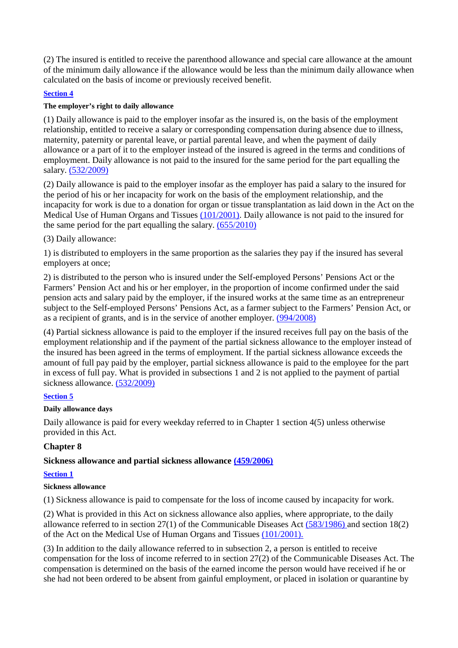(2) The insured is entitled to receive the parenthood allowance and special care allowance at the amount of the minimum daily allowance if the allowance would be less than the minimum daily allowance when calculated on the basis of income or previously received benefit.

# **Section 4**

# **The employer's right to daily allowance**

(1) Daily allowance is paid to the employer insofar as the insured is, on the basis of the employment relationship, entitled to receive a salary or corresponding compensation during absence due to illness, maternity, paternity or parental leave, or partial parental leave, and when the payment of daily allowance or a part of it to the employer instead of the insured is agreed in the terms and conditions of employment. Daily allowance is not paid to the insured for the same period for the part equalling the salary. (532/2009)

(2) Daily allowance is paid to the employer insofar as the employer has paid a salary to the insured for the period of his or her incapacity for work on the basis of the employment relationship, and the incapacity for work is due to a donation for organ or tissue transplantation as laid down in the Act on the Medical Use of Human Organs and Tissues (101/2001). Daily allowance is not paid to the insured for the same period for the part equalling the salary. (655/2010)

# (3) Daily allowance:

1) is distributed to employers in the same proportion as the salaries they pay if the insured has several employers at once;

2) is distributed to the person who is insured under the Self-employed Persons' Pensions Act or the Farmers' Pension Act and his or her employer, in the proportion of income confirmed under the said pension acts and salary paid by the employer, if the insured works at the same time as an entrepreneur subject to the Self-employed Persons' Pensions Act, as a farmer subject to the Farmers' Pension Act, or as a recipient of grants, and is in the service of another employer. (994/2008)

(4) Partial sickness allowance is paid to the employer if the insured receives full pay on the basis of the employment relationship and if the payment of the partial sickness allowance to the employer instead of the insured has been agreed in the terms of employment. If the partial sickness allowance exceeds the amount of full pay paid by the employer, partial sickness allowance is paid to the employee for the part in excess of full pay. What is provided in subsections 1 and 2 is not applied to the payment of partial sickness allowance. (532/2009)

# **Section 5**

# **Daily allowance days**

Daily allowance is paid for every weekday referred to in Chapter 1 section 4(5) unless otherwise provided in this Act.

# **Chapter 8**

# **Sickness allowance and partial sickness allowance (459/2006)**

# **Section 1**

# **Sickness allowance**

(1) Sickness allowance is paid to compensate for the loss of income caused by incapacity for work.

(2) What is provided in this Act on sickness allowance also applies, where appropriate, to the daily allowance referred to in section 27(1) of the Communicable Diseases Act (583/1986) and section 18(2) of the Act on the Medical Use of Human Organs and Tissues (101/2001).

(3) In addition to the daily allowance referred to in subsection 2, a person is entitled to receive compensation for the loss of income referred to in section 27(2) of the Communicable Diseases Act. The compensation is determined on the basis of the earned income the person would have received if he or she had not been ordered to be absent from gainful employment, or placed in isolation or quarantine by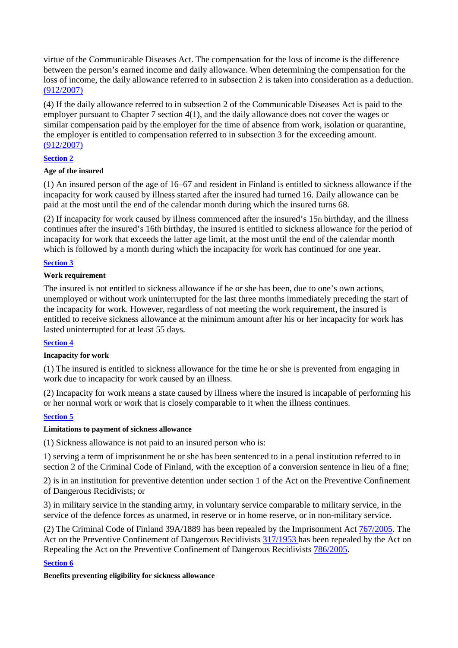virtue of the Communicable Diseases Act. The compensation for the loss of income is the difference between the person's earned income and daily allowance. When determining the compensation for the loss of income, the daily allowance referred to in subsection 2 is taken into consideration as a deduction. (912/2007)

(4) If the daily allowance referred to in subsection 2 of the Communicable Diseases Act is paid to the employer pursuant to Chapter 7 section 4(1), and the daily allowance does not cover the wages or similar compensation paid by the employer for the time of absence from work, isolation or quarantine, the employer is entitled to compensation referred to in subsection 3 for the exceeding amount. (912/2007)

# **Section 2**

## **Age of the insured**

(1) An insured person of the age of 16–67 and resident in Finland is entitled to sickness allowance if the incapacity for work caused by illness started after the insured had turned 16. Daily allowance can be paid at the most until the end of the calendar month during which the insured turns 68.

(2) If incapacity for work caused by illness commenced after the insured's  $15<sub>th</sub>$  birthday, and the illness continues after the insured's 16th birthday, the insured is entitled to sickness allowance for the period of incapacity for work that exceeds the latter age limit, at the most until the end of the calendar month which is followed by a month during which the incapacity for work has continued for one year.

## **Section 3**

## **Work requirement**

The insured is not entitled to sickness allowance if he or she has been, due to one's own actions, unemployed or without work uninterrupted for the last three months immediately preceding the start of the incapacity for work. However, regardless of not meeting the work requirement, the insured is entitled to receive sickness allowance at the minimum amount after his or her incapacity for work has lasted uninterrupted for at least 55 days.

## **Section 4**

## **Incapacity for work**

(1) The insured is entitled to sickness allowance for the time he or she is prevented from engaging in work due to incapacity for work caused by an illness.

(2) Incapacity for work means a state caused by illness where the insured is incapable of performing his or her normal work or work that is closely comparable to it when the illness continues.

# **Section 5**

## **Limitations to payment of sickness allowance**

(1) Sickness allowance is not paid to an insured person who is:

1) serving a term of imprisonment he or she has been sentenced to in a penal institution referred to in section 2 of the Criminal Code of Finland, with the exception of a conversion sentence in lieu of a fine;

2) is in an institution for preventive detention under section 1 of the Act on the Preventive Confinement of Dangerous Recidivists; or

3) in military service in the standing army, in voluntary service comparable to military service, in the service of the defence forces as unarmed, in reserve or in home reserve, or in non-military service.

(2) The Criminal Code of Finland 39A/1889 has been repealed by the Imprisonment Act 767/2005. The Act on the Preventive Confinement of Dangerous Recidivists 317/1953 has been repealed by the Act on Repealing the Act on the Preventive Confinement of Dangerous Recidivists 786/2005.

# **Section 6**

## **Benefits preventing eligibility for sickness allowance**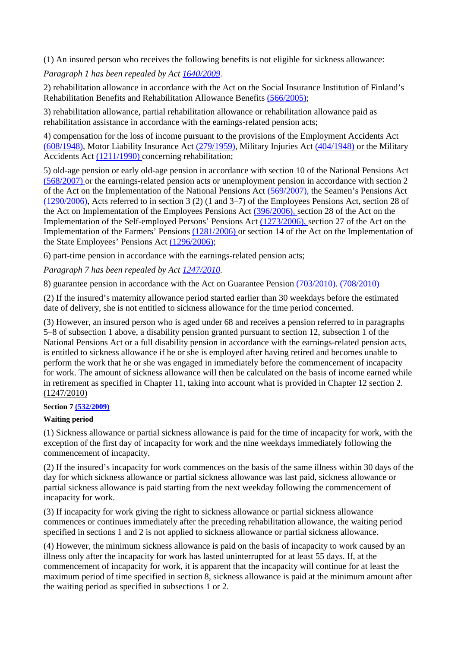(1) An insured person who receives the following benefits is not eligible for sickness allowance:

*Paragraph 1 has been repealed by Act 1640/2009.* 

2) rehabilitation allowance in accordance with the Act on the Social Insurance Institution of Finland's Rehabilitation Benefits and Rehabilitation Allowance Benefits (566/2005);

3) rehabilitation allowance, partial rehabilitation allowance or rehabilitation allowance paid as rehabilitation assistance in accordance with the earnings-related pension acts;

4) compensation for the loss of income pursuant to the provisions of the Employment Accidents Act (608/1948), Motor Liability Insurance Act (279/1959), Military Injuries Act (404/1948) or the Military Accidents Act (1211/1990) concerning rehabilitation;

5) old-age pension or early old-age pension in accordance with section 10 of the National Pensions Act (568/2007) or the earnings-related pension acts or unemployment pension in accordance with section 2 of the Act on the Implementation of the National Pensions Act (569/2007), the Seamen's Pensions Act (1290/2006), Acts referred to in section 3 (2) (1 and 3–7) of the Employees Pensions Act, section 28 of the Act on Implementation of the Employees Pensions Act (396/2006), section 28 of the Act on the Implementation of the Self-employed Persons' Pensions Act (1273/2006), section 27 of the Act on the Implementation of the Farmers' Pensions (1281/2006) or section 14 of the Act on the Implementation of the State Employees' Pensions Act (1296/2006);

6) part-time pension in accordance with the earnings-related pension acts;

*Paragraph 7 has been repealed by Act 1247/2010.* 

8) guarantee pension in accordance with the Act on Guarantee Pension (703/2010). (708/2010)

(2) If the insured's maternity allowance period started earlier than 30 weekdays before the estimated date of delivery, she is not entitled to sickness allowance for the time period concerned.

(3) However, an insured person who is aged under 68 and receives a pension referred to in paragraphs 5–8 of subsection 1 above, a disability pension granted pursuant to section 12, subsection 1 of the National Pensions Act or a full disability pension in accordance with the earnings-related pension acts, is entitled to sickness allowance if he or she is employed after having retired and becomes unable to perform the work that he or she was engaged in immediately before the commencement of incapacity for work. The amount of sickness allowance will then be calculated on the basis of income earned while in retirement as specified in Chapter 11, taking into account what is provided in Chapter 12 section 2. (1247/2010)

## **Section 7 (532/2009)**

## **Waiting period**

(1) Sickness allowance or partial sickness allowance is paid for the time of incapacity for work, with the exception of the first day of incapacity for work and the nine weekdays immediately following the commencement of incapacity.

(2) If the insured's incapacity for work commences on the basis of the same illness within 30 days of the day for which sickness allowance or partial sickness allowance was last paid, sickness allowance or partial sickness allowance is paid starting from the next weekday following the commencement of incapacity for work.

(3) If incapacity for work giving the right to sickness allowance or partial sickness allowance commences or continues immediately after the preceding rehabilitation allowance, the waiting period specified in sections 1 and 2 is not applied to sickness allowance or partial sickness allowance.

(4) However, the minimum sickness allowance is paid on the basis of incapacity to work caused by an illness only after the incapacity for work has lasted uninterrupted for at least 55 days. If, at the commencement of incapacity for work, it is apparent that the incapacity will continue for at least the maximum period of time specified in section 8, sickness allowance is paid at the minimum amount after the waiting period as specified in subsections 1 or 2.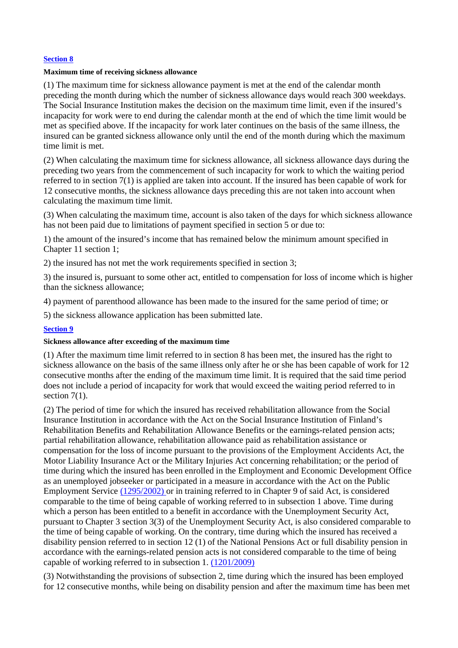## **Section 8**

#### **Maximum time of receiving sickness allowance**

(1) The maximum time for sickness allowance payment is met at the end of the calendar month preceding the month during which the number of sickness allowance days would reach 300 weekdays. The Social Insurance Institution makes the decision on the maximum time limit, even if the insured's incapacity for work were to end during the calendar month at the end of which the time limit would be met as specified above. If the incapacity for work later continues on the basis of the same illness, the insured can be granted sickness allowance only until the end of the month during which the maximum time limit is met.

(2) When calculating the maximum time for sickness allowance, all sickness allowance days during the preceding two years from the commencement of such incapacity for work to which the waiting period referred to in section 7(1) is applied are taken into account. If the insured has been capable of work for 12 consecutive months, the sickness allowance days preceding this are not taken into account when calculating the maximum time limit.

(3) When calculating the maximum time, account is also taken of the days for which sickness allowance has not been paid due to limitations of payment specified in section 5 or due to:

1) the amount of the insured's income that has remained below the minimum amount specified in Chapter 11 section 1;

2) the insured has not met the work requirements specified in section 3;

3) the insured is, pursuant to some other act, entitled to compensation for loss of income which is higher than the sickness allowance;

4) payment of parenthood allowance has been made to the insured for the same period of time; or

5) the sickness allowance application has been submitted late.

#### **Section 9**

#### **Sickness allowance after exceeding of the maximum time**

(1) After the maximum time limit referred to in section 8 has been met, the insured has the right to sickness allowance on the basis of the same illness only after he or she has been capable of work for 12 consecutive months after the ending of the maximum time limit. It is required that the said time period does not include a period of incapacity for work that would exceed the waiting period referred to in section  $7(1)$ .

(2) The period of time for which the insured has received rehabilitation allowance from the Social Insurance Institution in accordance with the Act on the Social Insurance Institution of Finland's Rehabilitation Benefits and Rehabilitation Allowance Benefits or the earnings-related pension acts; partial rehabilitation allowance, rehabilitation allowance paid as rehabilitation assistance or compensation for the loss of income pursuant to the provisions of the Employment Accidents Act, the Motor Liability Insurance Act or the Military Injuries Act concerning rehabilitation; or the period of time during which the insured has been enrolled in the Employment and Economic Development Office as an unemployed jobseeker or participated in a measure in accordance with the Act on the Public Employment Service (1295/2002) or in training referred to in Chapter 9 of said Act, is considered comparable to the time of being capable of working referred to in subsection 1 above. Time during which a person has been entitled to a benefit in accordance with the Unemployment Security Act, pursuant to Chapter 3 section 3(3) of the Unemployment Security Act, is also considered comparable to the time of being capable of working. On the contrary, time during which the insured has received a disability pension referred to in section 12 (1) of the National Pensions Act or full disability pension in accordance with the earnings-related pension acts is not considered comparable to the time of being capable of working referred to in subsection 1. (1201/2009)

(3) Notwithstanding the provisions of subsection 2, time during which the insured has been employed for 12 consecutive months, while being on disability pension and after the maximum time has been met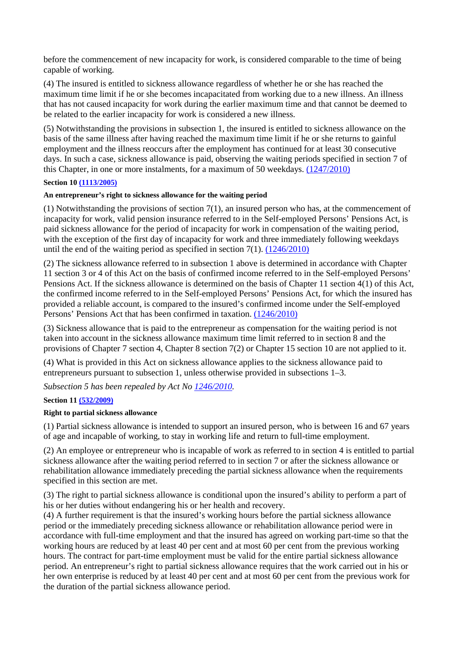before the commencement of new incapacity for work, is considered comparable to the time of being capable of working.

(4) The insured is entitled to sickness allowance regardless of whether he or she has reached the maximum time limit if he or she becomes incapacitated from working due to a new illness. An illness that has not caused incapacity for work during the earlier maximum time and that cannot be deemed to be related to the earlier incapacity for work is considered a new illness.

(5) Notwithstanding the provisions in subsection 1, the insured is entitled to sickness allowance on the basis of the same illness after having reached the maximum time limit if he or she returns to gainful employment and the illness reoccurs after the employment has continued for at least 30 consecutive days. In such a case, sickness allowance is paid, observing the waiting periods specified in section 7 of this Chapter, in one or more instalments, for a maximum of 50 weekdays. (1247/2010)

## **Section 10 (1113/2005)**

## **An entrepreneur's right to sickness allowance for the waiting period**

(1) Notwithstanding the provisions of section 7(1), an insured person who has, at the commencement of incapacity for work, valid pension insurance referred to in the Self-employed Persons' Pensions Act, is paid sickness allowance for the period of incapacity for work in compensation of the waiting period, with the exception of the first day of incapacity for work and three immediately following weekdays until the end of the waiting period as specified in section 7(1). (1246/2010)

(2) The sickness allowance referred to in subsection 1 above is determined in accordance with Chapter 11 section 3 or 4 of this Act on the basis of confirmed income referred to in the Self-employed Persons' Pensions Act. If the sickness allowance is determined on the basis of Chapter 11 section 4(1) of this Act, the confirmed income referred to in the Self-employed Persons' Pensions Act, for which the insured has provided a reliable account, is compared to the insured's confirmed income under the Self-employed Persons' Pensions Act that has been confirmed in taxation. (1246/2010)

(3) Sickness allowance that is paid to the entrepreneur as compensation for the waiting period is not taken into account in the sickness allowance maximum time limit referred to in section 8 and the provisions of Chapter 7 section 4, Chapter 8 section 7(2) or Chapter 15 section 10 are not applied to it.

(4) What is provided in this Act on sickness allowance applies to the sickness allowance paid to entrepreneurs pursuant to subsection 1, unless otherwise provided in subsections 1–3.

*Subsection 5 has been repealed by Act No 1246/2010.* 

## **Section 11 (532/2009)**

## **Right to partial sickness allowance**

(1) Partial sickness allowance is intended to support an insured person, who is between 16 and 67 years of age and incapable of working, to stay in working life and return to full-time employment.

(2) An employee or entrepreneur who is incapable of work as referred to in section 4 is entitled to partial sickness allowance after the waiting period referred to in section 7 or after the sickness allowance or rehabilitation allowance immediately preceding the partial sickness allowance when the requirements specified in this section are met.

(3) The right to partial sickness allowance is conditional upon the insured's ability to perform a part of his or her duties without endangering his or her health and recovery.

(4) A further requirement is that the insured's working hours before the partial sickness allowance period or the immediately preceding sickness allowance or rehabilitation allowance period were in accordance with full-time employment and that the insured has agreed on working part-time so that the working hours are reduced by at least 40 per cent and at most 60 per cent from the previous working hours. The contract for part-time employment must be valid for the entire partial sickness allowance period. An entrepreneur's right to partial sickness allowance requires that the work carried out in his or her own enterprise is reduced by at least 40 per cent and at most 60 per cent from the previous work for the duration of the partial sickness allowance period.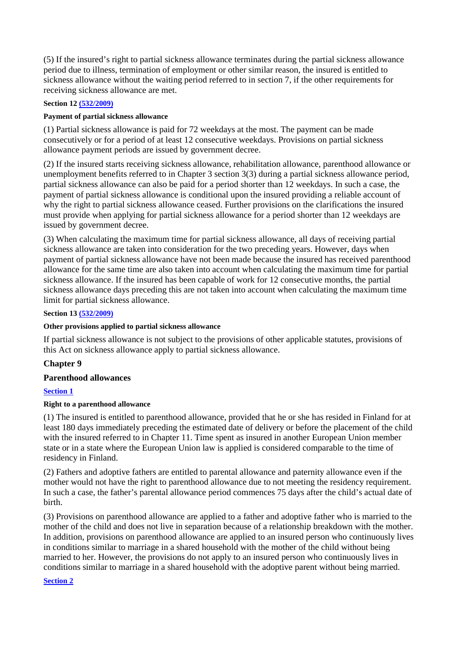(5) If the insured's right to partial sickness allowance terminates during the partial sickness allowance period due to illness, termination of employment or other similar reason, the insured is entitled to sickness allowance without the waiting period referred to in section 7, if the other requirements for receiving sickness allowance are met.

## **Section 12 (532/2009)**

## **Payment of partial sickness allowance**

(1) Partial sickness allowance is paid for 72 weekdays at the most. The payment can be made consecutively or for a period of at least 12 consecutive weekdays. Provisions on partial sickness allowance payment periods are issued by government decree.

(2) If the insured starts receiving sickness allowance, rehabilitation allowance, parenthood allowance or unemployment benefits referred to in Chapter 3 section 3(3) during a partial sickness allowance period, partial sickness allowance can also be paid for a period shorter than 12 weekdays. In such a case, the payment of partial sickness allowance is conditional upon the insured providing a reliable account of why the right to partial sickness allowance ceased. Further provisions on the clarifications the insured must provide when applying for partial sickness allowance for a period shorter than 12 weekdays are issued by government decree.

(3) When calculating the maximum time for partial sickness allowance, all days of receiving partial sickness allowance are taken into consideration for the two preceding years. However, days when payment of partial sickness allowance have not been made because the insured has received parenthood allowance for the same time are also taken into account when calculating the maximum time for partial sickness allowance. If the insured has been capable of work for 12 consecutive months, the partial sickness allowance days preceding this are not taken into account when calculating the maximum time limit for partial sickness allowance.

## **Section 13 (532/2009)**

# **Other provisions applied to partial sickness allowance**

If partial sickness allowance is not subject to the provisions of other applicable statutes, provisions of this Act on sickness allowance apply to partial sickness allowance.

# **Chapter 9**

# **Parenthood allowances**

# **Section 1**

## **Right to a parenthood allowance**

(1) The insured is entitled to parenthood allowance, provided that he or she has resided in Finland for at least 180 days immediately preceding the estimated date of delivery or before the placement of the child with the insured referred to in Chapter 11. Time spent as insured in another European Union member state or in a state where the European Union law is applied is considered comparable to the time of residency in Finland.

(2) Fathers and adoptive fathers are entitled to parental allowance and paternity allowance even if the mother would not have the right to parenthood allowance due to not meeting the residency requirement. In such a case, the father's parental allowance period commences 75 days after the child's actual date of birth.

(3) Provisions on parenthood allowance are applied to a father and adoptive father who is married to the mother of the child and does not live in separation because of a relationship breakdown with the mother. In addition, provisions on parenthood allowance are applied to an insured person who continuously lives in conditions similar to marriage in a shared household with the mother of the child without being married to her. However, the provisions do not apply to an insured person who continuously lives in conditions similar to marriage in a shared household with the adoptive parent without being married.

## **Section 2**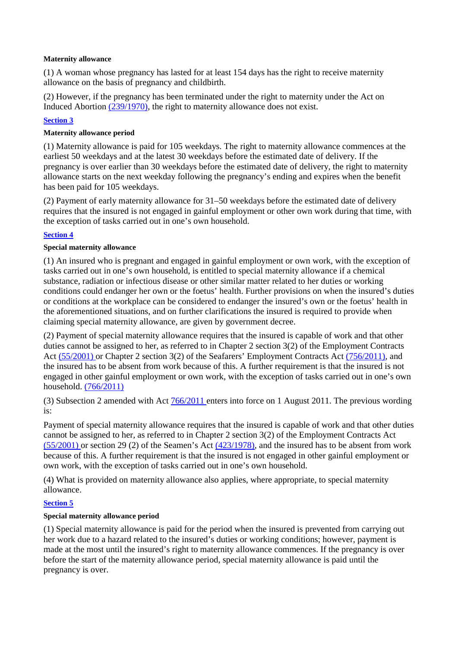## **Maternity allowance**

(1) A woman whose pregnancy has lasted for at least 154 days has the right to receive maternity allowance on the basis of pregnancy and childbirth.

(2) However, if the pregnancy has been terminated under the right to maternity under the Act on Induced Abortion (239/1970), the right to maternity allowance does not exist.

# **Section 3**

# **Maternity allowance period**

(1) Maternity allowance is paid for 105 weekdays. The right to maternity allowance commences at the earliest 50 weekdays and at the latest 30 weekdays before the estimated date of delivery. If the pregnancy is over earlier than 30 weekdays before the estimated date of delivery, the right to maternity allowance starts on the next weekday following the pregnancy's ending and expires when the benefit has been paid for 105 weekdays.

(2) Payment of early maternity allowance for 31–50 weekdays before the estimated date of delivery requires that the insured is not engaged in gainful employment or other own work during that time, with the exception of tasks carried out in one's own household.

# **Section 4**

# **Special maternity allowance**

(1) An insured who is pregnant and engaged in gainful employment or own work, with the exception of tasks carried out in one's own household, is entitled to special maternity allowance if a chemical substance, radiation or infectious disease or other similar matter related to her duties or working conditions could endanger her own or the foetus' health. Further provisions on when the insured's duties or conditions at the workplace can be considered to endanger the insured's own or the foetus' health in the aforementioned situations, and on further clarifications the insured is required to provide when claiming special maternity allowance, are given by government decree.

(2) Payment of special maternity allowance requires that the insured is capable of work and that other duties cannot be assigned to her, as referred to in Chapter 2 section 3(2) of the Employment Contracts Act (55/2001) or Chapter 2 section 3(2) of the Seafarers' Employment Contracts Act (756/2011), and the insured has to be absent from work because of this. A further requirement is that the insured is not engaged in other gainful employment or own work, with the exception of tasks carried out in one's own household. (766/2011)

(3) Subsection 2 amended with Act 766/2011 enters into force on 1 August 2011. The previous wording is:

Payment of special maternity allowance requires that the insured is capable of work and that other duties cannot be assigned to her, as referred to in Chapter 2 section 3(2) of the Employment Contracts Act  $(55/2001)$  or section 29 (2) of the Seamen's Act  $(423/1978)$ , and the insured has to be absent from work because of this. A further requirement is that the insured is not engaged in other gainful employment or own work, with the exception of tasks carried out in one's own household.

(4) What is provided on maternity allowance also applies, where appropriate, to special maternity allowance.

# **Section 5**

# **Special maternity allowance period**

(1) Special maternity allowance is paid for the period when the insured is prevented from carrying out her work due to a hazard related to the insured's duties or working conditions; however, payment is made at the most until the insured's right to maternity allowance commences. If the pregnancy is over before the start of the maternity allowance period, special maternity allowance is paid until the pregnancy is over.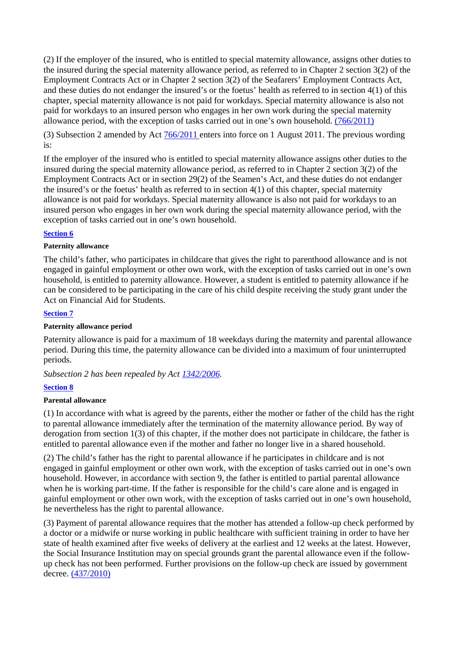(2) If the employer of the insured, who is entitled to special maternity allowance, assigns other duties to the insured during the special maternity allowance period, as referred to in Chapter 2 section 3(2) of the Employment Contracts Act or in Chapter 2 section 3(2) of the Seafarers' Employment Contracts Act, and these duties do not endanger the insured's or the foetus' health as referred to in section 4(1) of this chapter, special maternity allowance is not paid for workdays. Special maternity allowance is also not paid for workdays to an insured person who engages in her own work during the special maternity allowance period, with the exception of tasks carried out in one's own household. (766/2011)

(3) Subsection 2 amended by Act 766/2011 enters into force on 1 August 2011. The previous wording is:

If the employer of the insured who is entitled to special maternity allowance assigns other duties to the insured during the special maternity allowance period, as referred to in Chapter 2 section 3(2) of the Employment Contracts Act or in section 29(2) of the Seamen's Act, and these duties do not endanger the insured's or the foetus' health as referred to in section 4(1) of this chapter, special maternity allowance is not paid for workdays. Special maternity allowance is also not paid for workdays to an insured person who engages in her own work during the special maternity allowance period, with the exception of tasks carried out in one's own household.

# **Section 6**

## **Paternity allowance**

The child's father, who participates in childcare that gives the right to parenthood allowance and is not engaged in gainful employment or other own work, with the exception of tasks carried out in one's own household, is entitled to paternity allowance. However, a student is entitled to paternity allowance if he can be considered to be participating in the care of his child despite receiving the study grant under the Act on Financial Aid for Students.

## **Section 7**

## **Paternity allowance period**

Paternity allowance is paid for a maximum of 18 weekdays during the maternity and parental allowance period. During this time, the paternity allowance can be divided into a maximum of four uninterrupted periods.

*Subsection 2 has been repealed by Act 1342/2006.* 

## **Section 8**

## **Parental allowance**

(1) In accordance with what is agreed by the parents, either the mother or father of the child has the right to parental allowance immediately after the termination of the maternity allowance period. By way of derogation from section 1(3) of this chapter, if the mother does not participate in childcare, the father is entitled to parental allowance even if the mother and father no longer live in a shared household.

(2) The child's father has the right to parental allowance if he participates in childcare and is not engaged in gainful employment or other own work, with the exception of tasks carried out in one's own household. However, in accordance with section 9, the father is entitled to partial parental allowance when he is working part-time. If the father is responsible for the child's care alone and is engaged in gainful employment or other own work, with the exception of tasks carried out in one's own household, he nevertheless has the right to parental allowance.

(3) Payment of parental allowance requires that the mother has attended a follow-up check performed by a doctor or a midwife or nurse working in public healthcare with sufficient training in order to have her state of health examined after five weeks of delivery at the earliest and 12 weeks at the latest. However, the Social Insurance Institution may on special grounds grant the parental allowance even if the followup check has not been performed. Further provisions on the follow-up check are issued by government decree. (437/2010)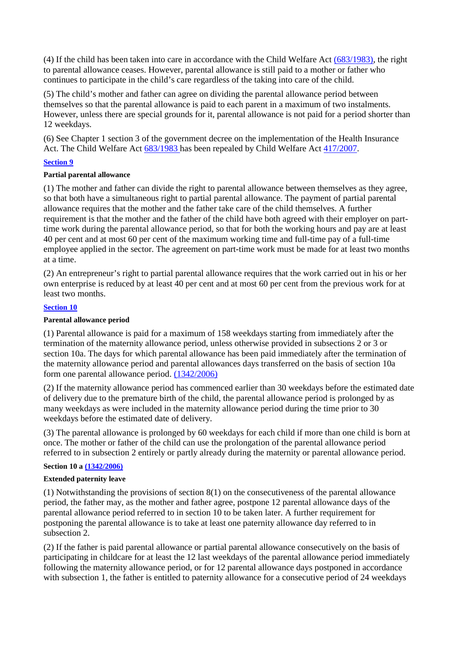(4) If the child has been taken into care in accordance with the Child Welfare Act (683/1983), the right to parental allowance ceases. However, parental allowance is still paid to a mother or father who continues to participate in the child's care regardless of the taking into care of the child.

(5) The child's mother and father can agree on dividing the parental allowance period between themselves so that the parental allowance is paid to each parent in a maximum of two instalments. However, unless there are special grounds for it, parental allowance is not paid for a period shorter than 12 weekdays.

(6) See Chapter 1 section 3 of the government decree on the implementation of the Health Insurance Act. The Child Welfare Act 683/1983 has been repealed by Child Welfare Act 417/2007.

## **Section 9**

## **Partial parental allowance**

(1) The mother and father can divide the right to parental allowance between themselves as they agree, so that both have a simultaneous right to partial parental allowance. The payment of partial parental allowance requires that the mother and the father take care of the child themselves. A further requirement is that the mother and the father of the child have both agreed with their employer on parttime work during the parental allowance period, so that for both the working hours and pay are at least 40 per cent and at most 60 per cent of the maximum working time and full-time pay of a full-time employee applied in the sector. The agreement on part-time work must be made for at least two months at a time.

(2) An entrepreneur's right to partial parental allowance requires that the work carried out in his or her own enterprise is reduced by at least 40 per cent and at most 60 per cent from the previous work for at least two months.

## **Section 10**

## **Parental allowance period**

(1) Parental allowance is paid for a maximum of 158 weekdays starting from immediately after the termination of the maternity allowance period, unless otherwise provided in subsections 2 or 3 or section 10a. The days for which parental allowance has been paid immediately after the termination of the maternity allowance period and parental allowances days transferred on the basis of section 10a form one parental allowance period. (1342/2006)

(2) If the maternity allowance period has commenced earlier than 30 weekdays before the estimated date of delivery due to the premature birth of the child, the parental allowance period is prolonged by as many weekdays as were included in the maternity allowance period during the time prior to 30 weekdays before the estimated date of delivery.

(3) The parental allowance is prolonged by 60 weekdays for each child if more than one child is born at once. The mother or father of the child can use the prolongation of the parental allowance period referred to in subsection 2 entirely or partly already during the maternity or parental allowance period.

## **Section 10 a (1342/2006)**

## **Extended paternity leave**

(1) Notwithstanding the provisions of section 8(1) on the consecutiveness of the parental allowance period, the father may, as the mother and father agree, postpone 12 parental allowance days of the parental allowance period referred to in section 10 to be taken later. A further requirement for postponing the parental allowance is to take at least one paternity allowance day referred to in subsection 2.

(2) If the father is paid parental allowance or partial parental allowance consecutively on the basis of participating in childcare for at least the 12 last weekdays of the parental allowance period immediately following the maternity allowance period, or for 12 parental allowance days postponed in accordance with subsection 1, the father is entitled to paternity allowance for a consecutive period of 24 weekdays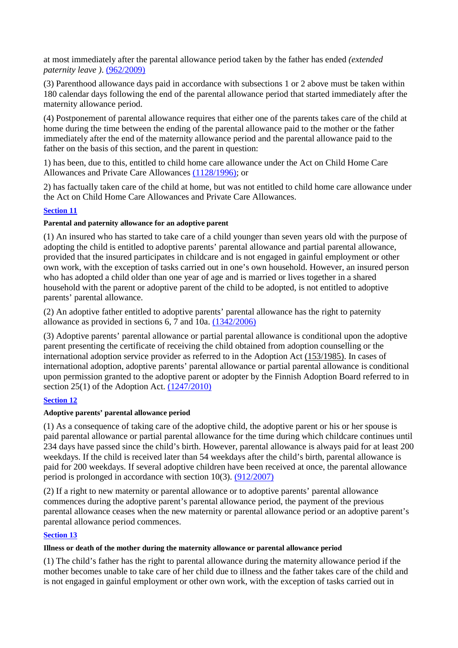at most immediately after the parental allowance period taken by the father has ended *(extended paternity leave )*. (962/2009)

(3) Parenthood allowance days paid in accordance with subsections 1 or 2 above must be taken within 180 calendar days following the end of the parental allowance period that started immediately after the maternity allowance period.

(4) Postponement of parental allowance requires that either one of the parents takes care of the child at home during the time between the ending of the parental allowance paid to the mother or the father immediately after the end of the maternity allowance period and the parental allowance paid to the father on the basis of this section, and the parent in question:

1) has been, due to this, entitled to child home care allowance under the Act on Child Home Care Allowances and Private Care Allowances (1128/1996); or

2) has factually taken care of the child at home, but was not entitled to child home care allowance under the Act on Child Home Care Allowances and Private Care Allowances.

# **Section 11**

## **Parental and paternity allowance for an adoptive parent**

(1) An insured who has started to take care of a child younger than seven years old with the purpose of adopting the child is entitled to adoptive parents' parental allowance and partial parental allowance, provided that the insured participates in childcare and is not engaged in gainful employment or other own work, with the exception of tasks carried out in one's own household. However, an insured person who has adopted a child older than one year of age and is married or lives together in a shared household with the parent or adoptive parent of the child to be adopted, is not entitled to adoptive parents' parental allowance.

(2) An adoptive father entitled to adoptive parents' parental allowance has the right to paternity allowance as provided in sections 6, 7 and 10a. (1342/2006)

(3) Adoptive parents' parental allowance or partial parental allowance is conditional upon the adoptive parent presenting the certificate of receiving the child obtained from adoption counselling or the international adoption service provider as referred to in the Adoption Act (153/1985). In cases of international adoption, adoptive parents' parental allowance or partial parental allowance is conditional upon permission granted to the adoptive parent or adopter by the Finnish Adoption Board referred to in section 25(1) of the Adoption Act. (1247/2010)

# **Section 12**

## **Adoptive parents' parental allowance period**

(1) As a consequence of taking care of the adoptive child, the adoptive parent or his or her spouse is paid parental allowance or partial parental allowance for the time during which childcare continues until 234 days have passed since the child's birth. However, parental allowance is always paid for at least 200 weekdays. If the child is received later than 54 weekdays after the child's birth, parental allowance is paid for 200 weekdays. If several adoptive children have been received at once, the parental allowance period is prolonged in accordance with section 10(3). (912/2007)

(2) If a right to new maternity or parental allowance or to adoptive parents' parental allowance commences during the adoptive parent's parental allowance period, the payment of the previous parental allowance ceases when the new maternity or parental allowance period or an adoptive parent's parental allowance period commences.

# **Section 13**

## **Illness or death of the mother during the maternity allowance or parental allowance period**

(1) The child's father has the right to parental allowance during the maternity allowance period if the mother becomes unable to take care of her child due to illness and the father takes care of the child and is not engaged in gainful employment or other own work, with the exception of tasks carried out in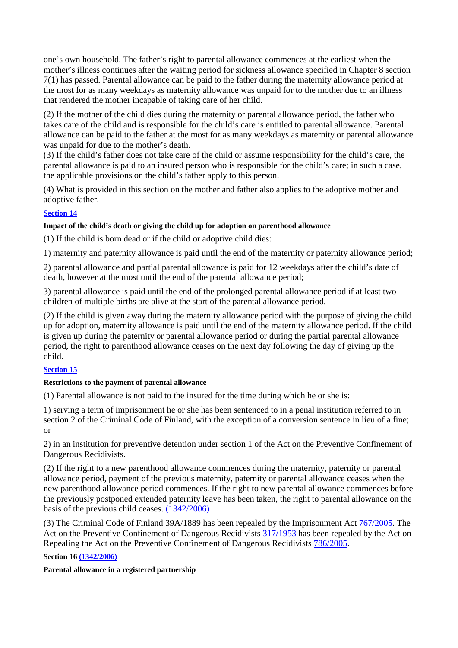one's own household. The father's right to parental allowance commences at the earliest when the mother's illness continues after the waiting period for sickness allowance specified in Chapter 8 section 7(1) has passed. Parental allowance can be paid to the father during the maternity allowance period at the most for as many weekdays as maternity allowance was unpaid for to the mother due to an illness that rendered the mother incapable of taking care of her child.

(2) If the mother of the child dies during the maternity or parental allowance period, the father who takes care of the child and is responsible for the child's care is entitled to parental allowance. Parental allowance can be paid to the father at the most for as many weekdays as maternity or parental allowance was unpaid for due to the mother's death.

(3) If the child's father does not take care of the child or assume responsibility for the child's care, the parental allowance is paid to an insured person who is responsible for the child's care; in such a case, the applicable provisions on the child's father apply to this person.

(4) What is provided in this section on the mother and father also applies to the adoptive mother and adoptive father.

# **Section 14**

# **Impact of the child's death or giving the child up for adoption on parenthood allowance**

(1) If the child is born dead or if the child or adoptive child dies:

1) maternity and paternity allowance is paid until the end of the maternity or paternity allowance period;

2) parental allowance and partial parental allowance is paid for 12 weekdays after the child's date of death, however at the most until the end of the parental allowance period;

3) parental allowance is paid until the end of the prolonged parental allowance period if at least two children of multiple births are alive at the start of the parental allowance period.

(2) If the child is given away during the maternity allowance period with the purpose of giving the child up for adoption, maternity allowance is paid until the end of the maternity allowance period. If the child is given up during the paternity or parental allowance period or during the partial parental allowance period, the right to parenthood allowance ceases on the next day following the day of giving up the child.

# **Section 15**

## **Restrictions to the payment of parental allowance**

(1) Parental allowance is not paid to the insured for the time during which he or she is:

1) serving a term of imprisonment he or she has been sentenced to in a penal institution referred to in section 2 of the Criminal Code of Finland, with the exception of a conversion sentence in lieu of a fine; or

2) in an institution for preventive detention under section 1 of the Act on the Preventive Confinement of Dangerous Recidivists.

(2) If the right to a new parenthood allowance commences during the maternity, paternity or parental allowance period, payment of the previous maternity, paternity or parental allowance ceases when the new parenthood allowance period commences. If the right to new parental allowance commences before the previously postponed extended paternity leave has been taken, the right to parental allowance on the basis of the previous child ceases. (1342/2006)

(3) The Criminal Code of Finland 39A/1889 has been repealed by the Imprisonment Act 767/2005. The Act on the Preventive Confinement of Dangerous Recidivists 317/1953 has been repealed by the Act on Repealing the Act on the Preventive Confinement of Dangerous Recidivists 786/2005.

**Section 16 (1342/2006)** 

## **Parental allowance in a registered partnership**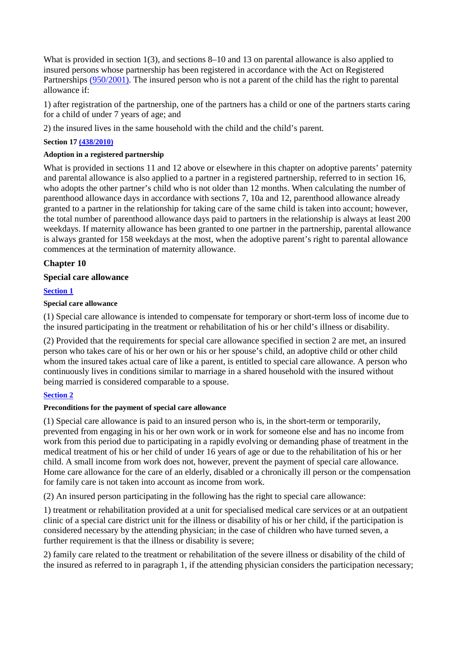What is provided in section 1(3), and sections 8–10 and 13 on parental allowance is also applied to insured persons whose partnership has been registered in accordance with the Act on Registered Partnerships (950/2001). The insured person who is not a parent of the child has the right to parental allowance if:

1) after registration of the partnership, one of the partners has a child or one of the partners starts caring for a child of under 7 years of age; and

2) the insured lives in the same household with the child and the child's parent.

**Section 17 (438/2010)** 

## **Adoption in a registered partnership**

What is provided in sections 11 and 12 above or elsewhere in this chapter on adoptive parents' paternity and parental allowance is also applied to a partner in a registered partnership, referred to in section 16, who adopts the other partner's child who is not older than 12 months. When calculating the number of parenthood allowance days in accordance with sections 7, 10a and 12, parenthood allowance already granted to a partner in the relationship for taking care of the same child is taken into account; however, the total number of parenthood allowance days paid to partners in the relationship is always at least 200 weekdays. If maternity allowance has been granted to one partner in the partnership, parental allowance is always granted for 158 weekdays at the most, when the adoptive parent's right to parental allowance commences at the termination of maternity allowance.

## **Chapter 10**

## **Special care allowance**

## **Section 1**

## **Special care allowance**

(1) Special care allowance is intended to compensate for temporary or short-term loss of income due to the insured participating in the treatment or rehabilitation of his or her child's illness or disability.

(2) Provided that the requirements for special care allowance specified in section 2 are met, an insured person who takes care of his or her own or his or her spouse's child, an adoptive child or other child whom the insured takes actual care of like a parent, is entitled to special care allowance. A person who continuously lives in conditions similar to marriage in a shared household with the insured without being married is considered comparable to a spouse.

## **Section 2**

## **Preconditions for the payment of special care allowance**

(1) Special care allowance is paid to an insured person who is, in the short-term or temporarily, prevented from engaging in his or her own work or in work for someone else and has no income from work from this period due to participating in a rapidly evolving or demanding phase of treatment in the medical treatment of his or her child of under 16 years of age or due to the rehabilitation of his or her child. A small income from work does not, however, prevent the payment of special care allowance. Home care allowance for the care of an elderly, disabled or a chronically ill person or the compensation for family care is not taken into account as income from work.

(2) An insured person participating in the following has the right to special care allowance:

1) treatment or rehabilitation provided at a unit for specialised medical care services or at an outpatient clinic of a special care district unit for the illness or disability of his or her child, if the participation is considered necessary by the attending physician; in the case of children who have turned seven, a further requirement is that the illness or disability is severe;

2) family care related to the treatment or rehabilitation of the severe illness or disability of the child of the insured as referred to in paragraph 1, if the attending physician considers the participation necessary;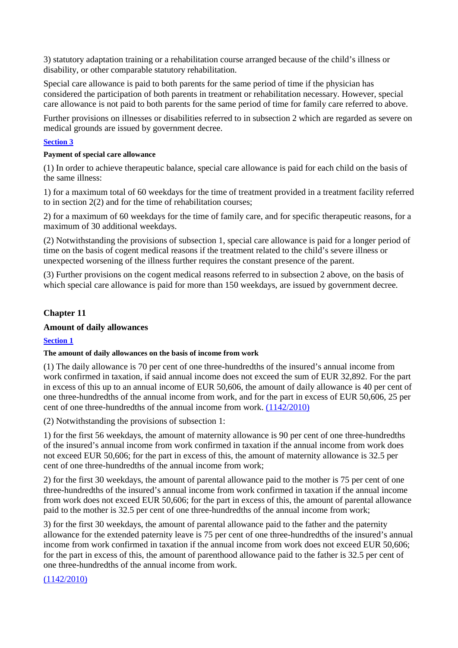3) statutory adaptation training or a rehabilitation course arranged because of the child's illness or disability, or other comparable statutory rehabilitation.

Special care allowance is paid to both parents for the same period of time if the physician has considered the participation of both parents in treatment or rehabilitation necessary. However, special care allowance is not paid to both parents for the same period of time for family care referred to above.

Further provisions on illnesses or disabilities referred to in subsection 2 which are regarded as severe on medical grounds are issued by government decree.

## **Section 3**

## **Payment of special care allowance**

(1) In order to achieve therapeutic balance, special care allowance is paid for each child on the basis of the same illness:

1) for a maximum total of 60 weekdays for the time of treatment provided in a treatment facility referred to in section 2(2) and for the time of rehabilitation courses;

2) for a maximum of 60 weekdays for the time of family care, and for specific therapeutic reasons, for a maximum of 30 additional weekdays.

(2) Notwithstanding the provisions of subsection 1, special care allowance is paid for a longer period of time on the basis of cogent medical reasons if the treatment related to the child's severe illness or unexpected worsening of the illness further requires the constant presence of the parent.

(3) Further provisions on the cogent medical reasons referred to in subsection 2 above, on the basis of which special care allowance is paid for more than 150 weekdays, are issued by government decree.

# **Chapter 11**

# **Amount of daily allowances**

# **Section 1**

## **The amount of daily allowances on the basis of income from work**

(1) The daily allowance is 70 per cent of one three-hundredths of the insured's annual income from work confirmed in taxation, if said annual income does not exceed the sum of EUR 32,892. For the part in excess of this up to an annual income of EUR 50,606, the amount of daily allowance is 40 per cent of one three-hundredths of the annual income from work, and for the part in excess of EUR 50,606, 25 per cent of one three-hundredths of the annual income from work.  $(1142/2010)$ 

(2) Notwithstanding the provisions of subsection 1:

1) for the first 56 weekdays, the amount of maternity allowance is 90 per cent of one three-hundredths of the insured's annual income from work confirmed in taxation if the annual income from work does not exceed EUR 50,606; for the part in excess of this, the amount of maternity allowance is 32.5 per cent of one three-hundredths of the annual income from work;

2) for the first 30 weekdays, the amount of parental allowance paid to the mother is 75 per cent of one three-hundredths of the insured's annual income from work confirmed in taxation if the annual income from work does not exceed EUR 50,606; for the part in excess of this, the amount of parental allowance paid to the mother is 32.5 per cent of one three-hundredths of the annual income from work;

3) for the first 30 weekdays, the amount of parental allowance paid to the father and the paternity allowance for the extended paternity leave is 75 per cent of one three-hundredths of the insured's annual income from work confirmed in taxation if the annual income from work does not exceed EUR 50,606; for the part in excess of this, the amount of parenthood allowance paid to the father is 32.5 per cent of one three-hundredths of the annual income from work.

# (1142/2010)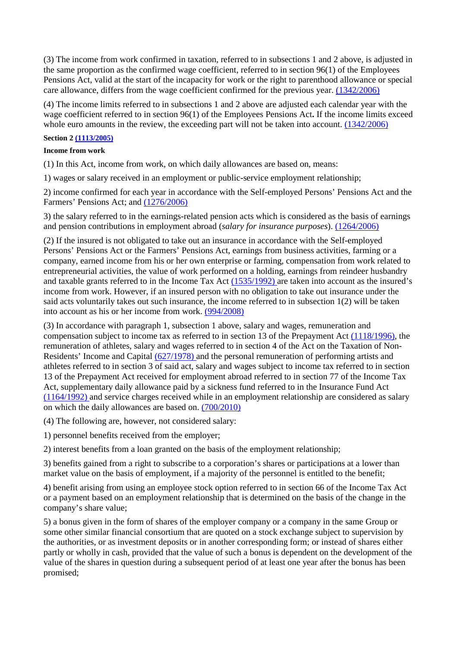(3) The income from work confirmed in taxation, referred to in subsections 1 and 2 above, is adjusted in the same proportion as the confirmed wage coefficient, referred to in section 96(1) of the Employees Pensions Act, valid at the start of the incapacity for work or the right to parenthood allowance or special care allowance, differs from the wage coefficient confirmed for the previous year. (1342/2006)

(4) The income limits referred to in subsections 1 and 2 above are adjusted each calendar year with the wage coefficient referred to in section 96(1) of the Employees Pensions Act**.** If the income limits exceed whole euro amounts in the review, the exceeding part will not be taken into account. (1342/2006)

## **Section 2 (1113/2005)**

## **Income from work**

(1) In this Act, income from work, on which daily allowances are based on, means:

1) wages or salary received in an employment or public-service employment relationship;

2) income confirmed for each year in accordance with the Self-employed Persons' Pensions Act and the Farmers' Pensions Act; and (1276/2006)

3) the salary referred to in the earnings-related pension acts which is considered as the basis of earnings and pension contributions in employment abroad (*salary for insurance purposes*). (1264/2006)

(2) If the insured is not obligated to take out an insurance in accordance with the Self-employed Persons' Pensions Act or the Farmers' Pensions Act, earnings from business activities, farming or a company, earned income from his or her own enterprise or farming, compensation from work related to entrepreneurial activities, the value of work performed on a holding, earnings from reindeer husbandry and taxable grants referred to in the Income Tax Act (1535/1992) are taken into account as the insured's income from work. However, if an insured person with no obligation to take out insurance under the said acts voluntarily takes out such insurance, the income referred to in subsection 1(2) will be taken into account as his or her income from work. (994/2008)

(3) In accordance with paragraph 1, subsection 1 above, salary and wages, remuneration and compensation subject to income tax as referred to in section 13 of the Prepayment Act (1118/1996), the remuneration of athletes, salary and wages referred to in section 4 of the Act on the Taxation of Non-Residents' Income and Capital (627/1978) and the personal remuneration of performing artists and athletes referred to in section 3 of said act, salary and wages subject to income tax referred to in section 13 of the Prepayment Act received for employment abroad referred to in section 77 of the Income Tax Act, supplementary daily allowance paid by a sickness fund referred to in the Insurance Fund Act (1164/1992) and service charges received while in an employment relationship are considered as salary on which the daily allowances are based on. (700/2010)

(4) The following are, however, not considered salary:

1) personnel benefits received from the employer;

2) interest benefits from a loan granted on the basis of the employment relationship;

3) benefits gained from a right to subscribe to a corporation's shares or participations at a lower than market value on the basis of employment, if a majority of the personnel is entitled to the benefit;

4) benefit arising from using an employee stock option referred to in section 66 of the Income Tax Act or a payment based on an employment relationship that is determined on the basis of the change in the company's share value;

5) a bonus given in the form of shares of the employer company or a company in the same Group or some other similar financial consortium that are quoted on a stock exchange subject to supervision by the authorities, or as investment deposits or in another corresponding form; or instead of shares either partly or wholly in cash, provided that the value of such a bonus is dependent on the development of the value of the shares in question during a subsequent period of at least one year after the bonus has been promised;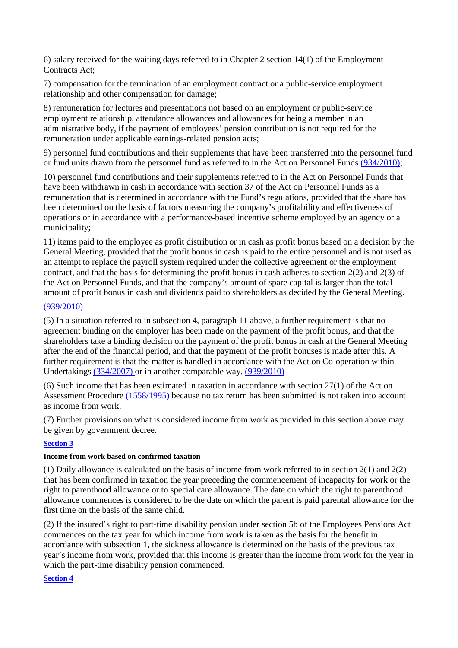6) salary received for the waiting days referred to in Chapter 2 section 14(1) of the Employment Contracts Act:

7) compensation for the termination of an employment contract or a public-service employment relationship and other compensation for damage;

8) remuneration for lectures and presentations not based on an employment or public-service employment relationship, attendance allowances and allowances for being a member in an administrative body, if the payment of employees' pension contribution is not required for the remuneration under applicable earnings-related pension acts;

9) personnel fund contributions and their supplements that have been transferred into the personnel fund or fund units drawn from the personnel fund as referred to in the Act on Personnel Funds (934/2010);

10) personnel fund contributions and their supplements referred to in the Act on Personnel Funds that have been withdrawn in cash in accordance with section 37 of the Act on Personnel Funds as a remuneration that is determined in accordance with the Fund's regulations, provided that the share has been determined on the basis of factors measuring the company's profitability and effectiveness of operations or in accordance with a performance-based incentive scheme employed by an agency or a municipality;

11) items paid to the employee as profit distribution or in cash as profit bonus based on a decision by the General Meeting, provided that the profit bonus in cash is paid to the entire personnel and is not used as an attempt to replace the payroll system required under the collective agreement or the employment contract, and that the basis for determining the profit bonus in cash adheres to section 2(2) and 2(3) of the Act on Personnel Funds, and that the company's amount of spare capital is larger than the total amount of profit bonus in cash and dividends paid to shareholders as decided by the General Meeting.

# (939/2010)

(5) In a situation referred to in subsection 4, paragraph 11 above, a further requirement is that no agreement binding on the employer has been made on the payment of the profit bonus, and that the shareholders take a binding decision on the payment of the profit bonus in cash at the General Meeting after the end of the financial period, and that the payment of the profit bonuses is made after this. A further requirement is that the matter is handled in accordance with the Act on Co-operation within Undertakings (334/2007) or in another comparable way. (939/2010)

(6) Such income that has been estimated in taxation in accordance with section 27(1) of the Act on Assessment Procedure (1558/1995) because no tax return has been submitted is not taken into account as income from work.

(7) Further provisions on what is considered income from work as provided in this section above may be given by government decree.

# **Section 3**

### **Income from work based on confirmed taxation**

(1) Daily allowance is calculated on the basis of income from work referred to in section 2(1) and 2(2) that has been confirmed in taxation the year preceding the commencement of incapacity for work or the right to parenthood allowance or to special care allowance. The date on which the right to parenthood allowance commences is considered to be the date on which the parent is paid parental allowance for the first time on the basis of the same child.

(2) If the insured's right to part-time disability pension under section 5b of the Employees Pensions Act commences on the tax year for which income from work is taken as the basis for the benefit in accordance with subsection 1, the sickness allowance is determined on the basis of the previous tax year's income from work, provided that this income is greater than the income from work for the year in which the part-time disability pension commenced.

### **Section 4**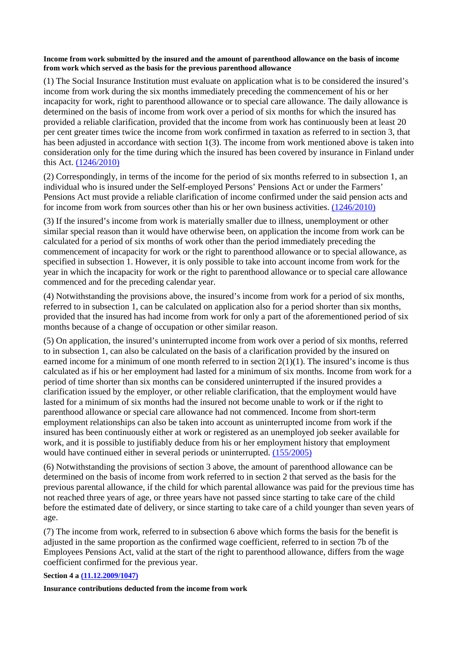#### **Income from work submitted by the insured and the amount of parenthood allowance on the basis of income from work which served as the basis for the previous parenthood allowance**

(1) The Social Insurance Institution must evaluate on application what is to be considered the insured's income from work during the six months immediately preceding the commencement of his or her incapacity for work, right to parenthood allowance or to special care allowance. The daily allowance is determined on the basis of income from work over a period of six months for which the insured has provided a reliable clarification, provided that the income from work has continuously been at least 20 per cent greater times twice the income from work confirmed in taxation as referred to in section 3, that has been adjusted in accordance with section 1(3). The income from work mentioned above is taken into consideration only for the time during which the insured has been covered by insurance in Finland under this Act. (1246/2010)

(2) Correspondingly, in terms of the income for the period of six months referred to in subsection 1, an individual who is insured under the Self-employed Persons' Pensions Act or under the Farmers' Pensions Act must provide a reliable clarification of income confirmed under the said pension acts and for income from work from sources other than his or her own business activities. (1246/2010)

(3) If the insured's income from work is materially smaller due to illness, unemployment or other similar special reason than it would have otherwise been, on application the income from work can be calculated for a period of six months of work other than the period immediately preceding the commencement of incapacity for work or the right to parenthood allowance or to special allowance, as specified in subsection 1. However, it is only possible to take into account income from work for the year in which the incapacity for work or the right to parenthood allowance or to special care allowance commenced and for the preceding calendar year.

(4) Notwithstanding the provisions above, the insured's income from work for a period of six months, referred to in subsection 1, can be calculated on application also for a period shorter than six months, provided that the insured has had income from work for only a part of the aforementioned period of six months because of a change of occupation or other similar reason.

(5) On application, the insured's uninterrupted income from work over a period of six months, referred to in subsection 1, can also be calculated on the basis of a clarification provided by the insured on earned income for a minimum of one month referred to in section  $2(1)(1)$ . The insured's income is thus calculated as if his or her employment had lasted for a minimum of six months. Income from work for a period of time shorter than six months can be considered uninterrupted if the insured provides a clarification issued by the employer, or other reliable clarification, that the employment would have lasted for a minimum of six months had the insured not become unable to work or if the right to parenthood allowance or special care allowance had not commenced. Income from short-term employment relationships can also be taken into account as uninterrupted income from work if the insured has been continuously either at work or registered as an unemployed job seeker available for work, and it is possible to justifiably deduce from his or her employment history that employment would have continued either in several periods or uninterrupted. (155/2005)

(6) Notwithstanding the provisions of section 3 above, the amount of parenthood allowance can be determined on the basis of income from work referred to in section 2 that served as the basis for the previous parental allowance, if the child for which parental allowance was paid for the previous time has not reached three years of age, or three years have not passed since starting to take care of the child before the estimated date of delivery, or since starting to take care of a child younger than seven years of age.

(7) The income from work, referred to in subsection 6 above which forms the basis for the benefit is adjusted in the same proportion as the confirmed wage coefficient, referred to in section 7b of the Employees Pensions Act, valid at the start of the right to parenthood allowance, differs from the wage coefficient confirmed for the previous year.

### **Section 4 a (11.12.2009/1047)**

**Insurance contributions deducted from the income from work**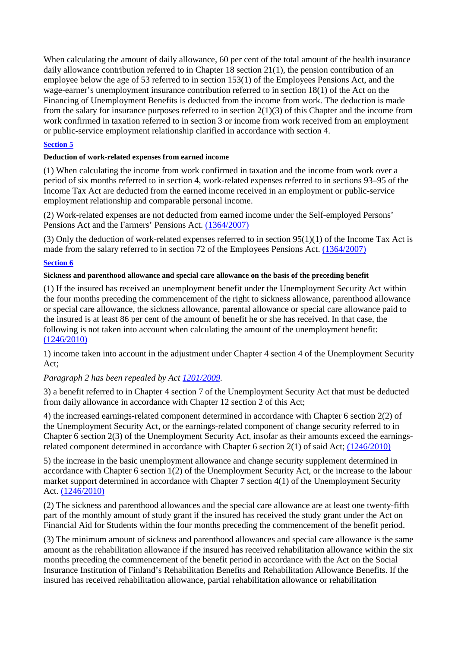When calculating the amount of daily allowance, 60 per cent of the total amount of the health insurance daily allowance contribution referred to in Chapter 18 section 21(1), the pension contribution of an employee below the age of 53 referred to in section 153(1) of the Employees Pensions Act, and the wage-earner's unemployment insurance contribution referred to in section 18(1) of the Act on the Financing of Unemployment Benefits is deducted from the income from work. The deduction is made from the salary for insurance purposes referred to in section  $2(1)(3)$  of this Chapter and the income from work confirmed in taxation referred to in section 3 or income from work received from an employment or public-service employment relationship clarified in accordance with section 4.

### **Section 5**

### **Deduction of work-related expenses from earned income**

(1) When calculating the income from work confirmed in taxation and the income from work over a period of six months referred to in section 4, work-related expenses referred to in sections 93–95 of the Income Tax Act are deducted from the earned income received in an employment or public-service employment relationship and comparable personal income.

(2) Work-related expenses are not deducted from earned income under the Self-employed Persons' Pensions Act and the Farmers' Pensions Act. (1364/2007)

(3) Only the deduction of work-related expenses referred to in section 95(1)(1) of the Income Tax Act is made from the salary referred to in section 72 of the Employees Pensions Act. (1364/2007)

### **Section 6**

#### **Sickness and parenthood allowance and special care allowance on the basis of the preceding benefit**

(1) If the insured has received an unemployment benefit under the Unemployment Security Act within the four months preceding the commencement of the right to sickness allowance, parenthood allowance or special care allowance, the sickness allowance, parental allowance or special care allowance paid to the insured is at least 86 per cent of the amount of benefit he or she has received. In that case, the following is not taken into account when calculating the amount of the unemployment benefit: (1246/2010)

1) income taken into account in the adjustment under Chapter 4 section 4 of the Unemployment Security Act;

### *Paragraph 2 has been repealed by Act 1201/2009.*

3) a benefit referred to in Chapter 4 section 7 of the Unemployment Security Act that must be deducted from daily allowance in accordance with Chapter 12 section 2 of this Act;

4) the increased earnings-related component determined in accordance with Chapter 6 section 2(2) of the Unemployment Security Act, or the earnings-related component of change security referred to in Chapter 6 section 2(3) of the Unemployment Security Act, insofar as their amounts exceed the earningsrelated component determined in accordance with Chapter 6 section 2(1) of said Act; (1246/2010)

5) the increase in the basic unemployment allowance and change security supplement determined in accordance with Chapter 6 section 1(2) of the Unemployment Security Act, or the increase to the labour market support determined in accordance with Chapter 7 section 4(1) of the Unemployment Security Act. (1246/2010)

(2) The sickness and parenthood allowances and the special care allowance are at least one twenty-fifth part of the monthly amount of study grant if the insured has received the study grant under the Act on Financial Aid for Students within the four months preceding the commencement of the benefit period.

(3) The minimum amount of sickness and parenthood allowances and special care allowance is the same amount as the rehabilitation allowance if the insured has received rehabilitation allowance within the six months preceding the commencement of the benefit period in accordance with the Act on the Social Insurance Institution of Finland's Rehabilitation Benefits and Rehabilitation Allowance Benefits. If the insured has received rehabilitation allowance, partial rehabilitation allowance or rehabilitation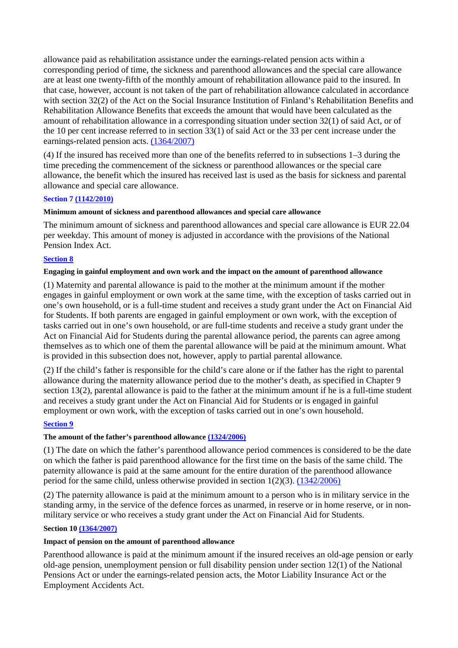allowance paid as rehabilitation assistance under the earnings-related pension acts within a corresponding period of time, the sickness and parenthood allowances and the special care allowance are at least one twenty-fifth of the monthly amount of rehabilitation allowance paid to the insured. In that case, however, account is not taken of the part of rehabilitation allowance calculated in accordance with section 32(2) of the Act on the Social Insurance Institution of Finland's Rehabilitation Benefits and Rehabilitation Allowance Benefits that exceeds the amount that would have been calculated as the amount of rehabilitation allowance in a corresponding situation under section 32(1) of said Act, or of the 10 per cent increase referred to in section 33(1) of said Act or the 33 per cent increase under the earnings-related pension acts. (1364/2007)

(4) If the insured has received more than one of the benefits referred to in subsections 1–3 during the time preceding the commencement of the sickness or parenthood allowances or the special care allowance, the benefit which the insured has received last is used as the basis for sickness and parental allowance and special care allowance.

### **Section 7 (1142/2010)**

### **Minimum amount of sickness and parenthood allowances and special care allowance**

The minimum amount of sickness and parenthood allowances and special care allowance is EUR 22.04 per weekday. This amount of money is adjusted in accordance with the provisions of the National Pension Index Act.

### **Section 8**

### **Engaging in gainful employment and own work and the impact on the amount of parenthood allowance**

(1) Maternity and parental allowance is paid to the mother at the minimum amount if the mother engages in gainful employment or own work at the same time, with the exception of tasks carried out in one's own household, or is a full-time student and receives a study grant under the Act on Financial Aid for Students. If both parents are engaged in gainful employment or own work, with the exception of tasks carried out in one's own household, or are full-time students and receive a study grant under the Act on Financial Aid for Students during the parental allowance period, the parents can agree among themselves as to which one of them the parental allowance will be paid at the minimum amount. What is provided in this subsection does not, however, apply to partial parental allowance.

(2) If the child's father is responsible for the child's care alone or if the father has the right to parental allowance during the maternity allowance period due to the mother's death, as specified in Chapter 9 section 13(2), parental allowance is paid to the father at the minimum amount if he is a full-time student and receives a study grant under the Act on Financial Aid for Students or is engaged in gainful employment or own work, with the exception of tasks carried out in one's own household.

### **Section 9**

### **The amount of the father's parenthood allowance (1324/2006)**

(1) The date on which the father's parenthood allowance period commences is considered to be the date on which the father is paid parenthood allowance for the first time on the basis of the same child. The paternity allowance is paid at the same amount for the entire duration of the parenthood allowance period for the same child, unless otherwise provided in section 1(2)(3). (1342/2006)

(2) The paternity allowance is paid at the minimum amount to a person who is in military service in the standing army, in the service of the defence forces as unarmed, in reserve or in home reserve, or in nonmilitary service or who receives a study grant under the Act on Financial Aid for Students.

### **Section 10 (1364/2007)**

### **Impact of pension on the amount of parenthood allowance**

Parenthood allowance is paid at the minimum amount if the insured receives an old-age pension or early old-age pension, unemployment pension or full disability pension under section 12(1) of the National Pensions Act or under the earnings-related pension acts, the Motor Liability Insurance Act or the Employment Accidents Act.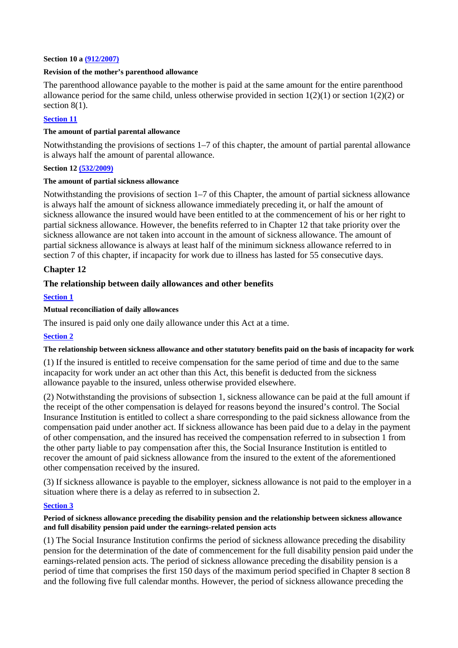#### **Section 10 a (912/2007)**

#### **Revision of the mother's parenthood allowance**

The parenthood allowance payable to the mother is paid at the same amount for the entire parenthood allowance period for the same child, unless otherwise provided in section  $1(2)(1)$  or section  $1(2)(2)$  or section  $8(1)$ .

### **Section 11**

#### **The amount of partial parental allowance**

Notwithstanding the provisions of sections 1–7 of this chapter, the amount of partial parental allowance is always half the amount of parental allowance.

### **Section 12 (532/2009)**

#### **The amount of partial sickness allowance**

Notwithstanding the provisions of section 1–7 of this Chapter, the amount of partial sickness allowance is always half the amount of sickness allowance immediately preceding it, or half the amount of sickness allowance the insured would have been entitled to at the commencement of his or her right to partial sickness allowance. However, the benefits referred to in Chapter 12 that take priority over the sickness allowance are not taken into account in the amount of sickness allowance. The amount of partial sickness allowance is always at least half of the minimum sickness allowance referred to in section 7 of this chapter, if incapacity for work due to illness has lasted for 55 consecutive days.

### **Chapter 12**

### **The relationship between daily allowances and other benefits**

#### **Section 1**

#### **Mutual reconciliation of daily allowances**

The insured is paid only one daily allowance under this Act at a time.

### **Section 2**

### **The relationship between sickness allowance and other statutory benefits paid on the basis of incapacity for work**

(1) If the insured is entitled to receive compensation for the same period of time and due to the same incapacity for work under an act other than this Act, this benefit is deducted from the sickness allowance payable to the insured, unless otherwise provided elsewhere.

(2) Notwithstanding the provisions of subsection 1, sickness allowance can be paid at the full amount if the receipt of the other compensation is delayed for reasons beyond the insured's control. The Social Insurance Institution is entitled to collect a share corresponding to the paid sickness allowance from the compensation paid under another act. If sickness allowance has been paid due to a delay in the payment of other compensation, and the insured has received the compensation referred to in subsection 1 from the other party liable to pay compensation after this, the Social Insurance Institution is entitled to recover the amount of paid sickness allowance from the insured to the extent of the aforementioned other compensation received by the insured.

(3) If sickness allowance is payable to the employer, sickness allowance is not paid to the employer in a situation where there is a delay as referred to in subsection 2.

### **Section 3**

#### **Period of sickness allowance preceding the disability pension and the relationship between sickness allowance and full disability pension paid under the earnings-related pension acts**

(1) The Social Insurance Institution confirms the period of sickness allowance preceding the disability pension for the determination of the date of commencement for the full disability pension paid under the earnings-related pension acts. The period of sickness allowance preceding the disability pension is a period of time that comprises the first 150 days of the maximum period specified in Chapter 8 section 8 and the following five full calendar months. However, the period of sickness allowance preceding the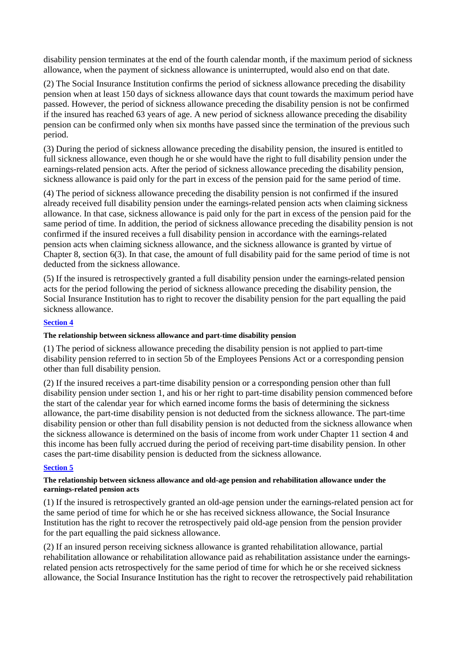disability pension terminates at the end of the fourth calendar month, if the maximum period of sickness allowance, when the payment of sickness allowance is uninterrupted, would also end on that date.

(2) The Social Insurance Institution confirms the period of sickness allowance preceding the disability pension when at least 150 days of sickness allowance days that count towards the maximum period have passed. However, the period of sickness allowance preceding the disability pension is not be confirmed if the insured has reached 63 years of age. A new period of sickness allowance preceding the disability pension can be confirmed only when six months have passed since the termination of the previous such period.

(3) During the period of sickness allowance preceding the disability pension, the insured is entitled to full sickness allowance, even though he or she would have the right to full disability pension under the earnings-related pension acts. After the period of sickness allowance preceding the disability pension, sickness allowance is paid only for the part in excess of the pension paid for the same period of time.

(4) The period of sickness allowance preceding the disability pension is not confirmed if the insured already received full disability pension under the earnings-related pension acts when claiming sickness allowance. In that case, sickness allowance is paid only for the part in excess of the pension paid for the same period of time. In addition, the period of sickness allowance preceding the disability pension is not confirmed if the insured receives a full disability pension in accordance with the earnings-related pension acts when claiming sickness allowance, and the sickness allowance is granted by virtue of Chapter 8, section 6(3). In that case, the amount of full disability paid for the same period of time is not deducted from the sickness allowance.

(5) If the insured is retrospectively granted a full disability pension under the earnings-related pension acts for the period following the period of sickness allowance preceding the disability pension, the Social Insurance Institution has to right to recover the disability pension for the part equalling the paid sickness allowance.

### **Section 4**

### **The relationship between sickness allowance and part-time disability pension**

(1) The period of sickness allowance preceding the disability pension is not applied to part-time disability pension referred to in section 5b of the Employees Pensions Act or a corresponding pension other than full disability pension.

(2) If the insured receives a part-time disability pension or a corresponding pension other than full disability pension under section 1, and his or her right to part-time disability pension commenced before the start of the calendar year for which earned income forms the basis of determining the sickness allowance, the part-time disability pension is not deducted from the sickness allowance. The part-time disability pension or other than full disability pension is not deducted from the sickness allowance when the sickness allowance is determined on the basis of income from work under Chapter 11 section 4 and this income has been fully accrued during the period of receiving part-time disability pension. In other cases the part-time disability pension is deducted from the sickness allowance.

### **Section 5**

### **The relationship between sickness allowance and old-age pension and rehabilitation allowance under the earnings-related pension acts**

(1) If the insured is retrospectively granted an old-age pension under the earnings-related pension act for the same period of time for which he or she has received sickness allowance, the Social Insurance Institution has the right to recover the retrospectively paid old-age pension from the pension provider for the part equalling the paid sickness allowance.

(2) If an insured person receiving sickness allowance is granted rehabilitation allowance, partial rehabilitation allowance or rehabilitation allowance paid as rehabilitation assistance under the earningsrelated pension acts retrospectively for the same period of time for which he or she received sickness allowance, the Social Insurance Institution has the right to recover the retrospectively paid rehabilitation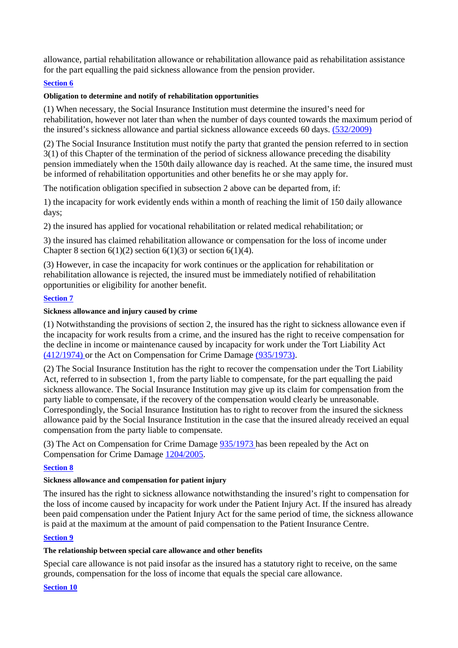allowance, partial rehabilitation allowance or rehabilitation allowance paid as rehabilitation assistance for the part equalling the paid sickness allowance from the pension provider.

### **Section 6**

#### **Obligation to determine and notify of rehabilitation opportunities**

(1) When necessary, the Social Insurance Institution must determine the insured's need for rehabilitation, however not later than when the number of days counted towards the maximum period of the insured's sickness allowance and partial sickness allowance exceeds 60 days. (532/2009)

(2) The Social Insurance Institution must notify the party that granted the pension referred to in section 3(1) of this Chapter of the termination of the period of sickness allowance preceding the disability pension immediately when the 150th daily allowance day is reached. At the same time, the insured must be informed of rehabilitation opportunities and other benefits he or she may apply for.

The notification obligation specified in subsection 2 above can be departed from, if:

1) the incapacity for work evidently ends within a month of reaching the limit of 150 daily allowance days;

2) the insured has applied for vocational rehabilitation or related medical rehabilitation; or

3) the insured has claimed rehabilitation allowance or compensation for the loss of income under Chapter 8 section  $6(1)(2)$  section  $6(1)(3)$  or section  $6(1)(4)$ .

(3) However, in case the incapacity for work continues or the application for rehabilitation or rehabilitation allowance is rejected, the insured must be immediately notified of rehabilitation opportunities or eligibility for another benefit.

# **Section 7**

#### **Sickness allowance and injury caused by crime**

(1) Notwithstanding the provisions of section 2, the insured has the right to sickness allowance even if the incapacity for work results from a crime, and the insured has the right to receive compensation for the decline in income or maintenance caused by incapacity for work under the Tort Liability Act (412/1974) or the Act on Compensation for Crime Damage (935/1973).

(2) The Social Insurance Institution has the right to recover the compensation under the Tort Liability Act, referred to in subsection 1, from the party liable to compensate, for the part equalling the paid sickness allowance. The Social Insurance Institution may give up its claim for compensation from the party liable to compensate, if the recovery of the compensation would clearly be unreasonable. Correspondingly, the Social Insurance Institution has to right to recover from the insured the sickness allowance paid by the Social Insurance Institution in the case that the insured already received an equal compensation from the party liable to compensate.

(3) The Act on Compensation for Crime Damage 935/1973 has been repealed by the Act on Compensation for Crime Damage 1204/2005.

### **Section 8**

#### **Sickness allowance and compensation for patient injury**

The insured has the right to sickness allowance notwithstanding the insured's right to compensation for the loss of income caused by incapacity for work under the Patient Injury Act. If the insured has already been paid compensation under the Patient Injury Act for the same period of time, the sickness allowance is paid at the maximum at the amount of paid compensation to the Patient Insurance Centre.

#### **Section 9**

#### **The relationship between special care allowance and other benefits**

Special care allowance is not paid insofar as the insured has a statutory right to receive, on the same grounds, compensation for the loss of income that equals the special care allowance.

#### **Section 10**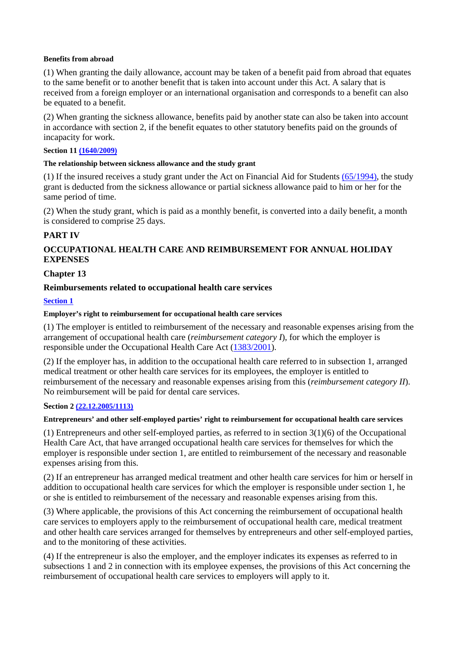#### **Benefits from abroad**

(1) When granting the daily allowance, account may be taken of a benefit paid from abroad that equates to the same benefit or to another benefit that is taken into account under this Act. A salary that is received from a foreign employer or an international organisation and corresponds to a benefit can also be equated to a benefit.

(2) When granting the sickness allowance, benefits paid by another state can also be taken into account in accordance with section 2, if the benefit equates to other statutory benefits paid on the grounds of incapacity for work.

### **Section 11 (1640/2009)**

#### **The relationship between sickness allowance and the study grant**

(1) If the insured receives a study grant under the Act on Financial Aid for Students (65/1994), the study grant is deducted from the sickness allowance or partial sickness allowance paid to him or her for the same period of time.

(2) When the study grant, which is paid as a monthly benefit, is converted into a daily benefit, a month is considered to comprise 25 days.

# **PART IV**

# **OCCUPATIONAL HEALTH CARE AND REIMBURSEMENT FOR ANNUAL HOLIDAY EXPENSES**

### **Chapter 13**

### **Reimbursements related to occupational health care services**

# **Section 1**

### **Employer's right to reimbursement for occupational health care services**

(1) The employer is entitled to reimbursement of the necessary and reasonable expenses arising from the arrangement of occupational health care (*reimbursement category I*), for which the employer is responsible under the Occupational Health Care Act (1383/2001).

(2) If the employer has, in addition to the occupational health care referred to in subsection 1, arranged medical treatment or other health care services for its employees, the employer is entitled to reimbursement of the necessary and reasonable expenses arising from this (*reimbursement category II*). No reimbursement will be paid for dental care services.

### **Section 2 (22.12.2005/1113)**

### **Entrepreneurs' and other self-employed parties' right to reimbursement for occupational health care services**

(1) Entrepreneurs and other self-employed parties, as referred to in section 3(1)(6) of the Occupational Health Care Act, that have arranged occupational health care services for themselves for which the employer is responsible under section 1, are entitled to reimbursement of the necessary and reasonable expenses arising from this.

(2) If an entrepreneur has arranged medical treatment and other health care services for him or herself in addition to occupational health care services for which the employer is responsible under section 1, he or she is entitled to reimbursement of the necessary and reasonable expenses arising from this.

(3) Where applicable, the provisions of this Act concerning the reimbursement of occupational health care services to employers apply to the reimbursement of occupational health care, medical treatment and other health care services arranged for themselves by entrepreneurs and other self-employed parties, and to the monitoring of these activities.

(4) If the entrepreneur is also the employer, and the employer indicates its expenses as referred to in subsections 1 and 2 in connection with its employee expenses, the provisions of this Act concerning the reimbursement of occupational health care services to employers will apply to it.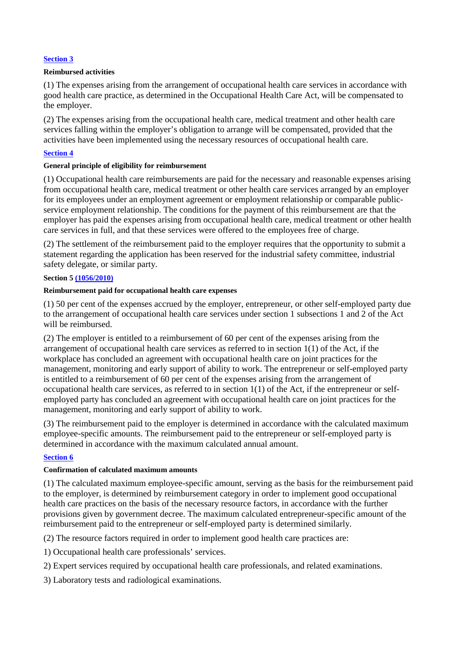### **Section 3**

### **Reimbursed activities**

(1) The expenses arising from the arrangement of occupational health care services in accordance with good health care practice, as determined in the Occupational Health Care Act, will be compensated to the employer.

(2) The expenses arising from the occupational health care, medical treatment and other health care services falling within the employer's obligation to arrange will be compensated, provided that the activities have been implemented using the necessary resources of occupational health care.

# **Section 4**

# **General principle of eligibility for reimbursement**

(1) Occupational health care reimbursements are paid for the necessary and reasonable expenses arising from occupational health care, medical treatment or other health care services arranged by an employer for its employees under an employment agreement or employment relationship or comparable publicservice employment relationship. The conditions for the payment of this reimbursement are that the employer has paid the expenses arising from occupational health care, medical treatment or other health care services in full, and that these services were offered to the employees free of charge.

(2) The settlement of the reimbursement paid to the employer requires that the opportunity to submit a statement regarding the application has been reserved for the industrial safety committee, industrial safety delegate, or similar party.

### **Section 5 (1056/2010)**

### **Reimbursement paid for occupational health care expenses**

(1) 50 per cent of the expenses accrued by the employer, entrepreneur, or other self-employed party due to the arrangement of occupational health care services under section 1 subsections 1 and 2 of the Act will be reimbursed.

(2) The employer is entitled to a reimbursement of 60 per cent of the expenses arising from the arrangement of occupational health care services as referred to in section 1(1) of the Act, if the workplace has concluded an agreement with occupational health care on joint practices for the management, monitoring and early support of ability to work. The entrepreneur or self-employed party is entitled to a reimbursement of 60 per cent of the expenses arising from the arrangement of occupational health care services, as referred to in section 1(1) of the Act, if the entrepreneur or selfemployed party has concluded an agreement with occupational health care on joint practices for the management, monitoring and early support of ability to work.

(3) The reimbursement paid to the employer is determined in accordance with the calculated maximum employee-specific amounts. The reimbursement paid to the entrepreneur or self-employed party is determined in accordance with the maximum calculated annual amount.

### **Section 6**

### **Confirmation of calculated maximum amounts**

(1) The calculated maximum employee-specific amount, serving as the basis for the reimbursement paid to the employer, is determined by reimbursement category in order to implement good occupational health care practices on the basis of the necessary resource factors, in accordance with the further provisions given by government decree. The maximum calculated entrepreneur-specific amount of the reimbursement paid to the entrepreneur or self-employed party is determined similarly.

(2) The resource factors required in order to implement good health care practices are:

1) Occupational health care professionals' services.

- 2) Expert services required by occupational health care professionals, and related examinations.
- 3) Laboratory tests and radiological examinations.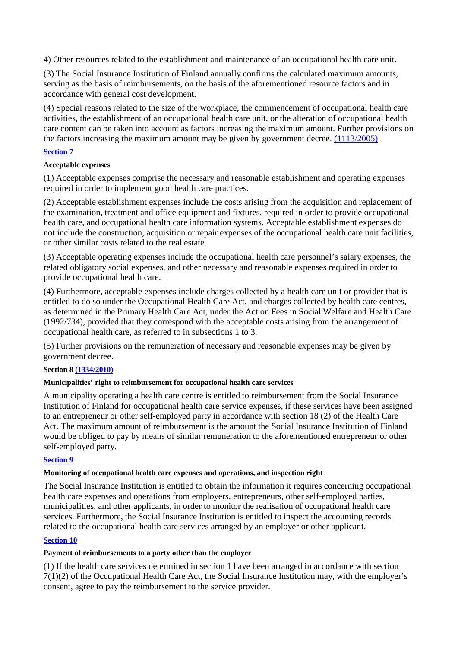4) Other resources related to the establishment and maintenance of an occupational health care unit.

(3) The Social Insurance Institution of Finland annually confirms the calculated maximum amounts, serving as the basis of reimbursements, on the basis of the aforementioned resource factors and in accordance with general cost development.

(4) Special reasons related to the size of the workplace, the commencement of occupational health care activities, the establishment of an occupational health care unit, or the alteration of occupational health care content can be taken into account as factors increasing the maximum amount. Further provisions on the factors increasing the maximum amount may be given by government decree. (1113/2005)

### **Section 7**

### **Acceptable expenses**

(1) Acceptable expenses comprise the necessary and reasonable establishment and operating expenses required in order to implement good health care practices.

(2) Acceptable establishment expenses include the costs arising from the acquisition and replacement of the examination, treatment and office equipment and fixtures, required in order to provide occupational health care, and occupational health care information systems. Acceptable establishment expenses do not include the construction, acquisition or repair expenses of the occupational health care unit facilities, or other similar costs related to the real estate.

(3) Acceptable operating expenses include the occupational health care personnel's salary expenses, the related obligatory social expenses, and other necessary and reasonable expenses required in order to provide occupational health care.

(4) Furthermore, acceptable expenses include charges collected by a health care unit or provider that is entitled to do so under the Occupational Health Care Act, and charges collected by health care centres, as determined in the Primary Health Care Act, under the Act on Fees in Social Welfare and Health Care (1992/734), provided that they correspond with the acceptable costs arising from the arrangement of occupational health care, as referred to in subsections 1 to 3.

(5) Further provisions on the remuneration of necessary and reasonable expenses may be given by government decree.

### **Section 8 (1334/2010)**

### **Municipalities' right to reimbursement for occupational health care services**

A municipality operating a health care centre is entitled to reimbursement from the Social Insurance Institution of Finland for occupational health care service expenses, if these services have been assigned to an entrepreneur or other self-employed party in accordance with section 18 (2) of the Health Care Act. The maximum amount of reimbursement is the amount the Social Insurance Institution of Finland would be obliged to pay by means of similar remuneration to the aforementioned entrepreneur or other self-employed party.

### **Section 9**

### **Monitoring of occupational health care expenses and operations, and inspection right**

The Social Insurance Institution is entitled to obtain the information it requires concerning occupational health care expenses and operations from employers, entrepreneurs, other self-employed parties, municipalities, and other applicants, in order to monitor the realisation of occupational health care services. Furthermore, the Social Insurance Institution is entitled to inspect the accounting records related to the occupational health care services arranged by an employer or other applicant.

### **Section 10**

# **Payment of reimbursements to a party other than the employer**

(1) If the health care services determined in section 1 have been arranged in accordance with section 7(1)(2) of the Occupational Health Care Act, the Social Insurance Institution may, with the employer's consent, agree to pay the reimbursement to the service provider.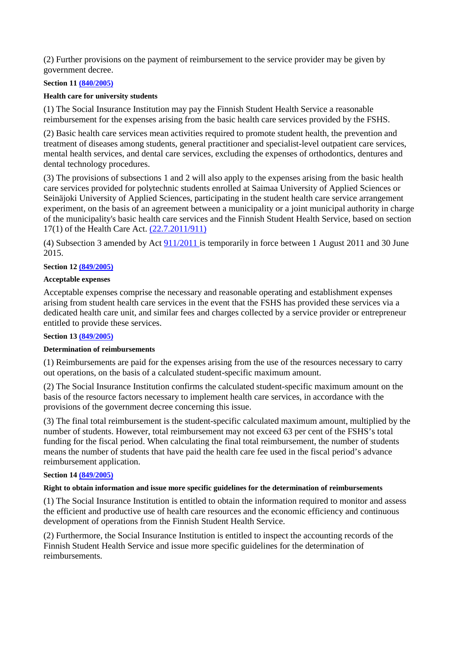(2) Further provisions on the payment of reimbursement to the service provider may be given by government decree.

### **Section 11 (840/2005)**

### **Health care for university students**

(1) The Social Insurance Institution may pay the Finnish Student Health Service a reasonable reimbursement for the expenses arising from the basic health care services provided by the FSHS.

(2) Basic health care services mean activities required to promote student health, the prevention and treatment of diseases among students, general practitioner and specialist-level outpatient care services, mental health services, and dental care services, excluding the expenses of orthodontics, dentures and dental technology procedures.

(3) The provisions of subsections 1 and 2 will also apply to the expenses arising from the basic health care services provided for polytechnic students enrolled at Saimaa University of Applied Sciences or Seinäjoki University of Applied Sciences, participating in the student health care service arrangement experiment, on the basis of an agreement between a municipality or a joint municipal authority in charge of the municipality's basic health care services and the Finnish Student Health Service, based on section 17(1) of the Health Care Act. (22.7.2011/911)

(4) Subsection 3 amended by Act 911/2011 is temporarily in force between 1 August 2011 and 30 June 2015.

# **Section 12 (849/2005)**

#### **Acceptable expenses**

Acceptable expenses comprise the necessary and reasonable operating and establishment expenses arising from student health care services in the event that the FSHS has provided these services via a dedicated health care unit, and similar fees and charges collected by a service provider or entrepreneur entitled to provide these services.

### **Section 13 (849/2005)**

### **Determination of reimbursements**

(1) Reimbursements are paid for the expenses arising from the use of the resources necessary to carry out operations, on the basis of a calculated student-specific maximum amount.

(2) The Social Insurance Institution confirms the calculated student-specific maximum amount on the basis of the resource factors necessary to implement health care services, in accordance with the provisions of the government decree concerning this issue.

(3) The final total reimbursement is the student-specific calculated maximum amount, multiplied by the number of students. However, total reimbursement may not exceed 63 per cent of the FSHS's total funding for the fiscal period. When calculating the final total reimbursement, the number of students means the number of students that have paid the health care fee used in the fiscal period's advance reimbursement application.

#### **Section 14 (849/2005)**

#### **Right to obtain information and issue more specific guidelines for the determination of reimbursements**

(1) The Social Insurance Institution is entitled to obtain the information required to monitor and assess the efficient and productive use of health care resources and the economic efficiency and continuous development of operations from the Finnish Student Health Service.

(2) Furthermore, the Social Insurance Institution is entitled to inspect the accounting records of the Finnish Student Health Service and issue more specific guidelines for the determination of reimbursements.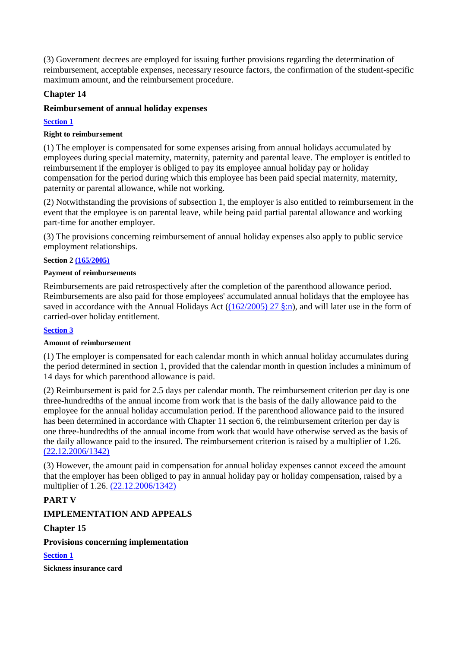(3) Government decrees are employed for issuing further provisions regarding the determination of reimbursement, acceptable expenses, necessary resource factors, the confirmation of the student-specific maximum amount, and the reimbursement procedure.

# **Chapter 14**

# **Reimbursement of annual holiday expenses**

### **Section 1**

### **Right to reimbursement**

(1) The employer is compensated for some expenses arising from annual holidays accumulated by employees during special maternity, maternity, paternity and parental leave. The employer is entitled to reimbursement if the employer is obliged to pay its employee annual holiday pay or holiday compensation for the period during which this employee has been paid special maternity, maternity, paternity or parental allowance, while not working.

(2) Notwithstanding the provisions of subsection 1, the employer is also entitled to reimbursement in the event that the employee is on parental leave, while being paid partial parental allowance and working part-time for another employer.

(3) The provisions concerning reimbursement of annual holiday expenses also apply to public service employment relationships.

#### **Section 2 (165/2005)**

#### **Payment of reimbursements**

Reimbursements are paid retrospectively after the completion of the parenthood allowance period. Reimbursements are also paid for those employees' accumulated annual holidays that the employee has saved in accordance with the Annual Holidays Act ((162/2005) 27 §:n), and will later use in the form of carried-over holiday entitlement.

### **Section 3**

### **Amount of reimbursement**

(1) The employer is compensated for each calendar month in which annual holiday accumulates during the period determined in section 1, provided that the calendar month in question includes a minimum of 14 days for which parenthood allowance is paid.

(2) Reimbursement is paid for 2.5 days per calendar month. The reimbursement criterion per day is one three-hundredths of the annual income from work that is the basis of the daily allowance paid to the employee for the annual holiday accumulation period. If the parenthood allowance paid to the insured has been determined in accordance with Chapter 11 section 6, the reimbursement criterion per day is one three-hundredths of the annual income from work that would have otherwise served as the basis of the daily allowance paid to the insured. The reimbursement criterion is raised by a multiplier of 1.26. (22.12.2006/1342)

(3) However, the amount paid in compensation for annual holiday expenses cannot exceed the amount that the employer has been obliged to pay in annual holiday pay or holiday compensation, raised by a multiplier of 1.26. (22.12.2006/1342)

# **PART V**

# **IMPLEMENTATION AND APPEALS**

### **Chapter 15**

# **Provisions concerning implementation**

**Section 1** 

**Sickness insurance card**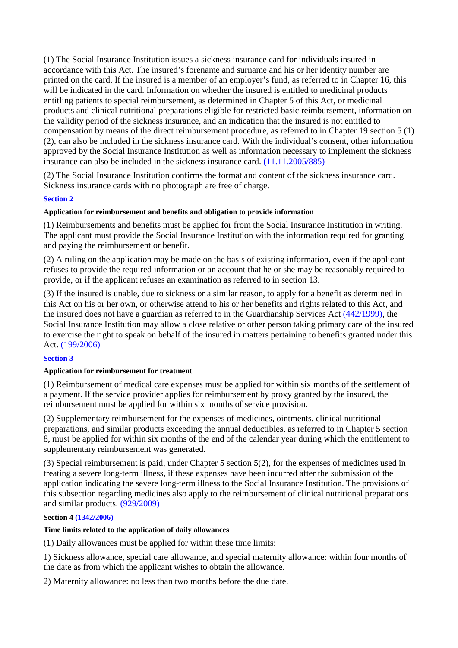(1) The Social Insurance Institution issues a sickness insurance card for individuals insured in accordance with this Act. The insured's forename and surname and his or her identity number are printed on the card. If the insured is a member of an employer's fund, as referred to in Chapter 16, this will be indicated in the card. Information on whether the insured is entitled to medicinal products entitling patients to special reimbursement, as determined in Chapter 5 of this Act, or medicinal products and clinical nutritional preparations eligible for restricted basic reimbursement, information on the validity period of the sickness insurance, and an indication that the insured is not entitled to compensation by means of the direct reimbursement procedure, as referred to in Chapter 19 section 5 (1) (2), can also be included in the sickness insurance card. With the individual's consent, other information approved by the Social Insurance Institution as well as information necessary to implement the sickness insurance can also be included in the sickness insurance card. (11.11.2005/885)

(2) The Social Insurance Institution confirms the format and content of the sickness insurance card. Sickness insurance cards with no photograph are free of charge.

# **Section 2**

### **Application for reimbursement and benefits and obligation to provide information**

(1) Reimbursements and benefits must be applied for from the Social Insurance Institution in writing. The applicant must provide the Social Insurance Institution with the information required for granting and paying the reimbursement or benefit.

(2) A ruling on the application may be made on the basis of existing information, even if the applicant refuses to provide the required information or an account that he or she may be reasonably required to provide, or if the applicant refuses an examination as referred to in section 13.

(3) If the insured is unable, due to sickness or a similar reason, to apply for a benefit as determined in this Act on his or her own, or otherwise attend to his or her benefits and rights related to this Act, and the insured does not have a guardian as referred to in the Guardianship Services Act (442/1999), the Social Insurance Institution may allow a close relative or other person taking primary care of the insured to exercise the right to speak on behalf of the insured in matters pertaining to benefits granted under this Act. (199/2006)

### **Section 3**

### **Application for reimbursement for treatment**

(1) Reimbursement of medical care expenses must be applied for within six months of the settlement of a payment. If the service provider applies for reimbursement by proxy granted by the insured, the reimbursement must be applied for within six months of service provision.

(2) Supplementary reimbursement for the expenses of medicines, ointments, clinical nutritional preparations, and similar products exceeding the annual deductibles, as referred to in Chapter 5 section 8, must be applied for within six months of the end of the calendar year during which the entitlement to supplementary reimbursement was generated.

(3) Special reimbursement is paid, under Chapter 5 section 5(2), for the expenses of medicines used in treating a severe long-term illness, if these expenses have been incurred after the submission of the application indicating the severe long-term illness to the Social Insurance Institution. The provisions of this subsection regarding medicines also apply to the reimbursement of clinical nutritional preparations and similar products. (929/2009)

### **Section 4 (1342/2006)**

### **Time limits related to the application of daily allowances**

(1) Daily allowances must be applied for within these time limits:

1) Sickness allowance, special care allowance, and special maternity allowance: within four months of the date as from which the applicant wishes to obtain the allowance.

2) Maternity allowance: no less than two months before the due date.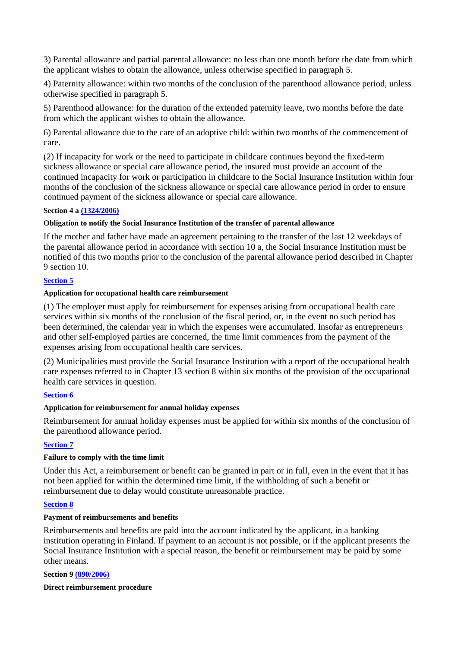3) Parental allowance and partial parental allowance: no less than one month before the date from which the applicant wishes to obtain the allowance, unless otherwise specified in paragraph 5.

4) Paternity allowance: within two months of the conclusion of the parenthood allowance period, unless otherwise specified in paragraph 5.

5) Parenthood allowance: for the duration of the extended paternity leave, two months before the date from which the applicant wishes to obtain the allowance.

6) Parental allowance due to the care of an adoptive child: within two months of the commencement of care.

(2) If incapacity for work or the need to participate in childcare continues beyond the fixed-term sickness allowance or special care allowance period, the insured must provide an account of the continued incapacity for work or participation in childcare to the Social Insurance Institution within four months of the conclusion of the sickness allowance or special care allowance period in order to ensure continued payment of the sickness allowance or special care allowance.

### **Section 4 a (1324/2006)**

### **Obligation to notify the Social Insurance Institution of the transfer of parental allowance**

If the mother and father have made an agreement pertaining to the transfer of the last 12 weekdays of the parental allowance period in accordance with section 10 a, the Social Insurance Institution must be notified of this two months prior to the conclusion of the parental allowance period described in Chapter 9 section 10.

### **Section 5**

### **Application for occupational health care reimbursement**

(1) The employer must apply for reimbursement for expenses arising from occupational health care services within six months of the conclusion of the fiscal period, or, in the event no such period has been determined, the calendar year in which the expenses were accumulated. Insofar as entrepreneurs and other self-employed parties are concerned, the time limit commences from the payment of the expenses arising from occupational health care services.

(2) Municipalities must provide the Social Insurance Institution with a report of the occupational health care expenses referred to in Chapter 13 section 8 within six months of the provision of the occupational health care services in question.

### **Section 6**

### **Application for reimbursement for annual holiday expenses**

Reimbursement for annual holiday expenses must be applied for within six months of the conclusion of the parenthood allowance period.

# **Section 7**

### **Failure to comply with the time limit**

Under this Act, a reimbursement or benefit can be granted in part or in full, even in the event that it has not been applied for within the determined time limit, if the withholding of such a benefit or reimbursement due to delay would constitute unreasonable practice.

### **Section 8**

### **Payment of reimbursements and benefits**

Reimbursements and benefits are paid into the account indicated by the applicant, in a banking institution operating in Finland. If payment to an account is not possible, or if the applicant presents the Social Insurance Institution with a special reason, the benefit or reimbursement may be paid by some other means.

### **Section 9 (890/2006)**

### **Direct reimbursement procedure**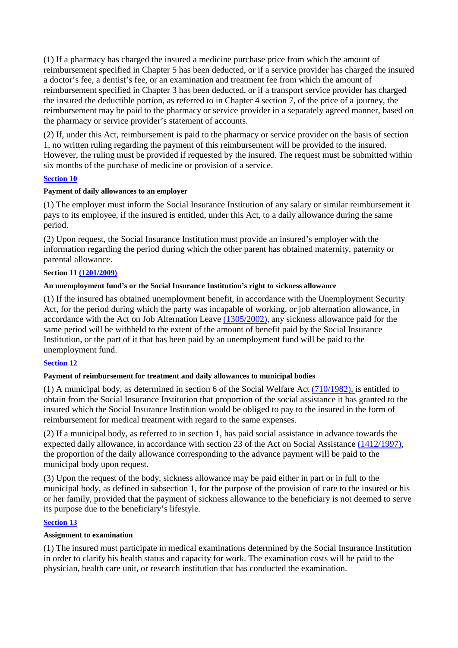(1) If a pharmacy has charged the insured a medicine purchase price from which the amount of reimbursement specified in Chapter 5 has been deducted, or if a service provider has charged the insured a doctor's fee, a dentist's fee, or an examination and treatment fee from which the amount of reimbursement specified in Chapter 3 has been deducted, or if a transport service provider has charged the insured the deductible portion, as referred to in Chapter 4 section 7, of the price of a journey, the reimbursement may be paid to the pharmacy or service provider in a separately agreed manner, based on the pharmacy or service provider's statement of accounts.

(2) If, under this Act, reimbursement is paid to the pharmacy or service provider on the basis of section 1, no written ruling regarding the payment of this reimbursement will be provided to the insured. However, the ruling must be provided if requested by the insured. The request must be submitted within six months of the purchase of medicine or provision of a service.

# **Section 10**

### **Payment of daily allowances to an employer**

(1) The employer must inform the Social Insurance Institution of any salary or similar reimbursement it pays to its employee, if the insured is entitled, under this Act, to a daily allowance during the same period.

(2) Upon request, the Social Insurance Institution must provide an insured's employer with the information regarding the period during which the other parent has obtained maternity, paternity or parental allowance.

### **Section 11 (1201/2009)**

### **An unemployment fund's or the Social Insurance Institution's right to sickness allowance**

(1) If the insured has obtained unemployment benefit, in accordance with the Unemployment Security Act, for the period during which the party was incapable of working, or job alternation allowance, in accordance with the Act on Job Alternation Leave (1305/2002), any sickness allowance paid for the same period will be withheld to the extent of the amount of benefit paid by the Social Insurance Institution, or the part of it that has been paid by an unemployment fund will be paid to the unemployment fund.

# **Section 12**

# **Payment of reimbursement for treatment and daily allowances to municipal bodies**

(1) A municipal body, as determined in section 6 of the Social Welfare Act (710/1982), is entitled to obtain from the Social Insurance Institution that proportion of the social assistance it has granted to the insured which the Social Insurance Institution would be obliged to pay to the insured in the form of reimbursement for medical treatment with regard to the same expenses.

(2) If a municipal body, as referred to in section 1, has paid social assistance in advance towards the expected daily allowance, in accordance with section 23 of the Act on Social Assistance (1412/1997), the proportion of the daily allowance corresponding to the advance payment will be paid to the municipal body upon request.

(3) Upon the request of the body, sickness allowance may be paid either in part or in full to the municipal body, as defined in subsection 1, for the purpose of the provision of care to the insured or his or her family, provided that the payment of sickness allowance to the beneficiary is not deemed to serve its purpose due to the beneficiary's lifestyle.

### **Section 13**

### **Assignment to examination**

(1) The insured must participate in medical examinations determined by the Social Insurance Institution in order to clarify his health status and capacity for work. The examination costs will be paid to the physician, health care unit, or research institution that has conducted the examination.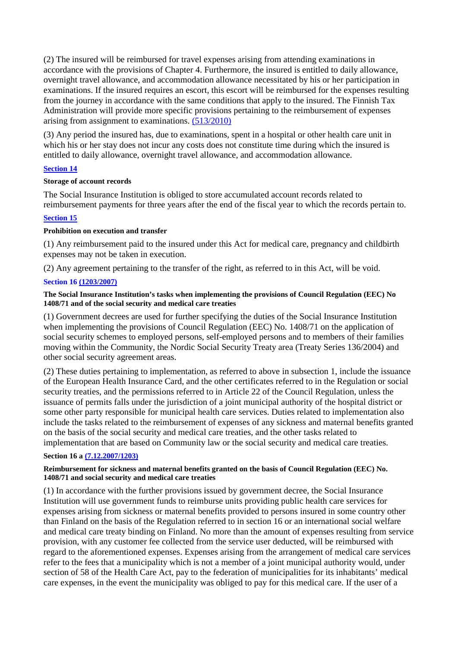(2) The insured will be reimbursed for travel expenses arising from attending examinations in accordance with the provisions of Chapter 4. Furthermore, the insured is entitled to daily allowance, overnight travel allowance, and accommodation allowance necessitated by his or her participation in examinations. If the insured requires an escort, this escort will be reimbursed for the expenses resulting from the journey in accordance with the same conditions that apply to the insured. The Finnish Tax Administration will provide more specific provisions pertaining to the reimbursement of expenses arising from assignment to examinations. (513/2010)

(3) Any period the insured has, due to examinations, spent in a hospital or other health care unit in which his or her stay does not incur any costs does not constitute time during which the insured is entitled to daily allowance, overnight travel allowance, and accommodation allowance.

### **Section 14**

#### **Storage of account records**

The Social Insurance Institution is obliged to store accumulated account records related to reimbursement payments for three years after the end of the fiscal year to which the records pertain to.

### **Section 15**

### **Prohibition on execution and transfer**

(1) Any reimbursement paid to the insured under this Act for medical care, pregnancy and childbirth expenses may not be taken in execution.

(2) Any agreement pertaining to the transfer of the right, as referred to in this Act, will be void.

### **Section 16 (1203/2007)**

#### **The Social Insurance Institution's tasks when implementing the provisions of Council Regulation (EEC) No 1408/71 and of the social security and medical care treaties**

(1) Government decrees are used for further specifying the duties of the Social Insurance Institution when implementing the provisions of Council Regulation (EEC) No. 1408/71 on the application of social security schemes to employed persons, self-employed persons and to members of their families moving within the Community, the Nordic Social Security Treaty area (Treaty Series 136/2004) and other social security agreement areas.

(2) These duties pertaining to implementation, as referred to above in subsection 1, include the issuance of the European Health Insurance Card, and the other certificates referred to in the Regulation or social security treaties, and the permissions referred to in Article 22 of the Council Regulation, unless the issuance of permits falls under the jurisdiction of a joint municipal authority of the hospital district or some other party responsible for municipal health care services. Duties related to implementation also include the tasks related to the reimbursement of expenses of any sickness and maternal benefits granted on the basis of the social security and medical care treaties, and the other tasks related to implementation that are based on Community law or the social security and medical care treaties.

### **Section 16 a (7.12.2007/1203)**

### **Reimbursement for sickness and maternal benefits granted on the basis of Council Regulation (EEC) No. 1408/71 and social security and medical care treaties**

(1) In accordance with the further provisions issued by government decree, the Social Insurance Institution will use government funds to reimburse units providing public health care services for expenses arising from sickness or maternal benefits provided to persons insured in some country other than Finland on the basis of the Regulation referred to in section 16 or an international social welfare and medical care treaty binding on Finland. No more than the amount of expenses resulting from service provision, with any customer fee collected from the service user deducted, will be reimbursed with regard to the aforementioned expenses. Expenses arising from the arrangement of medical care services refer to the fees that a municipality which is not a member of a joint municipal authority would, under section of 58 of the Health Care Act, pay to the federation of municipalities for its inhabitants' medical care expenses, in the event the municipality was obliged to pay for this medical care. If the user of a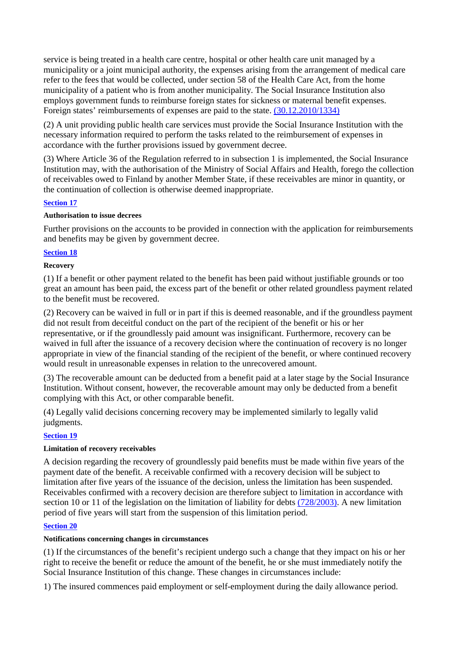service is being treated in a health care centre, hospital or other health care unit managed by a municipality or a joint municipal authority, the expenses arising from the arrangement of medical care refer to the fees that would be collected, under section 58 of the Health Care Act, from the home municipality of a patient who is from another municipality. The Social Insurance Institution also employs government funds to reimburse foreign states for sickness or maternal benefit expenses. Foreign states' reimbursements of expenses are paid to the state. (30.12.2010/1334)

(2) A unit providing public health care services must provide the Social Insurance Institution with the necessary information required to perform the tasks related to the reimbursement of expenses in accordance with the further provisions issued by government decree.

(3) Where Article 36 of the Regulation referred to in subsection 1 is implemented, the Social Insurance Institution may, with the authorisation of the Ministry of Social Affairs and Health, forego the collection of receivables owed to Finland by another Member State, if these receivables are minor in quantity, or the continuation of collection is otherwise deemed inappropriate.

# **Section 17**

### **Authorisation to issue decrees**

Further provisions on the accounts to be provided in connection with the application for reimbursements and benefits may be given by government decree.

### **Section 18**

### **Recovery**

(1) If a benefit or other payment related to the benefit has been paid without justifiable grounds or too great an amount has been paid, the excess part of the benefit or other related groundless payment related to the benefit must be recovered.

(2) Recovery can be waived in full or in part if this is deemed reasonable, and if the groundless payment did not result from deceitful conduct on the part of the recipient of the benefit or his or her representative, or if the groundlessly paid amount was insignificant. Furthermore, recovery can be waived in full after the issuance of a recovery decision where the continuation of recovery is no longer appropriate in view of the financial standing of the recipient of the benefit, or where continued recovery would result in unreasonable expenses in relation to the unrecovered amount.

(3) The recoverable amount can be deducted from a benefit paid at a later stage by the Social Insurance Institution. Without consent, however, the recoverable amount may only be deducted from a benefit complying with this Act, or other comparable benefit.

(4) Legally valid decisions concerning recovery may be implemented similarly to legally valid judgments.

# **Section 19**

### **Limitation of recovery receivables**

A decision regarding the recovery of groundlessly paid benefits must be made within five years of the payment date of the benefit. A receivable confirmed with a recovery decision will be subject to limitation after five years of the issuance of the decision, unless the limitation has been suspended. Receivables confirmed with a recovery decision are therefore subject to limitation in accordance with section 10 or 11 of the legislation on the limitation of liability for debts (728/2003). A new limitation period of five years will start from the suspension of this limitation period.

# **Section 20**

# **Notifications concerning changes in circumstances**

(1) If the circumstances of the benefit's recipient undergo such a change that they impact on his or her right to receive the benefit or reduce the amount of the benefit, he or she must immediately notify the Social Insurance Institution of this change. These changes in circumstances include:

1) The insured commences paid employment or self-employment during the daily allowance period.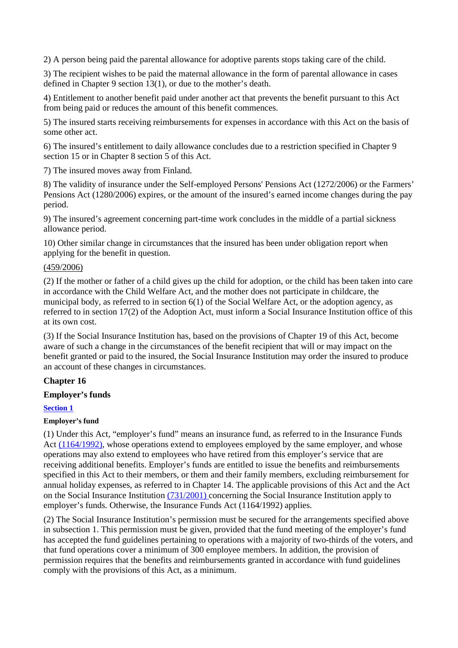2) A person being paid the parental allowance for adoptive parents stops taking care of the child.

3) The recipient wishes to be paid the maternal allowance in the form of parental allowance in cases defined in Chapter 9 section 13(1), or due to the mother's death.

4) Entitlement to another benefit paid under another act that prevents the benefit pursuant to this Act from being paid or reduces the amount of this benefit commences.

5) The insured starts receiving reimbursements for expenses in accordance with this Act on the basis of some other act.

6) The insured's entitlement to daily allowance concludes due to a restriction specified in Chapter 9 section 15 or in Chapter 8 section 5 of this Act.

7) The insured moves away from Finland.

8) The validity of insurance under the Self-employed Persons' Pensions Act (1272/2006) or the Farmers' Pensions Act (1280/2006) expires, or the amount of the insured's earned income changes during the pay period.

9) The insured's agreement concerning part-time work concludes in the middle of a partial sickness allowance period.

10) Other similar change in circumstances that the insured has been under obligation report when applying for the benefit in question.

### (459/2006)

(2) If the mother or father of a child gives up the child for adoption, or the child has been taken into care in accordance with the Child Welfare Act, and the mother does not participate in childcare, the municipal body, as referred to in section 6(1) of the Social Welfare Act, or the adoption agency, as referred to in section 17(2) of the Adoption Act, must inform a Social Insurance Institution office of this at its own cost.

(3) If the Social Insurance Institution has, based on the provisions of Chapter 19 of this Act, become aware of such a change in the circumstances of the benefit recipient that will or may impact on the benefit granted or paid to the insured, the Social Insurance Institution may order the insured to produce an account of these changes in circumstances.

# **Chapter 16**

### **Employer's funds**

### **Section 1**

### **Employer's fund**

(1) Under this Act, "employer's fund" means an insurance fund, as referred to in the Insurance Funds Act (1164/1992), whose operations extend to employees employed by the same employer, and whose operations may also extend to employees who have retired from this employer's service that are receiving additional benefits. Employer's funds are entitled to issue the benefits and reimbursements specified in this Act to their members, or them and their family members, excluding reimbursement for annual holiday expenses, as referred to in Chapter 14. The applicable provisions of this Act and the Act on the Social Insurance Institution (731/2001) concerning the Social Insurance Institution apply to employer's funds. Otherwise, the Insurance Funds Act (1164/1992) applies.

(2) The Social Insurance Institution's permission must be secured for the arrangements specified above in subsection 1. This permission must be given, provided that the fund meeting of the employer's fund has accepted the fund guidelines pertaining to operations with a majority of two-thirds of the voters, and that fund operations cover a minimum of 300 employee members. In addition, the provision of permission requires that the benefits and reimbursements granted in accordance with fund guidelines comply with the provisions of this Act, as a minimum.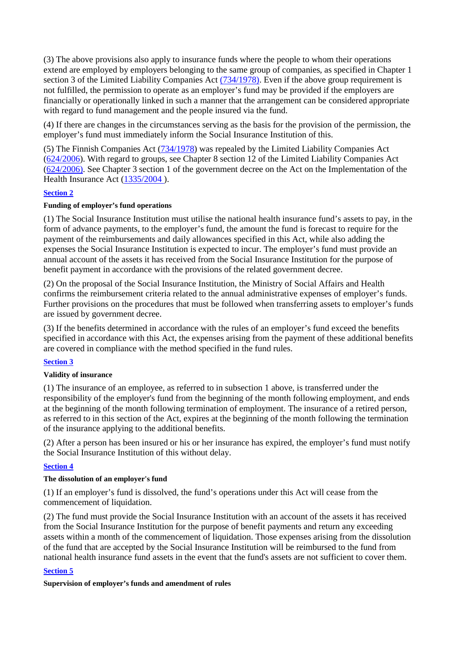(3) The above provisions also apply to insurance funds where the people to whom their operations extend are employed by employers belonging to the same group of companies, as specified in Chapter 1 section 3 of the Limited Liability Companies Act (734/1978). Even if the above group requirement is not fulfilled, the permission to operate as an employer's fund may be provided if the employers are financially or operationally linked in such a manner that the arrangement can be considered appropriate with regard to fund management and the people insured via the fund.

(4) If there are changes in the circumstances serving as the basis for the provision of the permission, the employer's fund must immediately inform the Social Insurance Institution of this.

(5) The Finnish Companies Act (734/1978) was repealed by the Limited Liability Companies Act (624/2006). With regard to groups, see Chapter 8 section 12 of the Limited Liability Companies Act (624/2006). See Chapter 3 section 1 of the government decree on the Act on the Implementation of the Health Insurance Act (1335/2004 ).

### **Section 2**

### **Funding of employer's fund operations**

(1) The Social Insurance Institution must utilise the national health insurance fund's assets to pay, in the form of advance payments, to the employer's fund, the amount the fund is forecast to require for the payment of the reimbursements and daily allowances specified in this Act, while also adding the expenses the Social Insurance Institution is expected to incur. The employer's fund must provide an annual account of the assets it has received from the Social Insurance Institution for the purpose of benefit payment in accordance with the provisions of the related government decree.

(2) On the proposal of the Social Insurance Institution, the Ministry of Social Affairs and Health confirms the reimbursement criteria related to the annual administrative expenses of employer's funds. Further provisions on the procedures that must be followed when transferring assets to employer's funds are issued by government decree.

(3) If the benefits determined in accordance with the rules of an employer's fund exceed the benefits specified in accordance with this Act, the expenses arising from the payment of these additional benefits are covered in compliance with the method specified in the fund rules.

### **Section 3**

### **Validity of insurance**

(1) The insurance of an employee, as referred to in subsection 1 above, is transferred under the responsibility of the employer's fund from the beginning of the month following employment, and ends at the beginning of the month following termination of employment. The insurance of a retired person, as referred to in this section of the Act, expires at the beginning of the month following the termination of the insurance applying to the additional benefits.

(2) After a person has been insured or his or her insurance has expired, the employer's fund must notify the Social Insurance Institution of this without delay.

### **Section 4**

### **The dissolution of an employer's fund**

(1) If an employer's fund is dissolved, the fund's operations under this Act will cease from the commencement of liquidation.

(2) The fund must provide the Social Insurance Institution with an account of the assets it has received from the Social Insurance Institution for the purpose of benefit payments and return any exceeding assets within a month of the commencement of liquidation. Those expenses arising from the dissolution of the fund that are accepted by the Social Insurance Institution will be reimbursed to the fund from national health insurance fund assets in the event that the fund's assets are not sufficient to cover them.

### **Section 5**

### **Supervision of employer's funds and amendment of rules**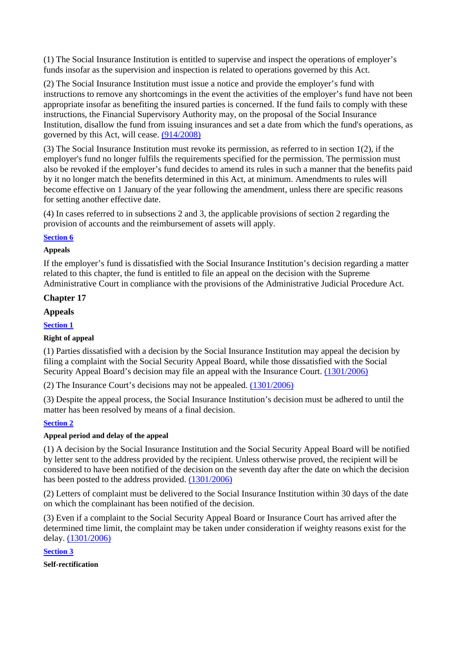(1) The Social Insurance Institution is entitled to supervise and inspect the operations of employer's funds insofar as the supervision and inspection is related to operations governed by this Act.

(2) The Social Insurance Institution must issue a notice and provide the employer's fund with instructions to remove any shortcomings in the event the activities of the employer's fund have not been appropriate insofar as benefiting the insured parties is concerned. If the fund fails to comply with these instructions, the Financial Supervisory Authority may, on the proposal of the Social Insurance Institution, disallow the fund from issuing insurances and set a date from which the fund's operations, as governed by this Act, will cease. (914/2008)

(3) The Social Insurance Institution must revoke its permission, as referred to in section 1(2), if the employer's fund no longer fulfils the requirements specified for the permission. The permission must also be revoked if the employer's fund decides to amend its rules in such a manner that the benefits paid by it no longer match the benefits determined in this Act, at minimum. Amendments to rules will become effective on 1 January of the year following the amendment, unless there are specific reasons for setting another effective date.

(4) In cases referred to in subsections 2 and 3, the applicable provisions of section 2 regarding the provision of accounts and the reimbursement of assets will apply.

### **Section 6**

### **Appeals**

If the employer's fund is dissatisfied with the Social Insurance Institution's decision regarding a matter related to this chapter, the fund is entitled to file an appeal on the decision with the Supreme Administrative Court in compliance with the provisions of the Administrative Judicial Procedure Act.

# **Chapter 17**

### **Appeals**

**Section 1** 

### **Right of appeal**

(1) Parties dissatisfied with a decision by the Social Insurance Institution may appeal the decision by filing a complaint with the Social Security Appeal Board, while those dissatisfied with the Social Security Appeal Board's decision may file an appeal with the Insurance Court. (1301/2006)

(2) The Insurance Court's decisions may not be appealed. (1301/2006)

(3) Despite the appeal process, the Social Insurance Institution's decision must be adhered to until the matter has been resolved by means of a final decision.

# **Section 2**

# **Appeal period and delay of the appeal**

(1) A decision by the Social Insurance Institution and the Social Security Appeal Board will be notified by letter sent to the address provided by the recipient. Unless otherwise proved, the recipient will be considered to have been notified of the decision on the seventh day after the date on which the decision has been posted to the address provided. (1301/2006)

(2) Letters of complaint must be delivered to the Social Insurance Institution within 30 days of the date on which the complainant has been notified of the decision.

(3) Even if a complaint to the Social Security Appeal Board or Insurance Court has arrived after the determined time limit, the complaint may be taken under consideration if weighty reasons exist for the delay. (1301/2006)

# **Section 3**

**Self-rectification**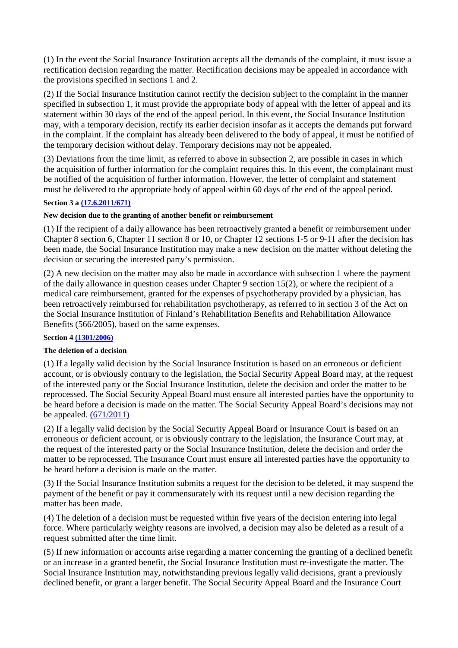(1) In the event the Social Insurance Institution accepts all the demands of the complaint, it must issue a rectification decision regarding the matter. Rectification decisions may be appealed in accordance with the provisions specified in sections 1 and 2.

(2) If the Social Insurance Institution cannot rectify the decision subject to the complaint in the manner specified in subsection 1, it must provide the appropriate body of appeal with the letter of appeal and its statement within 30 days of the end of the appeal period. In this event, the Social Insurance Institution may, with a temporary decision, rectify its earlier decision insofar as it accepts the demands put forward in the complaint. If the complaint has already been delivered to the body of appeal, it must be notified of the temporary decision without delay. Temporary decisions may not be appealed.

(3) Deviations from the time limit, as referred to above in subsection 2, are possible in cases in which the acquisition of further information for the complaint requires this. In this event, the complainant must be notified of the acquisition of further information. However, the letter of complaint and statement must be delivered to the appropriate body of appeal within 60 days of the end of the appeal period.

### **Section 3 a (17.6.2011/671)**

### **New decision due to the granting of another benefit or reimbursement**

(1) If the recipient of a daily allowance has been retroactively granted a benefit or reimbursement under Chapter 8 section 6, Chapter 11 section 8 or 10, or Chapter 12 sections 1-5 or 9-11 after the decision has been made, the Social Insurance Institution may make a new decision on the matter without deleting the decision or securing the interested party's permission.

(2) A new decision on the matter may also be made in accordance with subsection 1 where the payment of the daily allowance in question ceases under Chapter 9 section 15(2), or where the recipient of a medical care reimbursement, granted for the expenses of psychotherapy provided by a physician, has been retroactively reimbursed for rehabilitation psychotherapy, as referred to in section 3 of the Act on the Social Insurance Institution of Finland's Rehabilitation Benefits and Rehabilitation Allowance Benefits (566/2005), based on the same expenses.

### **Section 4 (1301/2006)**

### **The deletion of a decision**

(1) If a legally valid decision by the Social Insurance Institution is based on an erroneous or deficient account, or is obviously contrary to the legislation, the Social Security Appeal Board may, at the request of the interested party or the Social Insurance Institution, delete the decision and order the matter to be reprocessed. The Social Security Appeal Board must ensure all interested parties have the opportunity to be heard before a decision is made on the matter. The Social Security Appeal Board's decisions may not be appealed.  $(671/2011)$ 

(2) If a legally valid decision by the Social Security Appeal Board or Insurance Court is based on an erroneous or deficient account, or is obviously contrary to the legislation, the Insurance Court may, at the request of the interested party or the Social Insurance Institution, delete the decision and order the matter to be reprocessed. The Insurance Court must ensure all interested parties have the opportunity to be heard before a decision is made on the matter.

(3) If the Social Insurance Institution submits a request for the decision to be deleted, it may suspend the payment of the benefit or pay it commensurately with its request until a new decision regarding the matter has been made.

(4) The deletion of a decision must be requested within five years of the decision entering into legal force. Where particularly weighty reasons are involved, a decision may also be deleted as a result of a request submitted after the time limit.

(5) If new information or accounts arise regarding a matter concerning the granting of a declined benefit or an increase in a granted benefit, the Social Insurance Institution must re-investigate the matter. The Social Insurance Institution may, notwithstanding previous legally valid decisions, grant a previously declined benefit, or grant a larger benefit. The Social Security Appeal Board and the Insurance Court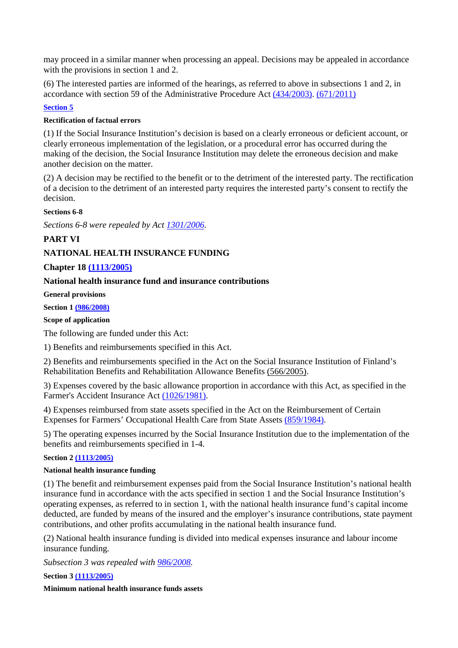may proceed in a similar manner when processing an appeal. Decisions may be appealed in accordance with the provisions in section 1 and 2.

(6) The interested parties are informed of the hearings, as referred to above in subsections 1 and 2, in accordance with section 59 of the Administrative Procedure Act (434/2003). (671/2011)

# **Section 5**

### **Rectification of factual errors**

(1) If the Social Insurance Institution's decision is based on a clearly erroneous or deficient account, or clearly erroneous implementation of the legislation, or a procedural error has occurred during the making of the decision, the Social Insurance Institution may delete the erroneous decision and make another decision on the matter.

(2) A decision may be rectified to the benefit or to the detriment of the interested party. The rectification of a decision to the detriment of an interested party requires the interested party's consent to rectify the decision.

### **Sections 6-8**

*Sections 6-8 were repealed by Act 1301/2006.* 

# **PART VI**

# **NATIONAL HEALTH INSURANCE FUNDING**

# **Chapter 18 (1113/2005)**

# **National health insurance fund and insurance contributions**

**General provisions** 

# **Section 1 (986/2008)**

# **Scope of application**

The following are funded under this Act:

1) Benefits and reimbursements specified in this Act.

2) Benefits and reimbursements specified in the Act on the Social Insurance Institution of Finland's Rehabilitation Benefits and Rehabilitation Allowance Benefits (566/2005).

3) Expenses covered by the basic allowance proportion in accordance with this Act, as specified in the Farmer's Accident Insurance Act (1026/1981).

4) Expenses reimbursed from state assets specified in the Act on the Reimbursement of Certain Expenses for Farmers' Occupational Health Care from State Assets (859/1984).

5) The operating expenses incurred by the Social Insurance Institution due to the implementation of the benefits and reimbursements specified in 1-4.

### **Section 2 (1113/2005)**

### **National health insurance funding**

(1) The benefit and reimbursement expenses paid from the Social Insurance Institution's national health insurance fund in accordance with the acts specified in section 1 and the Social Insurance Institution's operating expenses, as referred to in section 1, with the national health insurance fund's capital income deducted, are funded by means of the insured and the employer's insurance contributions, state payment contributions, and other profits accumulating in the national health insurance fund.

(2) National health insurance funding is divided into medical expenses insurance and labour income insurance funding.

*Subsection 3 was repealed with 986/2008.* 

**Section 3 (1113/2005)** 

#### **Minimum national health insurance funds assets**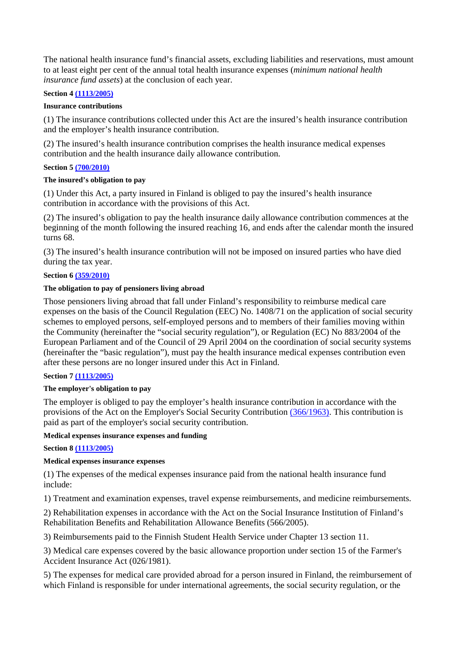The national health insurance fund's financial assets, excluding liabilities and reservations, must amount to at least eight per cent of the annual total health insurance expenses (*minimum national health insurance fund assets*) at the conclusion of each year.

### **Section 4 (1113/2005)**

### **Insurance contributions**

(1) The insurance contributions collected under this Act are the insured's health insurance contribution and the employer's health insurance contribution.

(2) The insured's health insurance contribution comprises the health insurance medical expenses contribution and the health insurance daily allowance contribution.

### **Section 5 (700/2010)**

#### **The insured's obligation to pay**

(1) Under this Act, a party insured in Finland is obliged to pay the insured's health insurance contribution in accordance with the provisions of this Act.

(2) The insured's obligation to pay the health insurance daily allowance contribution commences at the beginning of the month following the insured reaching 16, and ends after the calendar month the insured turns 68.

(3) The insured's health insurance contribution will not be imposed on insured parties who have died during the tax year.

### **Section 6 (359/2010)**

### **The obligation to pay of pensioners living abroad**

Those pensioners living abroad that fall under Finland's responsibility to reimburse medical care expenses on the basis of the Council Regulation (EEC) No. 1408/71 on the application of social security schemes to employed persons, self-employed persons and to members of their families moving within the Community (hereinafter the "social security regulation"), or Regulation (EC) No 883/2004 of the European Parliament and of the Council of 29 April 2004 on the coordination of social security systems (hereinafter the "basic regulation"), must pay the health insurance medical expenses contribution even after these persons are no longer insured under this Act in Finland.

### **Section 7 (1113/2005)**

#### **The employer's obligation to pay**

The employer is obliged to pay the employer's health insurance contribution in accordance with the provisions of the Act on the Employer's Social Security Contribution (366/1963). This contribution is paid as part of the employer's social security contribution.

#### **Medical expenses insurance expenses and funding**

**Section 8 (1113/2005)** 

### **Medical expenses insurance expenses**

(1) The expenses of the medical expenses insurance paid from the national health insurance fund include:

1) Treatment and examination expenses, travel expense reimbursements, and medicine reimbursements.

2) Rehabilitation expenses in accordance with the Act on the Social Insurance Institution of Finland's Rehabilitation Benefits and Rehabilitation Allowance Benefits (566/2005).

3) Reimbursements paid to the Finnish Student Health Service under Chapter 13 section 11.

3) Medical care expenses covered by the basic allowance proportion under section 15 of the Farmer's Accident Insurance Act (026/1981).

5) The expenses for medical care provided abroad for a person insured in Finland, the reimbursement of which Finland is responsible for under international agreements, the social security regulation, or the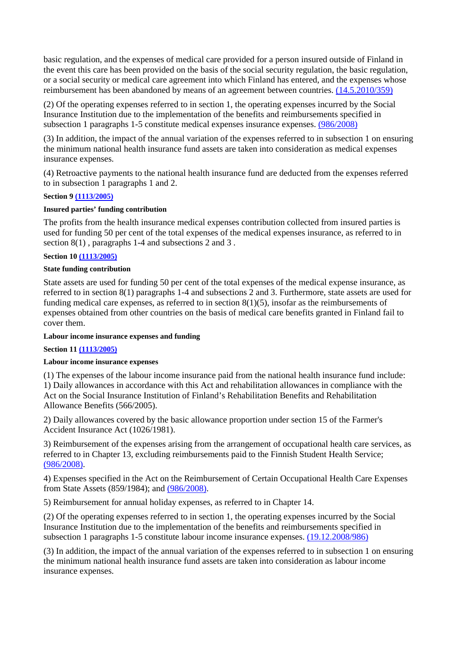basic regulation, and the expenses of medical care provided for a person insured outside of Finland in the event this care has been provided on the basis of the social security regulation, the basic regulation, or a social security or medical care agreement into which Finland has entered, and the expenses whose reimbursement has been abandoned by means of an agreement between countries. (14.5.2010/359)

(2) Of the operating expenses referred to in section 1, the operating expenses incurred by the Social Insurance Institution due to the implementation of the benefits and reimbursements specified in subsection 1 paragraphs 1-5 constitute medical expenses insurance expenses. (986/2008)

(3) In addition, the impact of the annual variation of the expenses referred to in subsection 1 on ensuring the minimum national health insurance fund assets are taken into consideration as medical expenses insurance expenses.

(4) Retroactive payments to the national health insurance fund are deducted from the expenses referred to in subsection 1 paragraphs 1 and 2.

### **Section 9 (1113/2005)**

### **Insured parties' funding contribution**

The profits from the health insurance medical expenses contribution collected from insured parties is used for funding 50 per cent of the total expenses of the medical expenses insurance, as referred to in section 8(1), paragraphs 1-4 and subsections 2 and 3.

### **Section 10 (1113/2005)**

### **State funding contribution**

State assets are used for funding 50 per cent of the total expenses of the medical expense insurance, as referred to in section 8(1) paragraphs 1-4 and subsections 2 and 3. Furthermore, state assets are used for funding medical care expenses, as referred to in section  $8(1)(5)$ , insofar as the reimbursements of expenses obtained from other countries on the basis of medical care benefits granted in Finland fail to cover them.

### **Labour income insurance expenses and funding**

# **Section 11 (1113/2005)**

# **Labour income insurance expenses**

(1) The expenses of the labour income insurance paid from the national health insurance fund include: 1) Daily allowances in accordance with this Act and rehabilitation allowances in compliance with the Act on the Social Insurance Institution of Finland's Rehabilitation Benefits and Rehabilitation Allowance Benefits (566/2005).

2) Daily allowances covered by the basic allowance proportion under section 15 of the Farmer's Accident Insurance Act (1026/1981).

3) Reimbursement of the expenses arising from the arrangement of occupational health care services, as referred to in Chapter 13, excluding reimbursements paid to the Finnish Student Health Service; (986/2008).

4) Expenses specified in the Act on the Reimbursement of Certain Occupational Health Care Expenses from State Assets (859/1984); and (986/2008).

5) Reimbursement for annual holiday expenses, as referred to in Chapter 14.

(2) Of the operating expenses referred to in section 1, the operating expenses incurred by the Social Insurance Institution due to the implementation of the benefits and reimbursements specified in subsection 1 paragraphs 1-5 constitute labour income insurance expenses. (19.12.2008/986)

(3) In addition, the impact of the annual variation of the expenses referred to in subsection 1 on ensuring the minimum national health insurance fund assets are taken into consideration as labour income insurance expenses.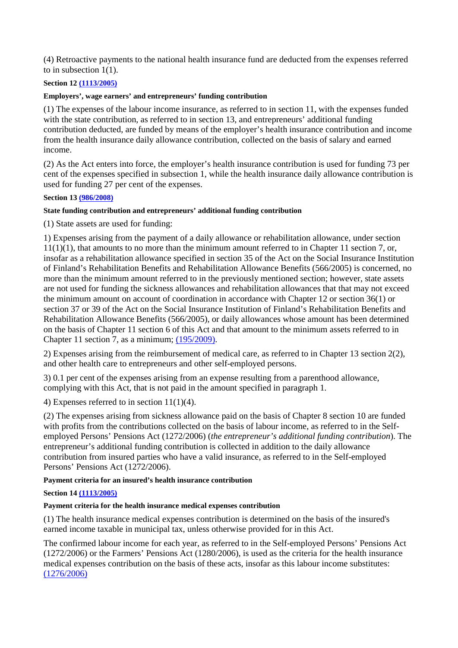(4) Retroactive payments to the national health insurance fund are deducted from the expenses referred to in subsection 1(1).

### **Section 12 (1113/2005)**

### **Employers', wage earners' and entrepreneurs' funding contribution**

(1) The expenses of the labour income insurance, as referred to in section 11, with the expenses funded with the state contribution, as referred to in section 13, and entrepreneurs' additional funding contribution deducted, are funded by means of the employer's health insurance contribution and income from the health insurance daily allowance contribution, collected on the basis of salary and earned income.

(2) As the Act enters into force, the employer's health insurance contribution is used for funding 73 per cent of the expenses specified in subsection 1, while the health insurance daily allowance contribution is used for funding 27 per cent of the expenses.

### **Section 13 (986/2008)**

### **State funding contribution and entrepreneurs' additional funding contribution**

(1) State assets are used for funding:

1) Expenses arising from the payment of a daily allowance or rehabilitation allowance, under section 11(1)(1), that amounts to no more than the minimum amount referred to in Chapter 11 section 7, or, insofar as a rehabilitation allowance specified in section 35 of the Act on the Social Insurance Institution of Finland's Rehabilitation Benefits and Rehabilitation Allowance Benefits (566/2005) is concerned, no more than the minimum amount referred to in the previously mentioned section; however, state assets are not used for funding the sickness allowances and rehabilitation allowances that that may not exceed the minimum amount on account of coordination in accordance with Chapter 12 or section 36(1) or section 37 or 39 of the Act on the Social Insurance Institution of Finland's Rehabilitation Benefits and Rehabilitation Allowance Benefits (566/2005), or daily allowances whose amount has been determined on the basis of Chapter 11 section 6 of this Act and that amount to the minimum assets referred to in Chapter 11 section 7, as a minimum; (195/2009).

2) Expenses arising from the reimbursement of medical care, as referred to in Chapter 13 section 2(2), and other health care to entrepreneurs and other self-employed persons.

3) 0.1 per cent of the expenses arising from an expense resulting from a parenthood allowance, complying with this Act, that is not paid in the amount specified in paragraph 1.

4) Expenses referred to in section 11(1)(4).

(2) The expenses arising from sickness allowance paid on the basis of Chapter 8 section 10 are funded with profits from the contributions collected on the basis of labour income, as referred to in the Selfemployed Persons' Pensions Act (1272/2006) (*the entrepreneur's additional funding contribution*). The entrepreneur's additional funding contribution is collected in addition to the daily allowance contribution from insured parties who have a valid insurance, as referred to in the Self-employed Persons' Pensions Act (1272/2006).

### **Payment criteria for an insured's health insurance contribution**

### **Section 14 (1113/2005)**

### **Payment criteria for the health insurance medical expenses contribution**

(1) The health insurance medical expenses contribution is determined on the basis of the insured's earned income taxable in municipal tax, unless otherwise provided for in this Act.

The confirmed labour income for each year, as referred to in the Self-employed Persons' Pensions Act (1272/2006) or the Farmers' Pensions Act (1280/2006), is used as the criteria for the health insurance medical expenses contribution on the basis of these acts, insofar as this labour income substitutes: (1276/2006)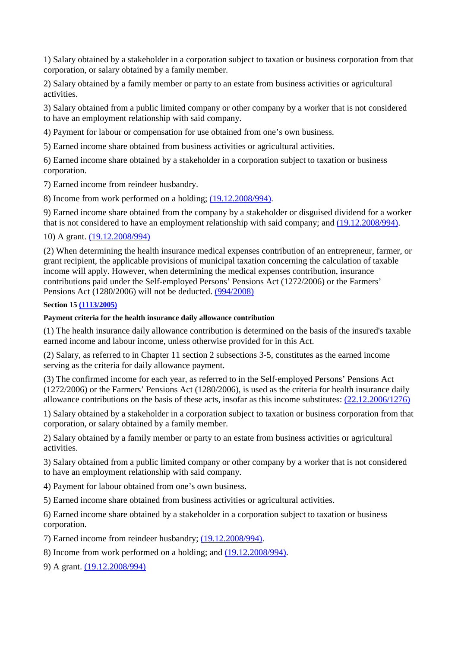1) Salary obtained by a stakeholder in a corporation subject to taxation or business corporation from that corporation, or salary obtained by a family member.

2) Salary obtained by a family member or party to an estate from business activities or agricultural activities.

3) Salary obtained from a public limited company or other company by a worker that is not considered to have an employment relationship with said company.

4) Payment for labour or compensation for use obtained from one's own business.

5) Earned income share obtained from business activities or agricultural activities.

6) Earned income share obtained by a stakeholder in a corporation subject to taxation or business corporation.

7) Earned income from reindeer husbandry.

8) Income from work performed on a holding; (19.12.2008/994).

9) Earned income share obtained from the company by a stakeholder or disguised dividend for a worker that is not considered to have an employment relationship with said company; and (19.12.2008/994).

10) A grant. (19.12.2008/994)

(2) When determining the health insurance medical expenses contribution of an entrepreneur, farmer, or grant recipient, the applicable provisions of municipal taxation concerning the calculation of taxable income will apply. However, when determining the medical expenses contribution, insurance contributions paid under the Self-employed Persons' Pensions Act (1272/2006) or the Farmers' Pensions Act (1280/2006) will not be deducted. (994/2008)

### **Section 15 (1113/2005)**

### **Payment criteria for the health insurance daily allowance contribution**

(1) The health insurance daily allowance contribution is determined on the basis of the insured's taxable earned income and labour income, unless otherwise provided for in this Act.

(2) Salary, as referred to in Chapter 11 section 2 subsections 3-5, constitutes as the earned income serving as the criteria for daily allowance payment.

(3) The confirmed income for each year, as referred to in the Self-employed Persons' Pensions Act (1272/2006) or the Farmers' Pensions Act (1280/2006), is used as the criteria for health insurance daily allowance contributions on the basis of these acts, insofar as this income substitutes: (22.12.2006/1276)

1) Salary obtained by a stakeholder in a corporation subject to taxation or business corporation from that corporation, or salary obtained by a family member.

2) Salary obtained by a family member or party to an estate from business activities or agricultural activities.

3) Salary obtained from a public limited company or other company by a worker that is not considered to have an employment relationship with said company.

4) Payment for labour obtained from one's own business.

5) Earned income share obtained from business activities or agricultural activities.

6) Earned income share obtained by a stakeholder in a corporation subject to taxation or business corporation.

7) Earned income from reindeer husbandry; (19.12.2008/994).

8) Income from work performed on a holding; and (19.12.2008/994).

9) A grant. (19.12.2008/994)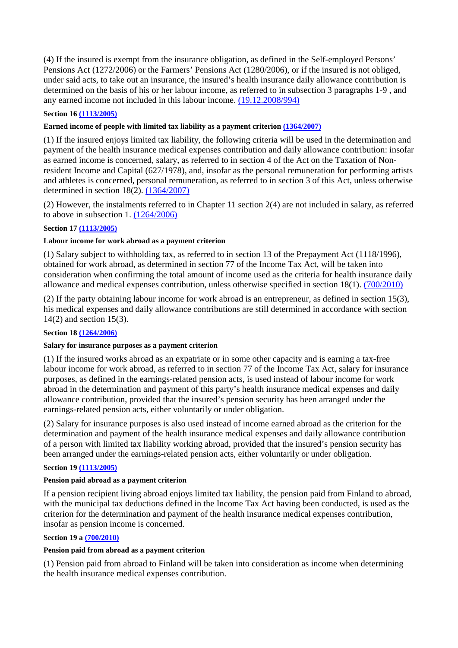(4) If the insured is exempt from the insurance obligation, as defined in the Self-employed Persons' Pensions Act (1272/2006) or the Farmers' Pensions Act (1280/2006), or if the insured is not obliged, under said acts, to take out an insurance, the insured's health insurance daily allowance contribution is determined on the basis of his or her labour income, as referred to in subsection 3 paragraphs 1-9 , and any earned income not included in this labour income. (19.12.2008/994)

### **Section 16 (1113/2005)**

### **Earned income of people with limited tax liability as a payment criterion (1364/2007)**

(1) If the insured enjoys limited tax liability, the following criteria will be used in the determination and payment of the health insurance medical expenses contribution and daily allowance contribution: insofar as earned income is concerned, salary, as referred to in section 4 of the Act on the Taxation of Nonresident Income and Capital (627/1978), and, insofar as the personal remuneration for performing artists and athletes is concerned, personal remuneration, as referred to in section 3 of this Act, unless otherwise determined in section 18(2). (1364/2007)

(2) However, the instalments referred to in Chapter 11 section 2(4) are not included in salary, as referred to above in subsection 1. (1264/2006)

# **Section 17 (1113/2005)**

### **Labour income for work abroad as a payment criterion**

(1) Salary subject to withholding tax, as referred to in section 13 of the Prepayment Act (1118/1996), obtained for work abroad, as determined in section 77 of the Income Tax Act, will be taken into consideration when confirming the total amount of income used as the criteria for health insurance daily allowance and medical expenses contribution, unless otherwise specified in section 18(1). (700/2010)

(2) If the party obtaining labour income for work abroad is an entrepreneur, as defined in section 15(3), his medical expenses and daily allowance contributions are still determined in accordance with section 14(2) and section 15(3).

### **Section 18 (1264/2006)**

### **Salary for insurance purposes as a payment criterion**

(1) If the insured works abroad as an expatriate or in some other capacity and is earning a tax-free labour income for work abroad, as referred to in section 77 of the Income Tax Act, salary for insurance purposes, as defined in the earnings-related pension acts, is used instead of labour income for work abroad in the determination and payment of this party's health insurance medical expenses and daily allowance contribution, provided that the insured's pension security has been arranged under the earnings-related pension acts, either voluntarily or under obligation.

(2) Salary for insurance purposes is also used instead of income earned abroad as the criterion for the determination and payment of the health insurance medical expenses and daily allowance contribution of a person with limited tax liability working abroad, provided that the insured's pension security has been arranged under the earnings-related pension acts, either voluntarily or under obligation.

### **Section 19 (1113/2005)**

### **Pension paid abroad as a payment criterion**

If a pension recipient living abroad enjoys limited tax liability, the pension paid from Finland to abroad, with the municipal tax deductions defined in the Income Tax Act having been conducted, is used as the criterion for the determination and payment of the health insurance medical expenses contribution, insofar as pension income is concerned.

### **Section 19 a (700/2010)**

### **Pension paid from abroad as a payment criterion**

(1) Pension paid from abroad to Finland will be taken into consideration as income when determining the health insurance medical expenses contribution.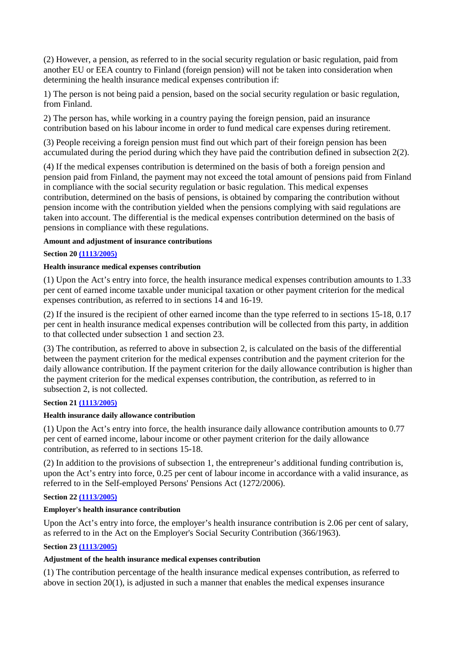(2) However, a pension, as referred to in the social security regulation or basic regulation, paid from another EU or EEA country to Finland (foreign pension) will not be taken into consideration when determining the health insurance medical expenses contribution if:

1) The person is not being paid a pension, based on the social security regulation or basic regulation, from Finland.

2) The person has, while working in a country paying the foreign pension, paid an insurance contribution based on his labour income in order to fund medical care expenses during retirement.

(3) People receiving a foreign pension must find out which part of their foreign pension has been accumulated during the period during which they have paid the contribution defined in subsection 2(2).

(4) If the medical expenses contribution is determined on the basis of both a foreign pension and pension paid from Finland, the payment may not exceed the total amount of pensions paid from Finland in compliance with the social security regulation or basic regulation. This medical expenses contribution, determined on the basis of pensions, is obtained by comparing the contribution without pension income with the contribution yielded when the pensions complying with said regulations are taken into account. The differential is the medical expenses contribution determined on the basis of pensions in compliance with these regulations.

### **Amount and adjustment of insurance contributions**

### **Section 20 (1113/2005)**

### **Health insurance medical expenses contribution**

(1) Upon the Act's entry into force, the health insurance medical expenses contribution amounts to 1.33 per cent of earned income taxable under municipal taxation or other payment criterion for the medical expenses contribution, as referred to in sections 14 and 16-19.

(2) If the insured is the recipient of other earned income than the type referred to in sections 15-18, 0.17 per cent in health insurance medical expenses contribution will be collected from this party, in addition to that collected under subsection 1 and section 23.

(3) The contribution, as referred to above in subsection 2, is calculated on the basis of the differential between the payment criterion for the medical expenses contribution and the payment criterion for the daily allowance contribution. If the payment criterion for the daily allowance contribution is higher than the payment criterion for the medical expenses contribution, the contribution, as referred to in subsection 2, is not collected.

### **Section 21 (1113/2005)**

### **Health insurance daily allowance contribution**

(1) Upon the Act's entry into force, the health insurance daily allowance contribution amounts to 0.77 per cent of earned income, labour income or other payment criterion for the daily allowance contribution, as referred to in sections 15-18.

(2) In addition to the provisions of subsection 1, the entrepreneur's additional funding contribution is, upon the Act's entry into force, 0.25 per cent of labour income in accordance with a valid insurance, as referred to in the Self-employed Persons' Pensions Act (1272/2006).

### **Section 22 (1113/2005)**

### **Employer's health insurance contribution**

Upon the Act's entry into force, the employer's health insurance contribution is 2.06 per cent of salary, as referred to in the Act on the Employer's Social Security Contribution (366/1963).

### **Section 23 (1113/2005)**

### **Adjustment of the health insurance medical expenses contribution**

(1) The contribution percentage of the health insurance medical expenses contribution, as referred to above in section 20(1), is adjusted in such a manner that enables the medical expenses insurance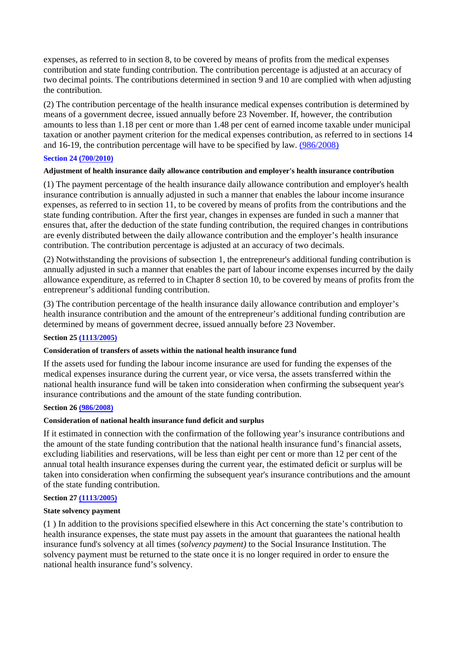expenses, as referred to in section 8, to be covered by means of profits from the medical expenses contribution and state funding contribution. The contribution percentage is adjusted at an accuracy of two decimal points. The contributions determined in section 9 and 10 are complied with when adjusting the contribution.

(2) The contribution percentage of the health insurance medical expenses contribution is determined by means of a government decree, issued annually before 23 November. If, however, the contribution amounts to less than 1.18 per cent or more than 1.48 per cent of earned income taxable under municipal taxation or another payment criterion for the medical expenses contribution, as referred to in sections 14 and 16-19, the contribution percentage will have to be specified by law. (986/2008)

### **Section 24 (700/2010)**

#### **Adjustment of health insurance daily allowance contribution and employer's health insurance contribution**

(1) The payment percentage of the health insurance daily allowance contribution and employer's health insurance contribution is annually adjusted in such a manner that enables the labour income insurance expenses, as referred to in section 11, to be covered by means of profits from the contributions and the state funding contribution. After the first year, changes in expenses are funded in such a manner that ensures that, after the deduction of the state funding contribution, the required changes in contributions are evenly distributed between the daily allowance contribution and the employer's health insurance contribution. The contribution percentage is adjusted at an accuracy of two decimals.

(2) Notwithstanding the provisions of subsection 1, the entrepreneur's additional funding contribution is annually adjusted in such a manner that enables the part of labour income expenses incurred by the daily allowance expenditure, as referred to in Chapter 8 section 10, to be covered by means of profits from the entrepreneur's additional funding contribution.

(3) The contribution percentage of the health insurance daily allowance contribution and employer's health insurance contribution and the amount of the entrepreneur's additional funding contribution are determined by means of government decree, issued annually before 23 November.

### **Section 25 (1113/2005)**

#### **Consideration of transfers of assets within the national health insurance fund**

If the assets used for funding the labour income insurance are used for funding the expenses of the medical expenses insurance during the current year, or vice versa, the assets transferred within the national health insurance fund will be taken into consideration when confirming the subsequent year's insurance contributions and the amount of the state funding contribution.

#### **Section 26 (986/2008)**

#### **Consideration of national health insurance fund deficit and surplus**

If it estimated in connection with the confirmation of the following year's insurance contributions and the amount of the state funding contribution that the national health insurance fund's financial assets, excluding liabilities and reservations, will be less than eight per cent or more than 12 per cent of the annual total health insurance expenses during the current year, the estimated deficit or surplus will be taken into consideration when confirming the subsequent year's insurance contributions and the amount of the state funding contribution.

### **Section 27 (1113/2005)**

### **State solvency payment**

(1 ) In addition to the provisions specified elsewhere in this Act concerning the state's contribution to health insurance expenses, the state must pay assets in the amount that guarantees the national health insurance fund's solvency at all times (*solvency payment)* to the Social Insurance Institution. The solvency payment must be returned to the state once it is no longer required in order to ensure the national health insurance fund's solvency.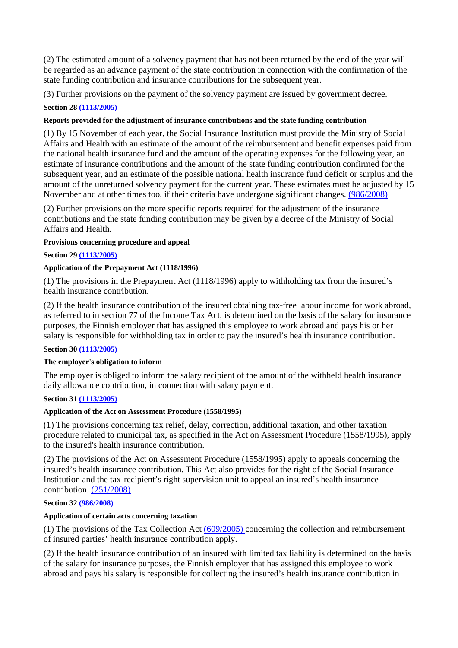(2) The estimated amount of a solvency payment that has not been returned by the end of the year will be regarded as an advance payment of the state contribution in connection with the confirmation of the state funding contribution and insurance contributions for the subsequent year.

(3) Further provisions on the payment of the solvency payment are issued by government decree.

# **Section 28 (1113/2005)**

# **Reports provided for the adjustment of insurance contributions and the state funding contribution**

(1) By 15 November of each year, the Social Insurance Institution must provide the Ministry of Social Affairs and Health with an estimate of the amount of the reimbursement and benefit expenses paid from the national health insurance fund and the amount of the operating expenses for the following year, an estimate of insurance contributions and the amount of the state funding contribution confirmed for the subsequent year, and an estimate of the possible national health insurance fund deficit or surplus and the amount of the unreturned solvency payment for the current year. These estimates must be adjusted by 15 November and at other times too, if their criteria have undergone significant changes. (986/2008)

(2) Further provisions on the more specific reports required for the adjustment of the insurance contributions and the state funding contribution may be given by a decree of the Ministry of Social Affairs and Health.

### **Provisions concerning procedure and appeal**

### **Section 29 (1113/2005)**

# **Application of the Prepayment Act (1118/1996)**

(1) The provisions in the Prepayment Act (1118/1996) apply to withholding tax from the insured's health insurance contribution.

(2) If the health insurance contribution of the insured obtaining tax-free labour income for work abroad, as referred to in section 77 of the Income Tax Act, is determined on the basis of the salary for insurance purposes, the Finnish employer that has assigned this employee to work abroad and pays his or her salary is responsible for withholding tax in order to pay the insured's health insurance contribution.

# **Section 30 (1113/2005)**

### **The employer's obligation to inform**

The employer is obliged to inform the salary recipient of the amount of the withheld health insurance daily allowance contribution, in connection with salary payment.

### **Section 31 (1113/2005)**

### **Application of the Act on Assessment Procedure (1558/1995)**

(1) The provisions concerning tax relief, delay, correction, additional taxation, and other taxation procedure related to municipal tax, as specified in the Act on Assessment Procedure (1558/1995), apply to the insured's health insurance contribution.

(2) The provisions of the Act on Assessment Procedure (1558/1995) apply to appeals concerning the insured's health insurance contribution. This Act also provides for the right of the Social Insurance Institution and the tax-recipient's right supervision unit to appeal an insured's health insurance contribution. (251/2008)

### **Section 32 (986/2008)**

# **Application of certain acts concerning taxation**

(1) The provisions of the Tax Collection Act (609/2005) concerning the collection and reimbursement of insured parties' health insurance contribution apply.

(2) If the health insurance contribution of an insured with limited tax liability is determined on the basis of the salary for insurance purposes, the Finnish employer that has assigned this employee to work abroad and pays his salary is responsible for collecting the insured's health insurance contribution in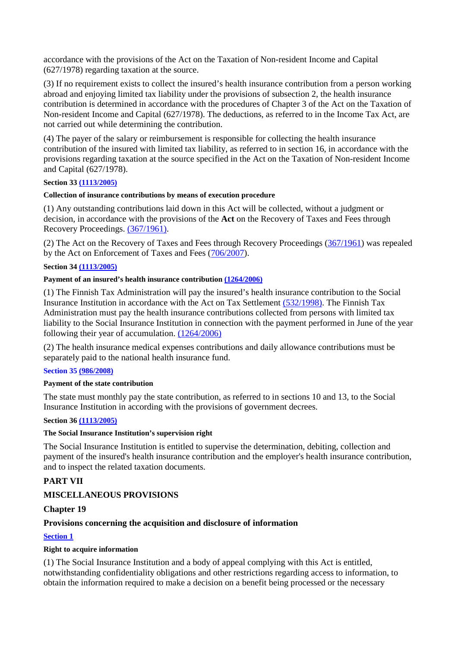accordance with the provisions of the Act on the Taxation of Non-resident Income and Capital (627/1978) regarding taxation at the source.

(3) If no requirement exists to collect the insured's health insurance contribution from a person working abroad and enjoying limited tax liability under the provisions of subsection 2, the health insurance contribution is determined in accordance with the procedures of Chapter 3 of the Act on the Taxation of Non-resident Income and Capital (627/1978). The deductions, as referred to in the Income Tax Act, are not carried out while determining the contribution.

(4) The payer of the salary or reimbursement is responsible for collecting the health insurance contribution of the insured with limited tax liability, as referred to in section 16, in accordance with the provisions regarding taxation at the source specified in the Act on the Taxation of Non-resident Income and Capital (627/1978).

# **Section 33 (1113/2005)**

### **Collection of insurance contributions by means of execution procedure**

(1) Any outstanding contributions laid down in this Act will be collected, without a judgment or decision, in accordance with the provisions of the **Act** on the Recovery of Taxes and Fees through Recovery Proceedings. (367/1961).

(2) The Act on the Recovery of Taxes and Fees through Recovery Proceedings (367/1961) was repealed by the Act on Enforcement of Taxes and Fees (706/2007).

### **Section 34 (1113/2005)**

### **Payment of an insured's health insurance contribution (1264/2006)**

(1) The Finnish Tax Administration will pay the insured's health insurance contribution to the Social Insurance Institution in accordance with the Act on Tax Settlement (532/1998). The Finnish Tax Administration must pay the health insurance contributions collected from persons with limited tax liability to the Social Insurance Institution in connection with the payment performed in June of the year following their year of accumulation. (1264/2006)

(2) The health insurance medical expenses contributions and daily allowance contributions must be separately paid to the national health insurance fund.

### **Section 35 (986/2008)**

### **Payment of the state contribution**

The state must monthly pay the state contribution, as referred to in sections 10 and 13, to the Social Insurance Institution in according with the provisions of government decrees.

### **Section 36 (1113/2005)**

### **The Social Insurance Institution's supervision right**

The Social Insurance Institution is entitled to supervise the determination, debiting, collection and payment of the insured's health insurance contribution and the employer's health insurance contribution, and to inspect the related taxation documents.

# **PART VII**

# **MISCELLANEOUS PROVISIONS**

# **Chapter 19**

# **Provisions concerning the acquisition and disclosure of information**

# **Section 1**

### **Right to acquire information**

(1) The Social Insurance Institution and a body of appeal complying with this Act is entitled, notwithstanding confidentiality obligations and other restrictions regarding access to information, to obtain the information required to make a decision on a benefit being processed or the necessary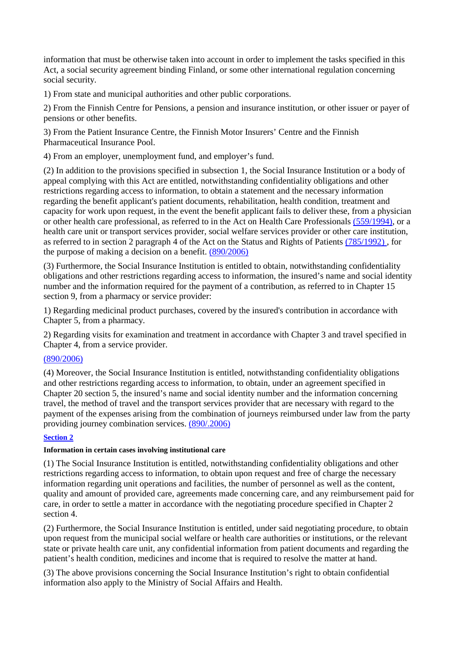information that must be otherwise taken into account in order to implement the tasks specified in this Act, a social security agreement binding Finland, or some other international regulation concerning social security.

1) From state and municipal authorities and other public corporations.

2) From the Finnish Centre for Pensions, a pension and insurance institution, or other issuer or payer of pensions or other benefits.

3) From the Patient Insurance Centre, the Finnish Motor Insurers' Centre and the Finnish Pharmaceutical Insurance Pool.

4) From an employer, unemployment fund, and employer's fund.

(2) In addition to the provisions specified in subsection 1, the Social Insurance Institution or a body of appeal complying with this Act are entitled, notwithstanding confidentiality obligations and other restrictions regarding access to information, to obtain a statement and the necessary information regarding the benefit applicant's patient documents, rehabilitation, health condition, treatment and capacity for work upon request, in the event the benefit applicant fails to deliver these, from a physician or other health care professional, as referred to in the Act on Health Care Professionals (559/1994), or a health care unit or transport services provider, social welfare services provider or other care institution, as referred to in section 2 paragraph 4 of the Act on the Status and Rights of Patients (785/1992) , for the purpose of making a decision on a benefit. (890/2006)

(3) Furthermore, the Social Insurance Institution is entitled to obtain, notwithstanding confidentiality obligations and other restrictions regarding access to information, the insured's name and social identity number and the information required for the payment of a contribution, as referred to in Chapter 15 section 9, from a pharmacy or service provider:

1) Regarding medicinal product purchases, covered by the insured's contribution in accordance with Chapter 5, from a pharmacy.

2) Regarding visits for examination and treatment in accordance with Chapter 3 and travel specified in Chapter 4, from a service provider.

# (890/2006)

(4) Moreover, the Social Insurance Institution is entitled, notwithstanding confidentiality obligations and other restrictions regarding access to information, to obtain, under an agreement specified in Chapter 20 section 5, the insured's name and social identity number and the information concerning travel, the method of travel and the transport services provider that are necessary with regard to the payment of the expenses arising from the combination of journeys reimbursed under law from the party providing journey combination services. (890/.2006)

# **Section 2**

# **Information in certain cases involving institutional care**

(1) The Social Insurance Institution is entitled, notwithstanding confidentiality obligations and other restrictions regarding access to information, to obtain upon request and free of charge the necessary information regarding unit operations and facilities, the number of personnel as well as the content, quality and amount of provided care, agreements made concerning care, and any reimbursement paid for care, in order to settle a matter in accordance with the negotiating procedure specified in Chapter 2 section 4.

(2) Furthermore, the Social Insurance Institution is entitled, under said negotiating procedure, to obtain upon request from the municipal social welfare or health care authorities or institutions, or the relevant state or private health care unit, any confidential information from patient documents and regarding the patient's health condition, medicines and income that is required to resolve the matter at hand.

(3) The above provisions concerning the Social Insurance Institution's right to obtain confidential information also apply to the Ministry of Social Affairs and Health.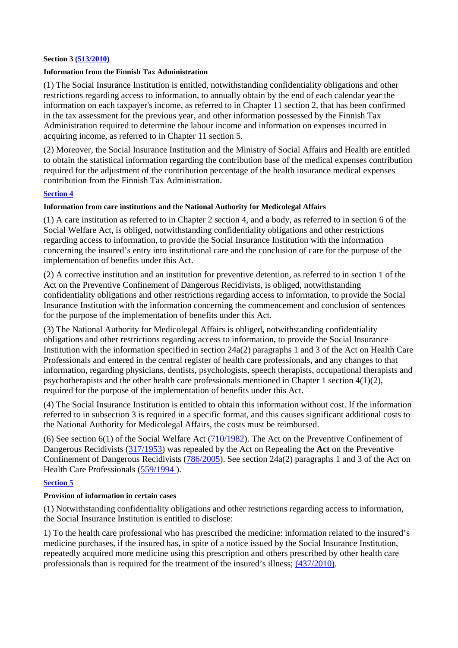#### **Section 3 (513/2010)**

### **Information from the Finnish Tax Administration**

(1) The Social Insurance Institution is entitled, notwithstanding confidentiality obligations and other restrictions regarding access to information, to annually obtain by the end of each calendar year the information on each taxpayer's income, as referred to in Chapter 11 section 2, that has been confirmed in the tax assessment for the previous year, and other information possessed by the Finnish Tax Administration required to determine the labour income and information on expenses incurred in acquiring income, as referred to in Chapter 11 section 5.

(2) Moreover, the Social Insurance Institution and the Ministry of Social Affairs and Health are entitled to obtain the statistical information regarding the contribution base of the medical expenses contribution required for the adjustment of the contribution percentage of the health insurance medical expenses contribution from the Finnish Tax Administration.

### **Section 4**

### **Information from care institutions and the National Authority for Medicolegal Affairs**

(1) A care institution as referred to in Chapter 2 section 4, and a body, as referred to in section 6 of the Social Welfare Act, is obliged, notwithstanding confidentiality obligations and other restrictions regarding access to information, to provide the Social Insurance Institution with the information concerning the insured's entry into institutional care and the conclusion of care for the purpose of the implementation of benefits under this Act.

(2) A corrective institution and an institution for preventive detention, as referred to in section 1 of the Act on the Preventive Confinement of Dangerous Recidivists, is obliged, notwithstanding confidentiality obligations and other restrictions regarding access to information, to provide the Social Insurance Institution with the information concerning the commencement and conclusion of sentences for the purpose of the implementation of benefits under this Act.

(3) The National Authority for Medicolegal Affairs is obliged**,** notwithstanding confidentiality obligations and other restrictions regarding access to information, to provide the Social Insurance Institution with the information specified in section 24a(2) paragraphs 1 and 3 of the Act on Health Care Professionals and entered in the central register of health care professionals, and any changes to that information, regarding physicians, dentists, psychologists, speech therapists, occupational therapists and psychotherapists and the other health care professionals mentioned in Chapter 1 section 4(1)(2), required for the purpose of the implementation of benefits under this Act.

(4) The Social Insurance Institution is entitled to obtain this information without cost. If the information referred to in subsection 3 is required in a specific format, and this causes significant additional costs to the National Authority for Medicolegal Affairs, the costs must be reimbursed.

(6) See section 6(1) of the Social Welfare Act  $(710/1982)$ . The Act on the Preventive Confinement of Dangerous Recidivists (317/1953) was repealed by the Act on Repealing the **Act** on the Preventive Confinement of Dangerous Recidivists  $(786/2005)$ . See section 24a(2) paragraphs 1 and 3 of the Act on Health Care Professionals (559/1994 ).

### **Section 5**

#### **Provision of information in certain cases**

(1) Notwithstanding confidentiality obligations and other restrictions regarding access to information, the Social Insurance Institution is entitled to disclose:

1) To the health care professional who has prescribed the medicine: information related to the insured's medicine purchases, if the insured has, in spite of a notice issued by the Social Insurance Institution, repeatedly acquired more medicine using this prescription and others prescribed by other health care professionals than is required for the treatment of the insured's illness; (437/2010).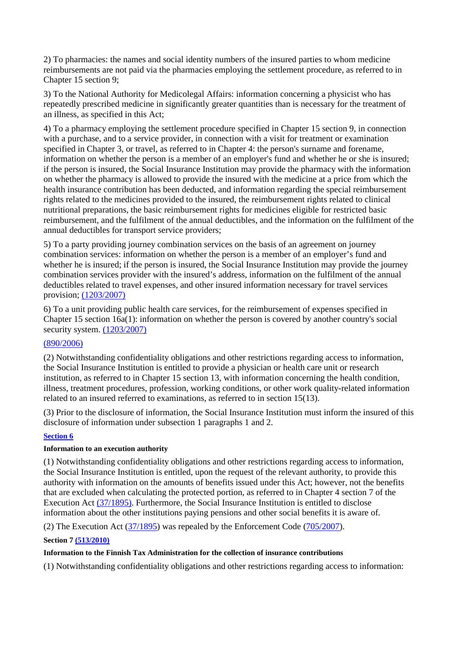2) To pharmacies: the names and social identity numbers of the insured parties to whom medicine reimbursements are not paid via the pharmacies employing the settlement procedure, as referred to in Chapter 15 section 9;

3) To the National Authority for Medicolegal Affairs: information concerning a physicist who has repeatedly prescribed medicine in significantly greater quantities than is necessary for the treatment of an illness, as specified in this Act;

4) To a pharmacy employing the settlement procedure specified in Chapter 15 section 9, in connection with a purchase, and to a service provider, in connection with a visit for treatment or examination specified in Chapter 3, or travel, as referred to in Chapter 4: the person's surname and forename, information on whether the person is a member of an employer's fund and whether he or she is insured; if the person is insured, the Social Insurance Institution may provide the pharmacy with the information on whether the pharmacy is allowed to provide the insured with the medicine at a price from which the health insurance contribution has been deducted, and information regarding the special reimbursement rights related to the medicines provided to the insured, the reimbursement rights related to clinical nutritional preparations, the basic reimbursement rights for medicines eligible for restricted basic reimbursement, and the fulfilment of the annual deductibles, and the information on the fulfilment of the annual deductibles for transport service providers;

5) To a party providing journey combination services on the basis of an agreement on journey combination services: information on whether the person is a member of an employer's fund and whether he is insured; if the person is insured, the Social Insurance Institution may provide the journey combination services provider with the insured's address, information on the fulfilment of the annual deductibles related to travel expenses, and other insured information necessary for travel services provision; (1203/2007)

6) To a unit providing public health care services, for the reimbursement of expenses specified in Chapter 15 section 16a(1): information on whether the person is covered by another country's social security system. (1203/2007)

# (890/2006)

(2) Notwithstanding confidentiality obligations and other restrictions regarding access to information, the Social Insurance Institution is entitled to provide a physician or health care unit or research institution, as referred to in Chapter 15 section 13, with information concerning the health condition, illness, treatment procedures, profession, working conditions, or other work quality-related information related to an insured referred to examinations, as referred to in section 15(13).

(3) Prior to the disclosure of information, the Social Insurance Institution must inform the insured of this disclosure of information under subsection 1 paragraphs 1 and 2.

# **Section 6**

# **Information to an execution authority**

(1) Notwithstanding confidentiality obligations and other restrictions regarding access to information, the Social Insurance Institution is entitled, upon the request of the relevant authority, to provide this authority with information on the amounts of benefits issued under this Act; however, not the benefits that are excluded when calculating the protected portion, as referred to in Chapter 4 section 7 of the Execution Act (37/1895). Furthermore, the Social Insurance Institution is entitled to disclose information about the other institutions paying pensions and other social benefits it is aware of.

(2) The Execution Act (37/1895) was repealed by the Enforcement Code (705/2007).

# **Section 7 (513/2010)**

# **Information to the Finnish Tax Administration for the collection of insurance contributions**

(1) Notwithstanding confidentiality obligations and other restrictions regarding access to information: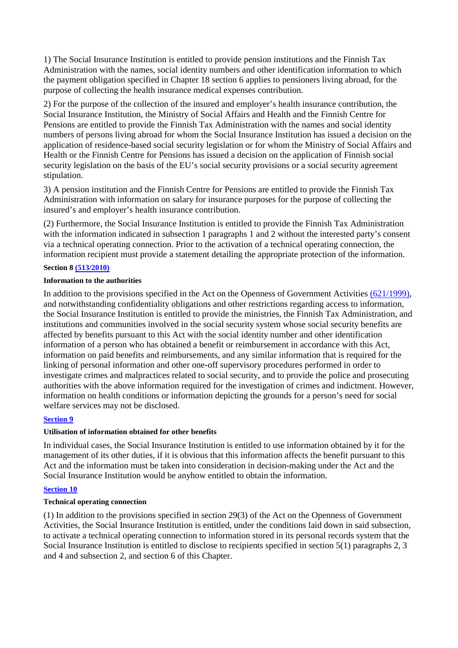1) The Social Insurance Institution is entitled to provide pension institutions and the Finnish Tax Administration with the names, social identity numbers and other identification information to which the payment obligation specified in Chapter 18 section 6 applies to pensioners living abroad, for the purpose of collecting the health insurance medical expenses contribution.

2) For the purpose of the collection of the insured and employer's health insurance contribution, the Social Insurance Institution, the Ministry of Social Affairs and Health and the Finnish Centre for Pensions are entitled to provide the Finnish Tax Administration with the names and social identity numbers of persons living abroad for whom the Social Insurance Institution has issued a decision on the application of residence-based social security legislation or for whom the Ministry of Social Affairs and Health or the Finnish Centre for Pensions has issued a decision on the application of Finnish social security legislation on the basis of the EU's social security provisions or a social security agreement stipulation.

3) A pension institution and the Finnish Centre for Pensions are entitled to provide the Finnish Tax Administration with information on salary for insurance purposes for the purpose of collecting the insured's and employer's health insurance contribution.

(2) Furthermore, the Social Insurance Institution is entitled to provide the Finnish Tax Administration with the information indicated in subsection 1 paragraphs 1 and 2 without the interested party's consent via a technical operating connection. Prior to the activation of a technical operating connection, the information recipient must provide a statement detailing the appropriate protection of the information.

### **Section 8 (513/2010)**

### **Information to the authorities**

In addition to the provisions specified in the Act on the Openness of Government Activities (621/1999), and notwithstanding confidentiality obligations and other restrictions regarding access to information, the Social Insurance Institution is entitled to provide the ministries, the Finnish Tax Administration, and institutions and communities involved in the social security system whose social security benefits are affected by benefits pursuant to this Act with the social identity number and other identification information of a person who has obtained a benefit or reimbursement in accordance with this Act, information on paid benefits and reimbursements, and any similar information that is required for the linking of personal information and other one-off supervisory procedures performed in order to investigate crimes and malpractices related to social security, and to provide the police and prosecuting authorities with the above information required for the investigation of crimes and indictment. However, information on health conditions or information depicting the grounds for a person's need for social welfare services may not be disclosed.

### **Section 9**

### **Utilisation of information obtained for other benefits**

In individual cases, the Social Insurance Institution is entitled to use information obtained by it for the management of its other duties, if it is obvious that this information affects the benefit pursuant to this Act and the information must be taken into consideration in decision-making under the Act and the Social Insurance Institution would be anyhow entitled to obtain the information.

# **Section 10**

### **Technical operating connection**

(1) In addition to the provisions specified in section 29(3) of the Act on the Openness of Government Activities, the Social Insurance Institution is entitled, under the conditions laid down in said subsection, to activate a technical operating connection to information stored in its personal records system that the Social Insurance Institution is entitled to disclose to recipients specified in section 5(1) paragraphs 2, 3 and 4 and subsection 2, and section 6 of this Chapter.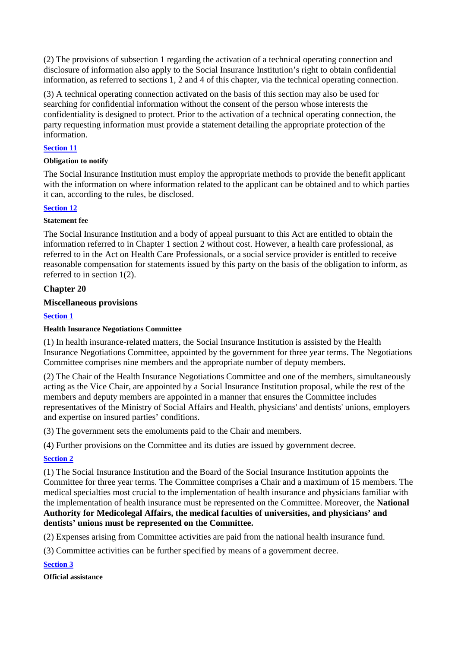(2) The provisions of subsection 1 regarding the activation of a technical operating connection and disclosure of information also apply to the Social Insurance Institution's right to obtain confidential information, as referred to sections 1, 2 and 4 of this chapter, via the technical operating connection.

(3) A technical operating connection activated on the basis of this section may also be used for searching for confidential information without the consent of the person whose interests the confidentiality is designed to protect. Prior to the activation of a technical operating connection, the party requesting information must provide a statement detailing the appropriate protection of the information.

# **Section 11**

# **Obligation to notify**

The Social Insurance Institution must employ the appropriate methods to provide the benefit applicant with the information on where information related to the applicant can be obtained and to which parties it can, according to the rules, be disclosed.

# **Section 12**

# **Statement fee**

The Social Insurance Institution and a body of appeal pursuant to this Act are entitled to obtain the information referred to in Chapter 1 section 2 without cost. However, a health care professional, as referred to in the Act on Health Care Professionals, or a social service provider is entitled to receive reasonable compensation for statements issued by this party on the basis of the obligation to inform, as referred to in section 1(2).

# **Chapter 20**

# **Miscellaneous provisions**

# **Section 1**

# **Health Insurance Negotiations Committee**

(1) In health insurance-related matters, the Social Insurance Institution is assisted by the Health Insurance Negotiations Committee, appointed by the government for three year terms. The Negotiations Committee comprises nine members and the appropriate number of deputy members.

(2) The Chair of the Health Insurance Negotiations Committee and one of the members, simultaneously acting as the Vice Chair, are appointed by a Social Insurance Institution proposal, while the rest of the members and deputy members are appointed in a manner that ensures the Committee includes representatives of the Ministry of Social Affairs and Health, physicians' and dentists' unions, employers and expertise on insured parties' conditions.

(3) The government sets the emoluments paid to the Chair and members.

(4) Further provisions on the Committee and its duties are issued by government decree.

# **Section 2**

(1) The Social Insurance Institution and the Board of the Social Insurance Institution appoints the Committee for three year terms. The Committee comprises a Chair and a maximum of 15 members. The medical specialties most crucial to the implementation of health insurance and physicians familiar with the implementation of health insurance must be represented on the Committee. Moreover, the **National Authority for Medicolegal Affairs, the medical faculties of universities, and physicians' and dentists' unions must be represented on the Committee.** 

(2) Expenses arising from Committee activities are paid from the national health insurance fund.

(3) Committee activities can be further specified by means of a government decree.

**Section 3** 

**Official assistance**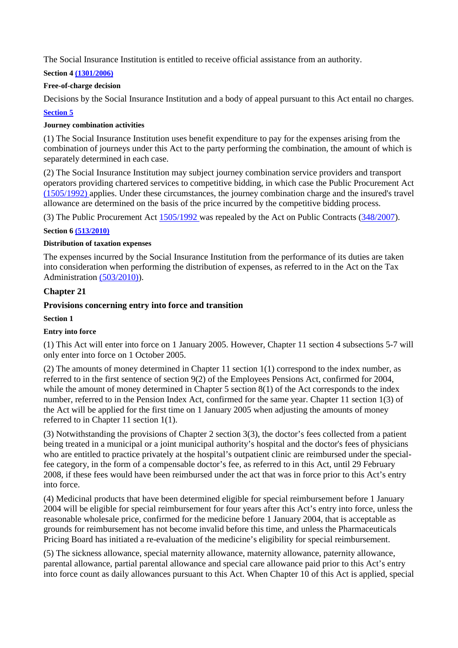The Social Insurance Institution is entitled to receive official assistance from an authority.

# **Section 4 (1301/2006)**

# **Free-of-charge decision**

Decisions by the Social Insurance Institution and a body of appeal pursuant to this Act entail no charges. **Section 5** 

# **Journey combination activities**

(1) The Social Insurance Institution uses benefit expenditure to pay for the expenses arising from the combination of journeys under this Act to the party performing the combination, the amount of which is separately determined in each case.

(2) The Social Insurance Institution may subject journey combination service providers and transport operators providing chartered services to competitive bidding, in which case the Public Procurement Act (1505/1992) applies. Under these circumstances, the journey combination charge and the insured's travel allowance are determined on the basis of the price incurred by the competitive bidding process.

(3) The Public Procurement Act 1505/1992 was repealed by the Act on Public Contracts (348/2007).

### **Section 6 (513/2010)**

### **Distribution of taxation expenses**

The expenses incurred by the Social Insurance Institution from the performance of its duties are taken into consideration when performing the distribution of expenses, as referred to in the Act on the Tax Administration (503/2010)).

# **Chapter 21**

# **Provisions concerning entry into force and transition**

### **Section 1**

# **Entry into force**

(1) This Act will enter into force on 1 January 2005. However, Chapter 11 section 4 subsections 5-7 will only enter into force on 1 October 2005.

(2) The amounts of money determined in Chapter 11 section 1(1) correspond to the index number, as referred to in the first sentence of section 9(2) of the Employees Pensions Act, confirmed for 2004, while the amount of money determined in Chapter 5 section 8(1) of the Act corresponds to the index number, referred to in the Pension Index Act, confirmed for the same year. Chapter 11 section 1(3) of the Act will be applied for the first time on 1 January 2005 when adjusting the amounts of money referred to in Chapter 11 section 1(1).

(3) Notwithstanding the provisions of Chapter 2 section 3(3), the doctor's fees collected from a patient being treated in a municipal or a joint municipal authority's hospital and the doctor's fees of physicians who are entitled to practice privately at the hospital's outpatient clinic are reimbursed under the specialfee category, in the form of a compensable doctor's fee, as referred to in this Act, until 29 February 2008, if these fees would have been reimbursed under the act that was in force prior to this Act's entry into force.

(4) Medicinal products that have been determined eligible for special reimbursement before 1 January 2004 will be eligible for special reimbursement for four years after this Act's entry into force, unless the reasonable wholesale price, confirmed for the medicine before 1 January 2004, that is acceptable as grounds for reimbursement has not become invalid before this time, and unless the Pharmaceuticals Pricing Board has initiated a re-evaluation of the medicine's eligibility for special reimbursement.

(5) The sickness allowance, special maternity allowance, maternity allowance, paternity allowance, parental allowance, partial parental allowance and special care allowance paid prior to this Act's entry into force count as daily allowances pursuant to this Act. When Chapter 10 of this Act is applied, special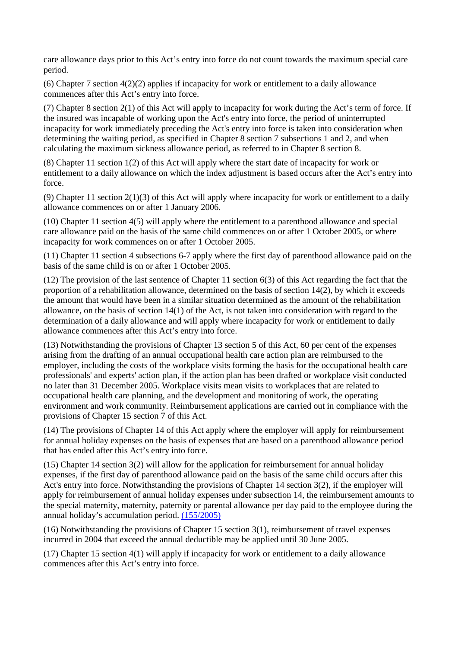care allowance days prior to this Act's entry into force do not count towards the maximum special care period.

(6) Chapter 7 section 4(2)(2) applies if incapacity for work or entitlement to a daily allowance commences after this Act's entry into force.

(7) Chapter 8 section 2(1) of this Act will apply to incapacity for work during the Act's term of force. If the insured was incapable of working upon the Act's entry into force, the period of uninterrupted incapacity for work immediately preceding the Act's entry into force is taken into consideration when determining the waiting period, as specified in Chapter 8 section 7 subsections 1 and 2, and when calculating the maximum sickness allowance period, as referred to in Chapter 8 section 8.

(8) Chapter 11 section 1(2) of this Act will apply where the start date of incapacity for work or entitlement to a daily allowance on which the index adjustment is based occurs after the Act's entry into force.

(9) Chapter 11 section  $2(1)(3)$  of this Act will apply where incapacity for work or entitlement to a daily allowance commences on or after 1 January 2006.

(10) Chapter 11 section 4(5) will apply where the entitlement to a parenthood allowance and special care allowance paid on the basis of the same child commences on or after 1 October 2005, or where incapacity for work commences on or after 1 October 2005.

(11) Chapter 11 section 4 subsections 6-7 apply where the first day of parenthood allowance paid on the basis of the same child is on or after 1 October 2005.

(12) The provision of the last sentence of Chapter 11 section 6(3) of this Act regarding the fact that the proportion of a rehabilitation allowance, determined on the basis of section 14(2), by which it exceeds the amount that would have been in a similar situation determined as the amount of the rehabilitation allowance, on the basis of section 14(1) of the Act, is not taken into consideration with regard to the determination of a daily allowance and will apply where incapacity for work or entitlement to daily allowance commences after this Act's entry into force.

(13) Notwithstanding the provisions of Chapter 13 section 5 of this Act, 60 per cent of the expenses arising from the drafting of an annual occupational health care action plan are reimbursed to the employer, including the costs of the workplace visits forming the basis for the occupational health care professionals' and experts' action plan, if the action plan has been drafted or workplace visit conducted no later than 31 December 2005. Workplace visits mean visits to workplaces that are related to occupational health care planning, and the development and monitoring of work, the operating environment and work community. Reimbursement applications are carried out in compliance with the provisions of Chapter 15 section 7 of this Act.

(14) The provisions of Chapter 14 of this Act apply where the employer will apply for reimbursement for annual holiday expenses on the basis of expenses that are based on a parenthood allowance period that has ended after this Act's entry into force.

(15) Chapter 14 section 3(2) will allow for the application for reimbursement for annual holiday expenses, if the first day of parenthood allowance paid on the basis of the same child occurs after this Act's entry into force. Notwithstanding the provisions of Chapter 14 section 3(2), if the employer will apply for reimbursement of annual holiday expenses under subsection 14, the reimbursement amounts to the special maternity, maternity, paternity or parental allowance per day paid to the employee during the annual holiday's accumulation period. (155/2005)

(16) Notwithstanding the provisions of Chapter 15 section 3(1), reimbursement of travel expenses incurred in 2004 that exceed the annual deductible may be applied until 30 June 2005.

(17) Chapter 15 section 4(1) will apply if incapacity for work or entitlement to a daily allowance commences after this Act's entry into force.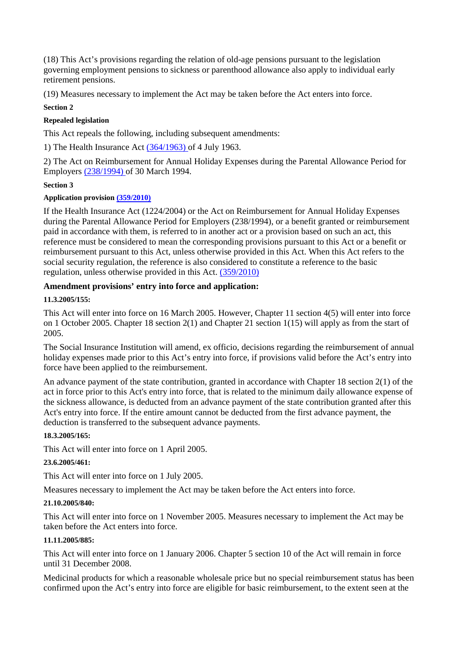(18) This Act's provisions regarding the relation of old-age pensions pursuant to the legislation governing employment pensions to sickness or parenthood allowance also apply to individual early retirement pensions.

(19) Measures necessary to implement the Act may be taken before the Act enters into force.

## **Section 2**

# **Repealed legislation**

This Act repeals the following, including subsequent amendments:

1) The Health Insurance Act (364/1963) of 4 July 1963.

2) The Act on Reimbursement for Annual Holiday Expenses during the Parental Allowance Period for Employers (238/1994) of 30 March 1994.

# **Section 3**

# **Application provision (359/2010)**

If the Health Insurance Act (1224/2004) or the Act on Reimbursement for Annual Holiday Expenses during the Parental Allowance Period for Employers (238/1994), or a benefit granted or reimbursement paid in accordance with them, is referred to in another act or a provision based on such an act, this reference must be considered to mean the corresponding provisions pursuant to this Act or a benefit or reimbursement pursuant to this Act, unless otherwise provided in this Act. When this Act refers to the social security regulation, the reference is also considered to constitute a reference to the basic regulation, unless otherwise provided in this Act. (359/2010)

# **Amendment provisions' entry into force and application:**

# **11.3.2005/155:**

This Act will enter into force on 16 March 2005. However, Chapter 11 section 4(5) will enter into force on 1 October 2005. Chapter 18 section 2(1) and Chapter 21 section 1(15) will apply as from the start of 2005.

The Social Insurance Institution will amend, ex officio, decisions regarding the reimbursement of annual holiday expenses made prior to this Act's entry into force, if provisions valid before the Act's entry into force have been applied to the reimbursement.

An advance payment of the state contribution, granted in accordance with Chapter 18 section 2(1) of the act in force prior to this Act's entry into force, that is related to the minimum daily allowance expense of the sickness allowance, is deducted from an advance payment of the state contribution granted after this Act's entry into force. If the entire amount cannot be deducted from the first advance payment, the deduction is transferred to the subsequent advance payments.

# **18.3.2005/165:**

This Act will enter into force on 1 April 2005.

# **23.6.2005/461:**

This Act will enter into force on 1 July 2005.

Measures necessary to implement the Act may be taken before the Act enters into force.

# **21.10.2005/840:**

This Act will enter into force on 1 November 2005. Measures necessary to implement the Act may be taken before the Act enters into force.

# **11.11.2005/885:**

This Act will enter into force on 1 January 2006. Chapter 5 section 10 of the Act will remain in force until 31 December 2008.

Medicinal products for which a reasonable wholesale price but no special reimbursement status has been confirmed upon the Act's entry into force are eligible for basic reimbursement, to the extent seen at the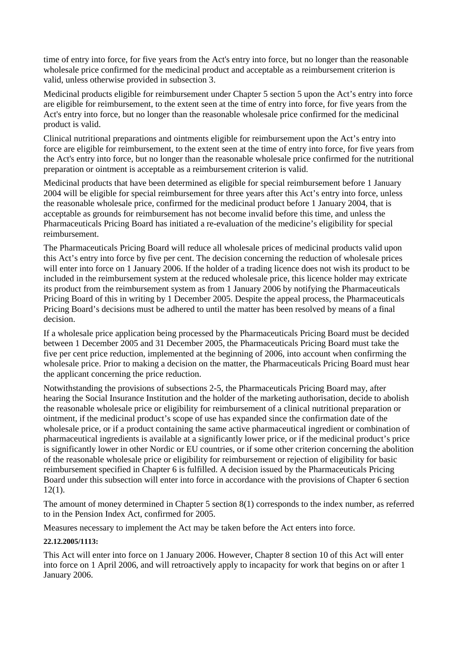time of entry into force, for five years from the Act's entry into force, but no longer than the reasonable wholesale price confirmed for the medicinal product and acceptable as a reimbursement criterion is valid, unless otherwise provided in subsection 3.

Medicinal products eligible for reimbursement under Chapter 5 section 5 upon the Act's entry into force are eligible for reimbursement, to the extent seen at the time of entry into force, for five years from the Act's entry into force, but no longer than the reasonable wholesale price confirmed for the medicinal product is valid.

Clinical nutritional preparations and ointments eligible for reimbursement upon the Act's entry into force are eligible for reimbursement, to the extent seen at the time of entry into force, for five years from the Act's entry into force, but no longer than the reasonable wholesale price confirmed for the nutritional preparation or ointment is acceptable as a reimbursement criterion is valid.

Medicinal products that have been determined as eligible for special reimbursement before 1 January 2004 will be eligible for special reimbursement for three years after this Act's entry into force, unless the reasonable wholesale price, confirmed for the medicinal product before 1 January 2004, that is acceptable as grounds for reimbursement has not become invalid before this time, and unless the Pharmaceuticals Pricing Board has initiated a re-evaluation of the medicine's eligibility for special reimbursement.

The Pharmaceuticals Pricing Board will reduce all wholesale prices of medicinal products valid upon this Act's entry into force by five per cent. The decision concerning the reduction of wholesale prices will enter into force on 1 January 2006. If the holder of a trading licence does not wish its product to be included in the reimbursement system at the reduced wholesale price, this licence holder may extricate its product from the reimbursement system as from 1 January 2006 by notifying the Pharmaceuticals Pricing Board of this in writing by 1 December 2005. Despite the appeal process, the Pharmaceuticals Pricing Board's decisions must be adhered to until the matter has been resolved by means of a final decision.

If a wholesale price application being processed by the Pharmaceuticals Pricing Board must be decided between 1 December 2005 and 31 December 2005, the Pharmaceuticals Pricing Board must take the five per cent price reduction, implemented at the beginning of 2006, into account when confirming the wholesale price. Prior to making a decision on the matter, the Pharmaceuticals Pricing Board must hear the applicant concerning the price reduction.

Notwithstanding the provisions of subsections 2-5, the Pharmaceuticals Pricing Board may, after hearing the Social Insurance Institution and the holder of the marketing authorisation, decide to abolish the reasonable wholesale price or eligibility for reimbursement of a clinical nutritional preparation or ointment, if the medicinal product's scope of use has expanded since the confirmation date of the wholesale price, or if a product containing the same active pharmaceutical ingredient or combination of pharmaceutical ingredients is available at a significantly lower price, or if the medicinal product's price is significantly lower in other Nordic or EU countries, or if some other criterion concerning the abolition of the reasonable wholesale price or eligibility for reimbursement or rejection of eligibility for basic reimbursement specified in Chapter 6 is fulfilled. A decision issued by the Pharmaceuticals Pricing Board under this subsection will enter into force in accordance with the provisions of Chapter 6 section 12(1).

The amount of money determined in Chapter 5 section 8(1) corresponds to the index number, as referred to in the Pension Index Act, confirmed for 2005.

Measures necessary to implement the Act may be taken before the Act enters into force.

# **22.12.2005/1113:**

This Act will enter into force on 1 January 2006. However, Chapter 8 section 10 of this Act will enter into force on 1 April 2006, and will retroactively apply to incapacity for work that begins on or after 1 January 2006.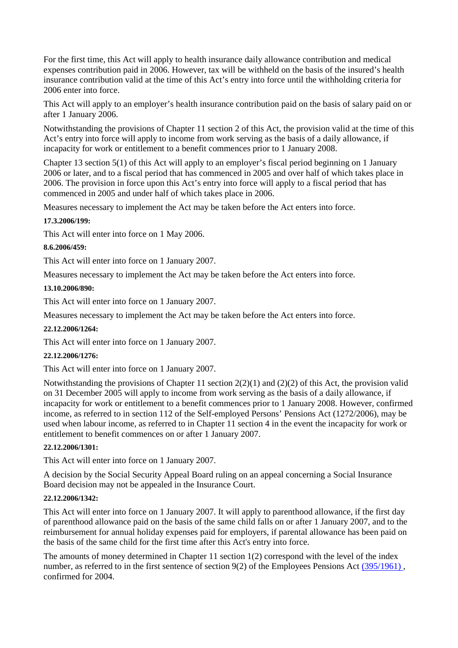For the first time, this Act will apply to health insurance daily allowance contribution and medical expenses contribution paid in 2006. However, tax will be withheld on the basis of the insured's health insurance contribution valid at the time of this Act's entry into force until the withholding criteria for 2006 enter into force.

This Act will apply to an employer's health insurance contribution paid on the basis of salary paid on or after 1 January 2006.

Notwithstanding the provisions of Chapter 11 section 2 of this Act, the provision valid at the time of this Act's entry into force will apply to income from work serving as the basis of a daily allowance, if incapacity for work or entitlement to a benefit commences prior to 1 January 2008.

Chapter 13 section 5(1) of this Act will apply to an employer's fiscal period beginning on 1 January 2006 or later, and to a fiscal period that has commenced in 2005 and over half of which takes place in 2006. The provision in force upon this Act's entry into force will apply to a fiscal period that has commenced in 2005 and under half of which takes place in 2006.

Measures necessary to implement the Act may be taken before the Act enters into force.

### **17.3.2006/199:**

This Act will enter into force on 1 May 2006.

### **8.6.2006/459:**

This Act will enter into force on 1 January 2007.

Measures necessary to implement the Act may be taken before the Act enters into force.

### **13.10.2006/890:**

This Act will enter into force on 1 January 2007.

Measures necessary to implement the Act may be taken before the Act enters into force.

### **22.12.2006/1264:**

This Act will enter into force on 1 January 2007.

### **22.12.2006/1276:**

This Act will enter into force on 1 January 2007.

Notwithstanding the provisions of Chapter 11 section 2(2)(1) and (2)(2) of this Act, the provision valid on 31 December 2005 will apply to income from work serving as the basis of a daily allowance, if incapacity for work or entitlement to a benefit commences prior to 1 January 2008. However, confirmed income, as referred to in section 112 of the Self-employed Persons' Pensions Act (1272/2006), may be used when labour income, as referred to in Chapter 11 section 4 in the event the incapacity for work or entitlement to benefit commences on or after 1 January 2007.

### **22.12.2006/1301:**

This Act will enter into force on 1 January 2007.

A decision by the Social Security Appeal Board ruling on an appeal concerning a Social Insurance Board decision may not be appealed in the Insurance Court.

### **22.12.2006/1342:**

This Act will enter into force on 1 January 2007. It will apply to parenthood allowance, if the first day of parenthood allowance paid on the basis of the same child falls on or after 1 January 2007, and to the reimbursement for annual holiday expenses paid for employers, if parental allowance has been paid on the basis of the same child for the first time after this Act's entry into force.

The amounts of money determined in Chapter 11 section 1(2) correspond with the level of the index number, as referred to in the first sentence of section 9(2) of the Employees Pensions Act (395/1961), confirmed for 2004.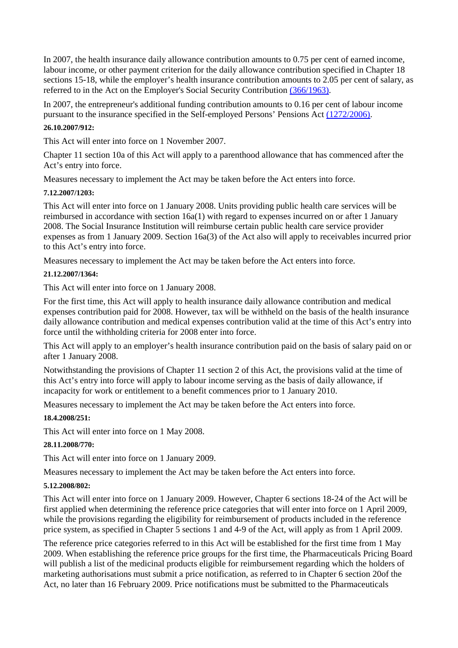In 2007, the health insurance daily allowance contribution amounts to 0.75 per cent of earned income, labour income, or other payment criterion for the daily allowance contribution specified in Chapter 18 sections 15-18, while the employer's health insurance contribution amounts to 2.05 per cent of salary, as referred to in the Act on the Employer's Social Security Contribution (366/1963).

In 2007, the entrepreneur's additional funding contribution amounts to 0.16 per cent of labour income pursuant to the insurance specified in the Self-employed Persons' Pensions Act (1272/2006).

## **26.10.2007/912:**

This Act will enter into force on 1 November 2007.

Chapter 11 section 10a of this Act will apply to a parenthood allowance that has commenced after the Act's entry into force.

Measures necessary to implement the Act may be taken before the Act enters into force.

### **7.12.2007/1203:**

This Act will enter into force on 1 January 2008. Units providing public health care services will be reimbursed in accordance with section 16a(1) with regard to expenses incurred on or after 1 January 2008. The Social Insurance Institution will reimburse certain public health care service provider expenses as from 1 January 2009. Section 16a(3) of the Act also will apply to receivables incurred prior to this Act's entry into force.

Measures necessary to implement the Act may be taken before the Act enters into force.

### **21.12.2007/1364:**

This Act will enter into force on 1 January 2008.

For the first time, this Act will apply to health insurance daily allowance contribution and medical expenses contribution paid for 2008. However, tax will be withheld on the basis of the health insurance daily allowance contribution and medical expenses contribution valid at the time of this Act's entry into force until the withholding criteria for 2008 enter into force.

This Act will apply to an employer's health insurance contribution paid on the basis of salary paid on or after 1 January 2008.

Notwithstanding the provisions of Chapter 11 section 2 of this Act, the provisions valid at the time of this Act's entry into force will apply to labour income serving as the basis of daily allowance, if incapacity for work or entitlement to a benefit commences prior to 1 January 2010.

Measures necessary to implement the Act may be taken before the Act enters into force.

# **18.4.2008/251:**

This Act will enter into force on 1 May 2008.

### **28.11.2008/770:**

This Act will enter into force on 1 January 2009.

Measures necessary to implement the Act may be taken before the Act enters into force.

### **5.12.2008/802:**

This Act will enter into force on 1 January 2009. However, Chapter 6 sections 18-24 of the Act will be first applied when determining the reference price categories that will enter into force on 1 April 2009, while the provisions regarding the eligibility for reimbursement of products included in the reference price system, as specified in Chapter 5 sections 1 and 4-9 of the Act, will apply as from 1 April 2009.

The reference price categories referred to in this Act will be established for the first time from 1 May 2009. When establishing the reference price groups for the first time, the Pharmaceuticals Pricing Board will publish a list of the medicinal products eligible for reimbursement regarding which the holders of marketing authorisations must submit a price notification, as referred to in Chapter 6 section 20of the Act, no later than 16 February 2009. Price notifications must be submitted to the Pharmaceuticals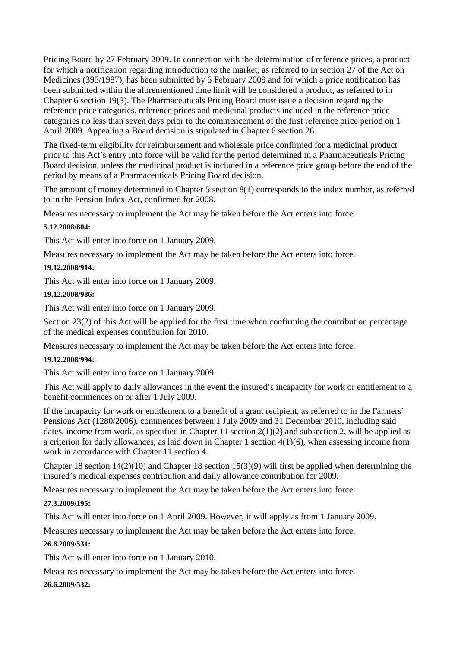Pricing Board by 27 February 2009. In connection with the determination of reference prices, a product for which a notification regarding introduction to the market, as referred to in section 27 of the Act on Medicines (395/1987), has been submitted by 6 February 2009 and for which a price notification has been submitted within the aforementioned time limit will be considered a product, as referred to in Chapter 6 section 19(3). The Pharmaceuticals Pricing Board must issue a decision regarding the reference price categories, reference prices and medicinal products included in the reference price categories no less than seven days prior to the commencement of the first reference price period on 1 April 2009. Appealing a Board decision is stipulated in Chapter 6 section 26.

The fixed-term eligibility for reimbursement and wholesale price confirmed for a medicinal product prior to this Act's entry into force will be valid for the period determined in a Pharmaceuticals Pricing Board decision, unless the medicinal product is included in a reference price group before the end of the period by means of a Pharmaceuticals Pricing Board decision.

The amount of money determined in Chapter 5 section 8(1) corresponds to the index number, as referred to in the Pension Index Act, confirmed for 2008.

Measures necessary to implement the Act may be taken before the Act enters into force.

### **5.12.2008/804:**

This Act will enter into force on 1 January 2009.

Measures necessary to implement the Act may be taken before the Act enters into force.

### **19.12.2008/914:**

This Act will enter into force on 1 January 2009.

# **19.12.2008/986:**

This Act will enter into force on 1 January 2009.

Section 23(2) of this Act will be applied for the first time when confirming the contribution percentage of the medical expenses contribution for 2010.

Measures necessary to implement the Act may be taken before the Act enters into force.

### **19.12.2008/994:**

This Act will enter into force on 1 January 2009.

This Act will apply to daily allowances in the event the insured's incapacity for work or entitlement to a benefit commences on or after 1 July 2009.

If the incapacity for work or entitlement to a benefit of a grant recipient, as referred to in the Farmers' Pensions Act (1280/2006), commences between 1 July 2009 and 31 December 2010, including said dates, income from work, as specified in Chapter 11 section 2(1)(2) and subsection 2, will be applied as a criterion for daily allowances, as laid down in Chapter 1 section 4(1)(6), when assessing income from work in accordance with Chapter 11 section 4.

Chapter 18 section 14(2)(10) and Chapter 18 section 15(3)(9) will first be applied when determining the insured's medical expenses contribution and daily allowance contribution for 2009.

Measures necessary to implement the Act may be taken before the Act enters into force.

### **27.3.2009/195:**

This Act will enter into force on 1 April 2009. However, it will apply as from 1 January 2009.

Measures necessary to implement the Act may be taken before the Act enters into force.

### **26.6.2009/531:**

This Act will enter into force on 1 January 2010.

Measures necessary to implement the Act may be taken before the Act enters into force.

# **26.6.2009/532:**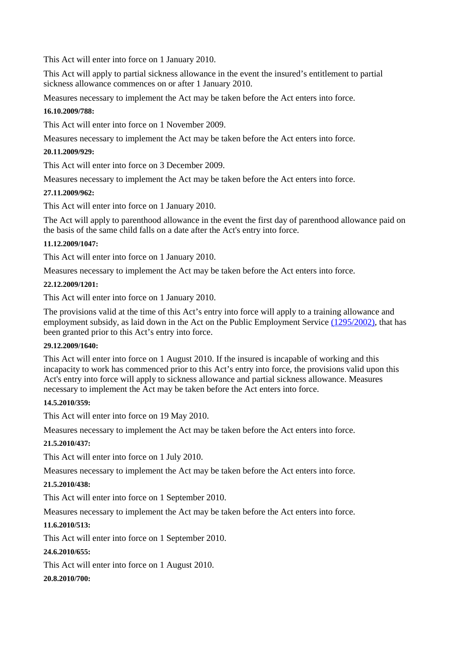This Act will enter into force on 1 January 2010.

This Act will apply to partial sickness allowance in the event the insured's entitlement to partial sickness allowance commences on or after 1 January 2010.

Measures necessary to implement the Act may be taken before the Act enters into force.

### **16.10.2009/788:**

This Act will enter into force on 1 November 2009.

Measures necessary to implement the Act may be taken before the Act enters into force.

## **20.11.2009/929:**

This Act will enter into force on 3 December 2009.

Measures necessary to implement the Act may be taken before the Act enters into force.

### **27.11.2009/962:**

This Act will enter into force on 1 January 2010.

The Act will apply to parenthood allowance in the event the first day of parenthood allowance paid on the basis of the same child falls on a date after the Act's entry into force.

### **11.12.2009/1047:**

This Act will enter into force on 1 January 2010.

Measures necessary to implement the Act may be taken before the Act enters into force.

### **22.12.2009/1201:**

This Act will enter into force on 1 January 2010.

The provisions valid at the time of this Act's entry into force will apply to a training allowance and employment subsidy, as laid down in the Act on the Public Employment Service (1295/2002), that has been granted prior to this Act's entry into force.

### **29.12.2009/1640:**

This Act will enter into force on 1 August 2010. If the insured is incapable of working and this incapacity to work has commenced prior to this Act's entry into force, the provisions valid upon this Act's entry into force will apply to sickness allowance and partial sickness allowance. Measures necessary to implement the Act may be taken before the Act enters into force.

# **14.5.2010/359:**

This Act will enter into force on 19 May 2010.

Measures necessary to implement the Act may be taken before the Act enters into force.

# **21.5.2010/437:**

This Act will enter into force on 1 July 2010.

Measures necessary to implement the Act may be taken before the Act enters into force.

### **21.5.2010/438:**

This Act will enter into force on 1 September 2010.

Measures necessary to implement the Act may be taken before the Act enters into force.

# **11.6.2010/513:**

This Act will enter into force on 1 September 2010.

# **24.6.2010/655:**

This Act will enter into force on 1 August 2010.

# **20.8.2010/700:**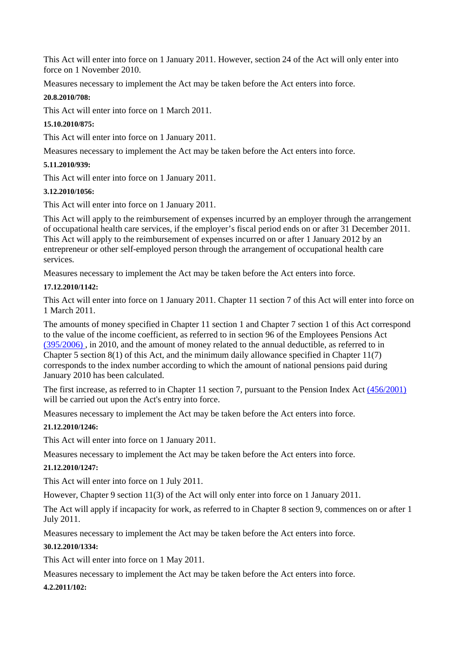This Act will enter into force on 1 January 2011. However, section 24 of the Act will only enter into force on 1 November 2010.

Measures necessary to implement the Act may be taken before the Act enters into force.

# **20.8.2010/708:**

This Act will enter into force on 1 March 2011.

# **15.10.2010/875:**

This Act will enter into force on 1 January 2011.

Measures necessary to implement the Act may be taken before the Act enters into force.

# **5.11.2010/939:**

This Act will enter into force on 1 January 2011.

# **3.12.2010/1056:**

This Act will enter into force on 1 January 2011.

This Act will apply to the reimbursement of expenses incurred by an employer through the arrangement of occupational health care services, if the employer's fiscal period ends on or after 31 December 2011. This Act will apply to the reimbursement of expenses incurred on or after 1 January 2012 by an entrepreneur or other self-employed person through the arrangement of occupational health care services.

Measures necessary to implement the Act may be taken before the Act enters into force.

# **17.12.2010/1142:**

This Act will enter into force on 1 January 2011. Chapter 11 section 7 of this Act will enter into force on 1 March 2011.

The amounts of money specified in Chapter 11 section 1 and Chapter 7 section 1 of this Act correspond to the value of the income coefficient, as referred to in section 96 of the Employees Pensions Act (395/2006) , in 2010, and the amount of money related to the annual deductible, as referred to in Chapter 5 section 8(1) of this Act, and the minimum daily allowance specified in Chapter 11(7) corresponds to the index number according to which the amount of national pensions paid during January 2010 has been calculated.

The first increase, as referred to in Chapter 11 section 7, pursuant to the Pension Index Act (456/2001) will be carried out upon the Act's entry into force.

Measures necessary to implement the Act may be taken before the Act enters into force.

# **21.12.2010/1246:**

This Act will enter into force on 1 January 2011.

Measures necessary to implement the Act may be taken before the Act enters into force.

# **21.12.2010/1247:**

This Act will enter into force on 1 July 2011.

However, Chapter 9 section 11(3) of the Act will only enter into force on 1 January 2011.

The Act will apply if incapacity for work, as referred to in Chapter 8 section 9, commences on or after 1 July 2011.

Measures necessary to implement the Act may be taken before the Act enters into force.

# **30.12.2010/1334:**

This Act will enter into force on 1 May 2011.

Measures necessary to implement the Act may be taken before the Act enters into force.

# **4.2.2011/102:**